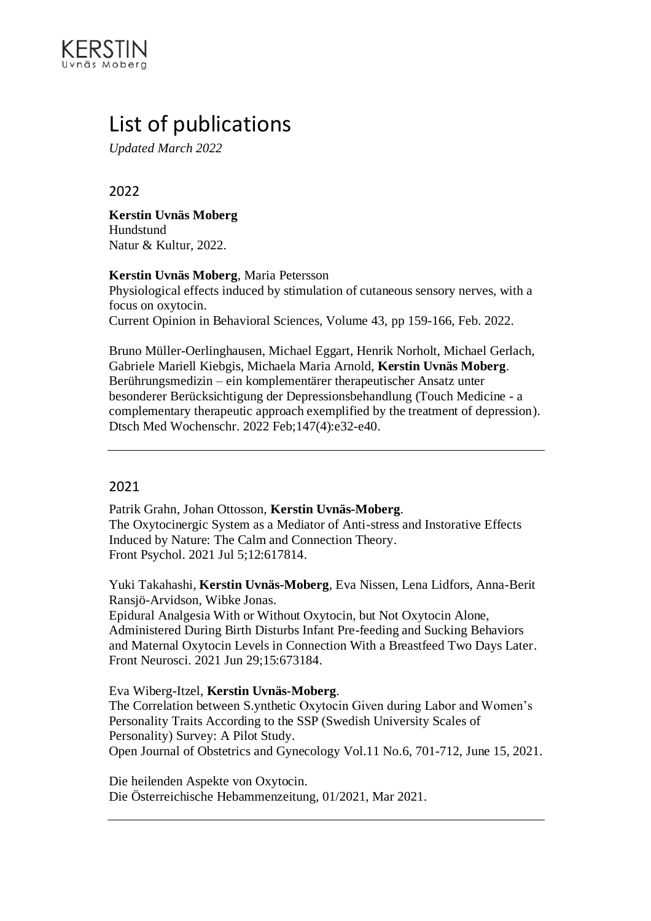

# List of publications

*Updated March 2022*

## 2022

**Kerstin Uvnäs Moberg** Hundstund Natur & Kultur, 2022.

**Kerstin Uvnäs Moberg**, Maria Petersson

Physiological effects induced by stimulation of cutaneous sensory nerves, with a focus on oxytocin. Current Opinion in Behavioral Sciences, Volume 43, pp 159-166, Feb. 2022.

Bruno Müller-Oerlinghausen, Michael Eggart, Henrik Norholt, Michael Gerlach, Gabriele Mariell Kiebgis, Michaela Maria Arnold, **Kerstin Uvnäs Moberg**. Berührungsmedizin – ein komplementärer therapeutischer Ansatz unter besonderer Berücksichtigung der Depressionsbehandlung (Touch Medicine - a complementary therapeutic approach exemplified by the treatment of depression). Dtsch Med Wochenschr. 2022 Feb;147(4):e32-e40.

## 2021

Patrik Grahn, Johan Ottosson, **Kerstin Uvnäs-Moberg**. The Oxytocinergic System as a Mediator of Anti-stress and Instorative Effects Induced by Nature: The Calm and Connection Theory. Front Psychol. 2021 Jul 5;12:617814.

Yuki Takahashi, **Kerstin Uvnäs-Moberg**, Eva Nissen, Lena Lidfors, Anna-Berit Ransjö-Arvidson, Wibke Jonas.

Epidural Analgesia With or Without Oxytocin, but Not Oxytocin Alone, Administered During Birth Disturbs Infant Pre-feeding and Sucking Behaviors and Maternal Oxytocin Levels in Connection With a Breastfeed Two Days Later. Front Neurosci. 2021 Jun 29;15:673184.

Eva Wiberg-Itzel, **Kerstin Uvnäs-Moberg**.

The Correlation between S.ynthetic Oxytocin Given during Labor and Women's Personality Traits According to the SSP (Swedish University Scales of Personality) Survey: A Pilot Study. Open Journal of Obstetrics and Gynecology Vol.11 No.6, 701-712, June 15, 2021.

Die heilenden Aspekte von Oxytocin. Die Österreichische Hebammenzeitung, 01/2021, Mar 2021.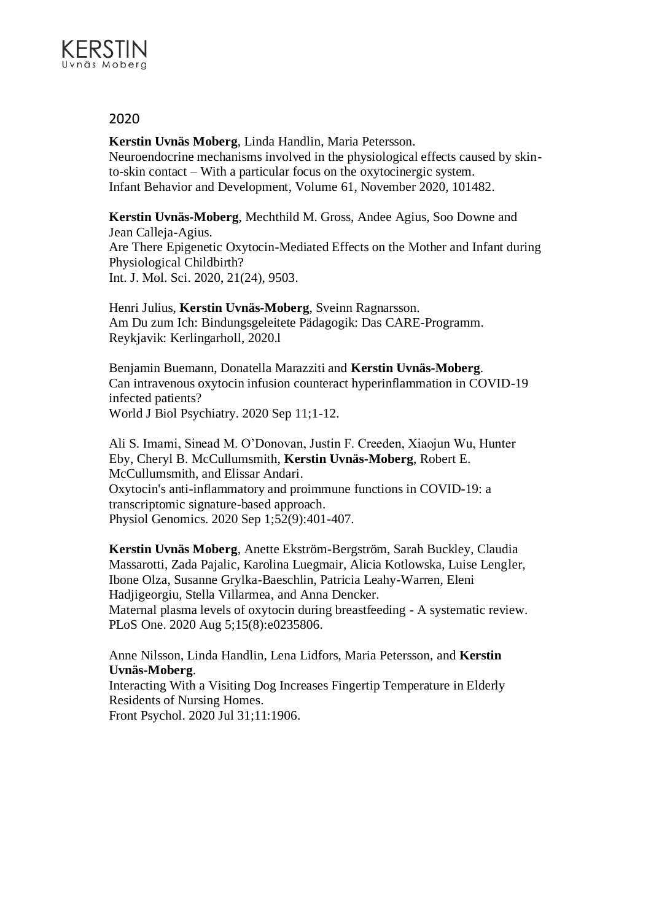

**Kerstin Uvnäs Moberg**, Linda Handlin, Maria Petersson. Neuroendocrine mechanisms involved in the physiological effects caused by skinto-skin contact – With a particular focus on the oxytocinergic system. Infant Behavior and Development, Volume 61, November 2020, 101482.

**Kerstin Uvnäs-Moberg**, Mechthild M. Gross, Andee Agius, Soo Downe and Jean Calleja-Agius. Are There Epigenetic Oxytocin-Mediated Effects on the Mother and Infant during Physiological Childbirth? Int. J. Mol. Sci. 2020, 21(24), 9503.

Henri Julius, **Kerstin Uvnäs-Moberg**, Sveinn Ragnarsson. Am Du zum Ich: Bindungsgeleitete Pädagogik: Das CARE-Programm. Reykjavik: Kerlingarholl, 2020.l

Benjamin Buemann, Donatella Marazziti and **Kerstin Uvnäs-Moberg**. Can intravenous oxytocin infusion counteract hyperinflammation in COVID-19 infected patients? World J Biol Psychiatry. 2020 Sep 11;1-12.

Ali S. Imami, Sinead M. O'Donovan, Justin F. Creeden, Xiaojun Wu, Hunter Eby, Cheryl B. McCullumsmith, **Kerstin Uvnäs-Moberg**, Robert E. McCullumsmith, and Elissar Andari. Oxytocin's anti-inflammatory and proimmune functions in COVID-19: a transcriptomic signature-based approach. Physiol Genomics. 2020 Sep 1;52(9):401-407.

**Kerstin Uvnäs Moberg**, Anette Ekström-Bergström, Sarah Buckley, Claudia Massarotti, Zada Pajalic, Karolina Luegmair, Alicia Kotlowska, Luise Lengler, Ibone Olza, Susanne Grylka-Baeschlin, Patricia Leahy-Warren, Eleni Hadjigeorgiu, Stella Villarmea, and Anna Dencker. Maternal plasma levels of oxytocin during breastfeeding - A systematic review. PLoS One. 2020 Aug 5;15(8):e0235806.

Anne Nilsson, Linda Handlin, Lena Lidfors, Maria Petersson, and **Kerstin Uvnäs-Moberg**.

Interacting With a Visiting Dog Increases Fingertip Temperature in Elderly Residents of Nursing Homes.

Front Psychol. 2020 Jul 31;11:1906.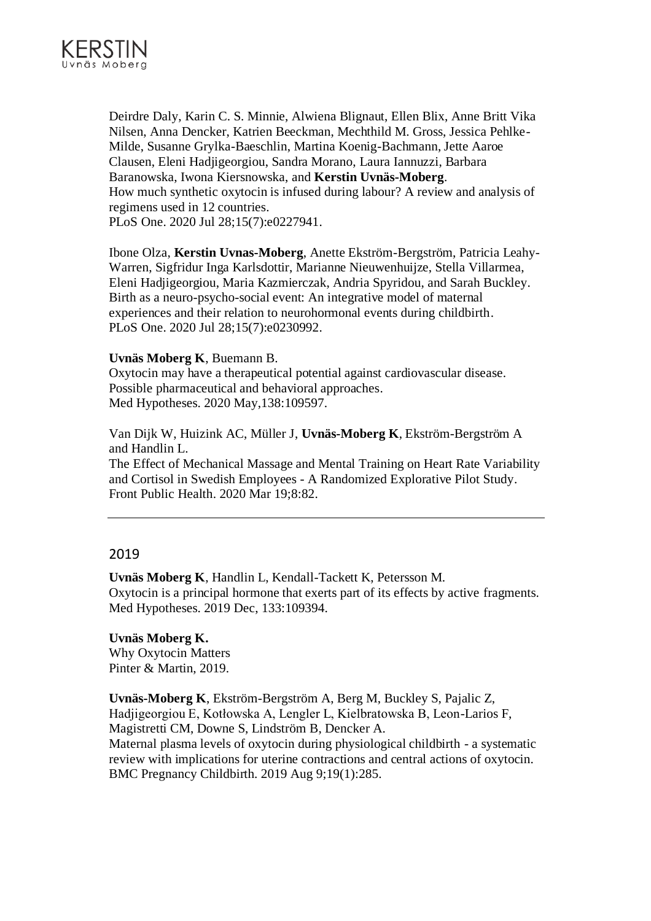

Deirdre Daly, Karin C. S. Minnie, Alwiena Blignaut, Ellen Blix, Anne Britt Vika Nilsen, Anna Dencker, Katrien Beeckman, Mechthild M. Gross, Jessica Pehlke-Milde, Susanne Grylka-Baeschlin, Martina Koenig-Bachmann, Jette Aaroe Clausen, Eleni Hadjigeorgiou, Sandra Morano, Laura Iannuzzi, Barbara Baranowska, Iwona Kiersnowska, and **Kerstin Uvnäs-Moberg**. How much synthetic oxytocin is infused during labour? A review and analysis of regimens used in 12 countries. PLoS One. 2020 Jul 28;15(7):e0227941.

Ibone Olza, **Kerstin Uvnas-Moberg**, Anette Ekström-Bergström, Patricia Leahy-Warren, Sigfridur Inga Karlsdottir, Marianne Nieuwenhuijze, Stella Villarmea, Eleni Hadjigeorgiou, Maria Kazmierczak, Andria Spyridou, and Sarah Buckley. Birth as a neuro-psycho-social event: An integrative model of maternal experiences and their relation to neurohormonal events during childbirth. PLoS One. 2020 Jul 28;15(7):e0230992.

#### **Uvnäs Moberg K**, Buemann B.

Oxytocin may have a therapeutical potential against cardiovascular disease. Possible pharmaceutical and behavioral approaches. Med Hypotheses. 2020 May,138:109597.

Van Dijk W, Huizink AC, Müller J, **Uvnäs-Moberg K**, Ekström-Bergström A and Handlin L.

The Effect of Mechanical Massage and Mental Training on Heart Rate Variability and Cortisol in Swedish Employees - A Randomized Explorative Pilot Study. Front Public Health. 2020 Mar 19;8:82.

## 2019

**Uvnäs Moberg K**, Handlin L, Kendall-Tackett K, Petersson M. Oxytocin is a principal hormone that exerts part of its effects by active fragments. Med Hypotheses. 2019 Dec, 133:109394.

**Uvnäs Moberg K.** Why Oxytocin Matters Pinter & Martin, 2019.

**Uvnäs-Moberg K**, Ekström-Bergström A, Berg M, Buckley S, Pajalic Z, Hadjigeorgiou E, Kotłowska A, Lengler L, Kielbratowska B, Leon-Larios F, Magistretti CM, Downe S, Lindström B, Dencker A. Maternal plasma levels of oxytocin during physiological childbirth - a systematic review with implications for uterine contractions and central actions of oxytocin.

BMC Pregnancy Childbirth. 2019 Aug 9;19(1):285.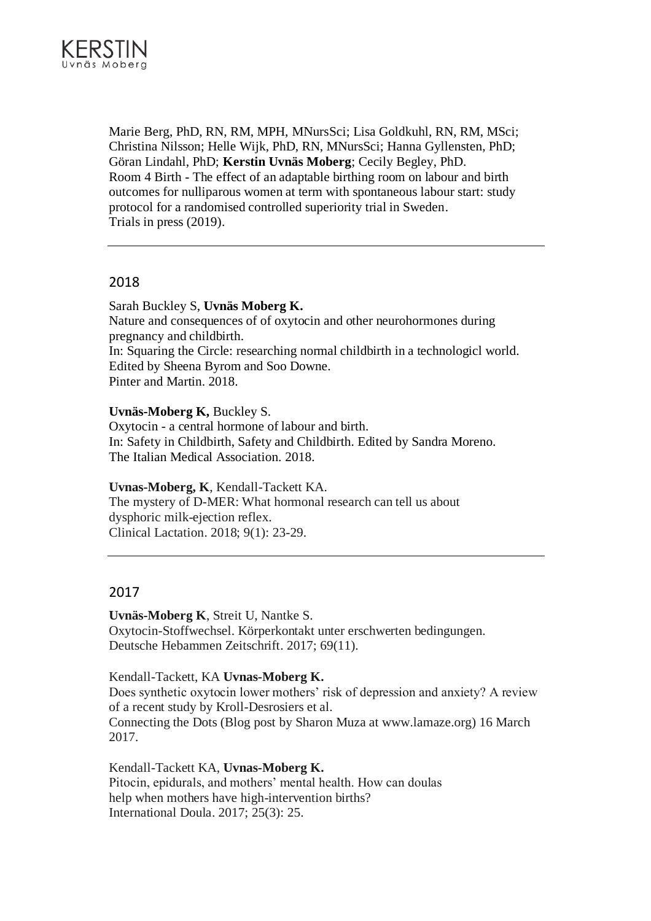

Marie Berg, PhD, RN, RM, MPH, MNursSci; Lisa Goldkuhl, RN, RM, MSci; Christina Nilsson; Helle Wijk, PhD, RN, MNursSci; Hanna Gyllensten, PhD; Göran Lindahl, PhD; **Kerstin Uvnäs Moberg**; Cecily Begley, PhD. Room 4 Birth - The effect of an adaptable birthing room on labour and birth outcomes for nulliparous women at term with spontaneous labour start: study protocol for a randomised controlled superiority trial in Sweden. Trials in press (2019).

## 2018

Sarah Buckley S, **Uvnäs Moberg K.** Nature and consequences of of oxytocin and other neurohormones during pregnancy and childbirth. In: Squaring the Circle: researching normal childbirth in a technologicl world. Edited by Sheena Byrom and Soo Downe. Pinter and Martin. 2018.

## **Uvnäs-Moberg K,** Buckley S.

Oxytocin - a central hormone of labour and birth. In: Safety in Childbirth, Safety and Childbirth. Edited by Sandra Moreno. The Italian Medical Association. 2018.

#### **Uvnas-Moberg, K**, Kendall-Tackett KA.

The mystery of D-MER: What hormonal research can tell us about dysphoric milk-ejection reflex. Clinical Lactation. 2018; 9(1): 23-29.

## 2017

**Uvnäs-Moberg K**, Streit U, Nantke S. Oxytocin-Stoffwechsel. Körperkontakt unter erschwerten bedingungen. Deutsche Hebammen Zeitschrift. 2017; 69(11).

Kendall-Tackett, KA **Uvnas-Moberg K.** Does synthetic oxytocin lower mothers' risk of depression and anxiety? A review of a recent study by Kroll-Desrosiers et al. Connecting the Dots (Blog post by Sharon Muza at www.lamaze.org) 16 March 2017.

Kendall-Tackett KA, **Uvnas-Moberg K.** Pitocin, epidurals, and mothers' mental health. How can doulas help when mothers have high-intervention births? International Doula. 2017; 25(3): 25.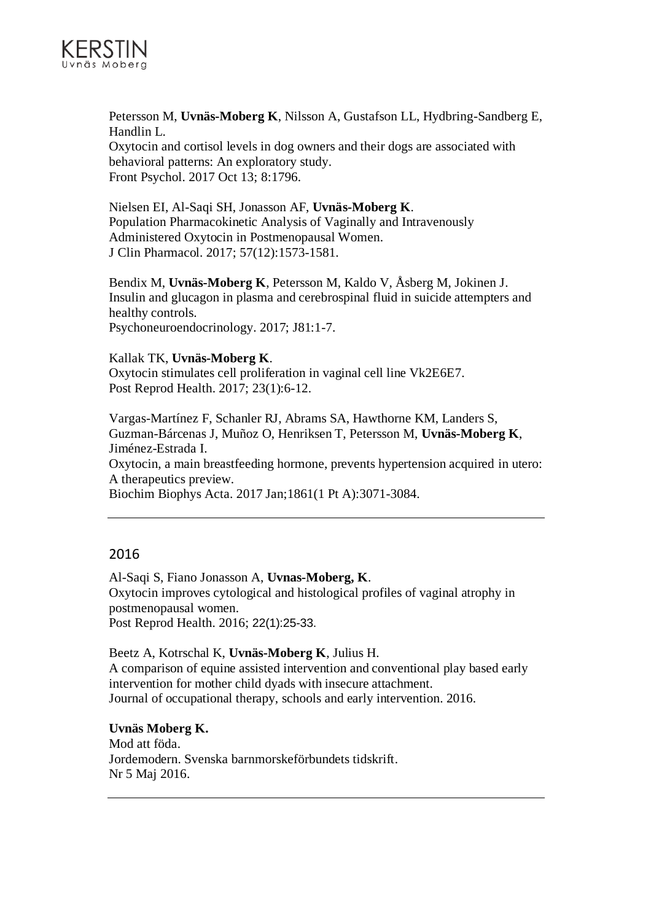

Petersson M, **Uvnäs-Moberg K**, Nilsson A, Gustafson LL, Hydbring-Sandberg E, Handlin L. Oxytocin and cortisol levels in dog owners and their dogs are associated with behavioral patterns: An exploratory study.

Front Psychol. 2017 Oct 13; 8:1796.

Nielsen EI, Al-Saqi SH, Jonasson AF, **Uvnäs-Moberg K**. Population Pharmacokinetic Analysis of Vaginally and Intravenously Administered Oxytocin in Postmenopausal Women. J Clin Pharmacol. 2017; 57(12):1573-1581.

Bendix M, **Uvnäs-Moberg K**, Petersson M, Kaldo V, Åsberg M, Jokinen J. Insulin and glucagon in plasma and cerebrospinal fluid in suicide attempters and healthy controls. Psychoneuroendocrinology. 2017; J81:1-7.

## Kallak TK, **Uvnäs-Moberg K**.

Oxytocin stimulates cell proliferation in vaginal cell line Vk2E6E7. Post Reprod Health. 2017; 23(1):6-12.

Vargas-Martínez F, Schanler RJ, Abrams SA, Hawthorne KM, Landers S, Guzman-Bárcenas J, Muñoz O, Henriksen T, Petersson M, **Uvnäs-Moberg K**, Jiménez-Estrada I. Oxytocin, a main breastfeeding hormone, prevents hypertension acquired in utero: A therapeutics preview.

Biochim Biophys Acta. 2017 Jan;1861(1 Pt A):3071-3084.

## 2016

Al-Saqi S, Fiano Jonasson A, **Uvnas-Moberg, K**. Oxytocin improves cytological and histological profiles of vaginal atrophy in postmenopausal women. Post Reprod Health. 2016; 22(1):25-33.

Beetz A, Kotrschal K, **Uvnäs-Moberg K**, Julius H. A comparison of equine assisted intervention and conventional play based early intervention for mother child dyads with insecure attachment. Journal of occupational therapy, schools and early intervention. 2016.

**Uvnäs Moberg K.** Mod att föda. Jordemodern. Svenska barnmorskeförbundets tidskrift. Nr 5 Maj 2016.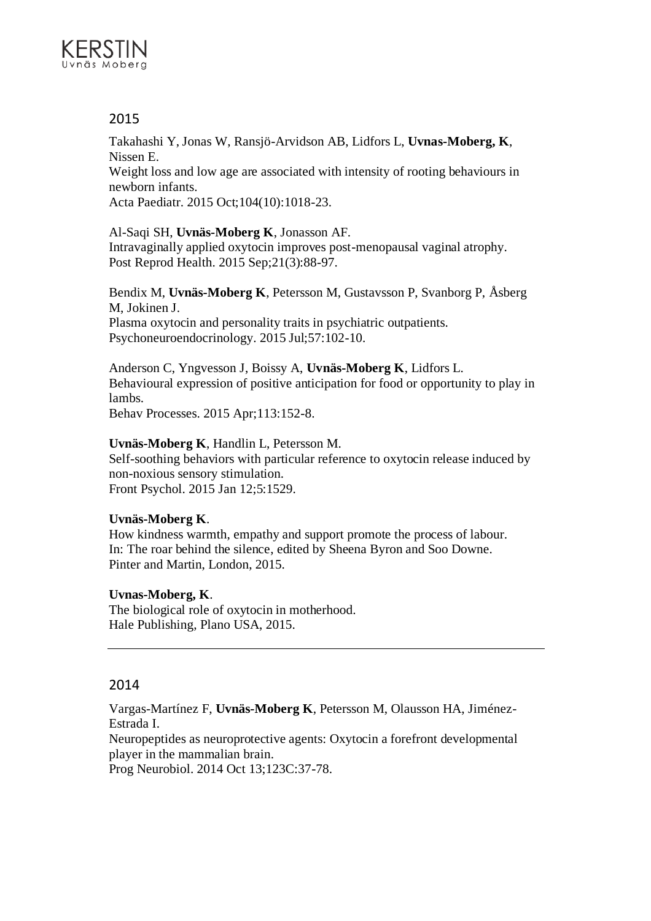

Takahashi Y, Jonas W, Ransjö-Arvidson AB, Lidfors L, **Uvnas-Moberg, K**, Nissen E.

Weight loss and low age are associated with intensity of rooting behaviours in newborn infants.

Acta Paediatr. 2015 Oct;104(10):1018-23.

Al-Saqi SH, **Uvnäs-Moberg K**, Jonasson AF. Intravaginally applied oxytocin improves post-menopausal vaginal atrophy. Post Reprod Health. 2015 Sep;21(3):88-97.

Bendix M, **Uvnäs-Moberg K**, Petersson M, Gustavsson P, Svanborg P, Åsberg M, Jokinen J. Plasma oxytocin and personality traits in psychiatric outpatients. Psychoneuroendocrinology. 2015 Jul;57:102-10.

Anderson C, Yngvesson J, Boissy A, **Uvnäs-Moberg K**, Lidfors L. Behavioural expression of positive anticipation for food or opportunity to play in lambs.

Behav Processes. 2015 Apr;113:152-8.

## **Uvnäs-Moberg K**, Handlin L, Petersson M.

Self-soothing behaviors with particular reference to oxytocin release induced by non-noxious sensory stimulation. Front Psychol. 2015 Jan 12;5:1529.

## **Uvnäs-Moberg K**.

How kindness warmth, empathy and support promote the process of labour. In: The roar behind the silence, edited by Sheena Byron and Soo Downe. Pinter and Martin, London, 2015.

## **Uvnas-Moberg, K**.

The biological role of oxytocin in motherhood. Hale Publishing, Plano USA, 2015.

## 2014

Vargas-Martínez F, **Uvnäs-Moberg K**, Petersson M, Olausson HA, Jiménez-Estrada I. Neuropeptides as neuroprotective agents: Oxytocin a forefront developmental

player in the mammalian brain.

Prog Neurobiol. 2014 Oct 13;123C:37-78.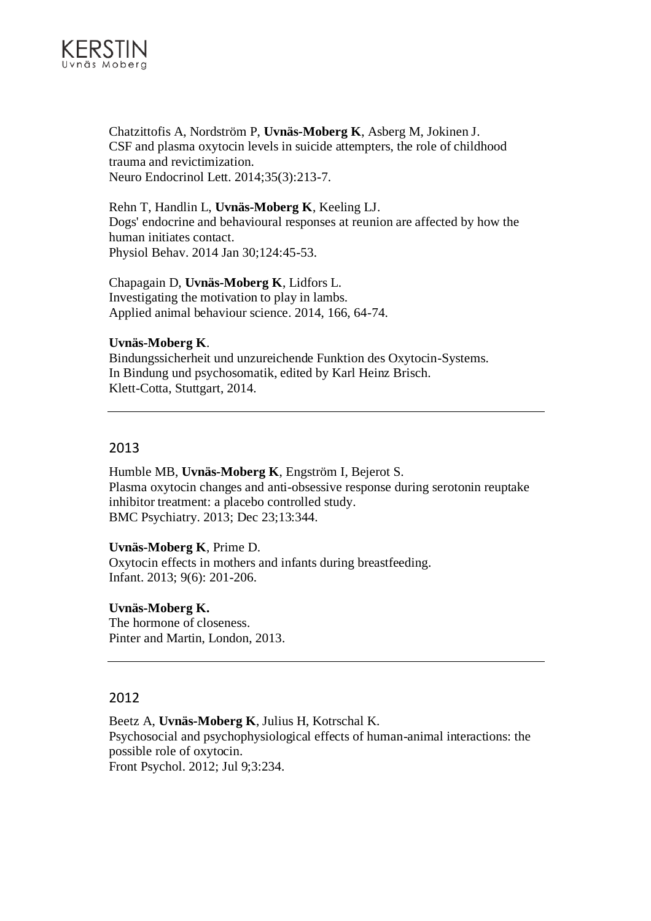

Chatzittofis A, Nordström P, **Uvnäs-Moberg K**, Asberg M, Jokinen J. CSF and plasma oxytocin levels in suicide attempters, the role of childhood trauma and revictimization. Neuro Endocrinol Lett. 2014;35(3):213-7.

Rehn T, Handlin L, **Uvnäs-Moberg K**, Keeling LJ. Dogs' endocrine and behavioural responses at reunion are affected by how the human initiates contact. Physiol Behav. 2014 Jan 30;124:45-53.

Chapagain D, **Uvnäs-Moberg K**, Lidfors L. Investigating the motivation to play in lambs. Applied animal behaviour science. 2014, 166, 64-74.

## **Uvnäs-Moberg K**.

Bindungssicherheit und unzureichende Funktion des Oxytocin-Systems. In Bindung und psychosomatik, edited by Karl Heinz Brisch. Klett-Cotta, Stuttgart, 2014.

## 2013

Humble MB, **Uvnäs-Moberg K**, Engström I, Bejerot S. Plasma oxytocin changes and anti-obsessive response during serotonin reuptake inhibitor treatment: a placebo controlled study. BMC Psychiatry. 2013; Dec 23;13:344.

## **Uvnäs-Moberg K**, Prime D.

Oxytocin effects in mothers and infants during breastfeeding. Infant. 2013; 9(6): 201-206.

## **Uvnäs-Moberg K.**

The hormone of closeness. Pinter and Martin, London, 2013.

## 2012

Beetz A, **Uvnäs-Moberg K**, Julius H, Kotrschal K. Psychosocial and psychophysiological effects of human-animal interactions: the possible role of oxytocin. Front Psychol. 2012; Jul 9;3:234.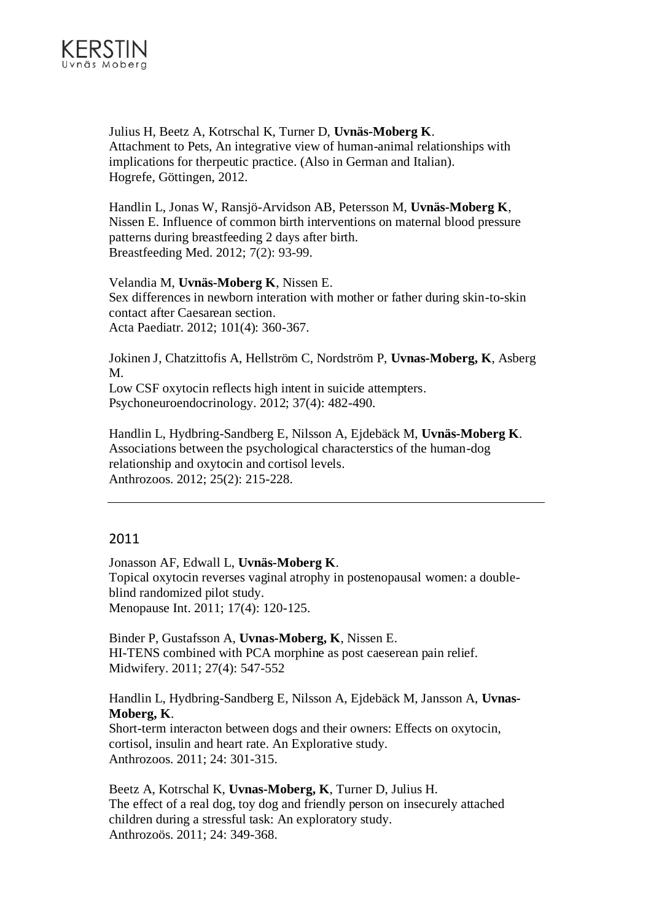

Julius H, Beetz A, Kotrschal K, Turner D, **Uvnäs-Moberg K**. Attachment to Pets, An integrative view of human-animal relationships with implications for therpeutic practice. (Also in German and Italian). Hogrefe, Göttingen, 2012.

Handlin L, Jonas W, Ransjö-Arvidson AB, Petersson M, **Uvnäs-Moberg K**, Nissen E. Influence of common birth interventions on maternal blood pressure patterns during breastfeeding 2 days after birth. Breastfeeding Med. 2012; 7(2): 93-99.

Velandia M, **Uvnäs-Moberg K**, Nissen E. Sex differences in newborn interation with mother or father during skin-to-skin contact after Caesarean section. Acta Paediatr. 2012; 101(4): 360-367.

Jokinen J, Chatzittofis A, Hellström C, Nordström P, **Uvnas-Moberg, K**, Asberg M. Low CSF oxytocin reflects high intent in suicide attempters.

Psychoneuroendocrinology. 2012; 37(4): 482-490.

Handlin L, Hydbring-Sandberg E, Nilsson A, Ejdebäck M, **Uvnäs-Moberg K**. Associations between the psychological characterstics of the human-dog relationship and oxytocin and cortisol levels. Anthrozoos. 2012; 25(2): 215-228.

## 2011

Jonasson AF, Edwall L, **Uvnäs-Moberg K**. Topical oxytocin reverses vaginal atrophy in postenopausal women: a doubleblind randomized pilot study. Menopause Int. 2011; 17(4): 120-125.

Binder P, Gustafsson A, **Uvnas-Moberg, K**, Nissen E. HI-TENS combined with PCA morphine as post caeserean pain relief. Midwifery. 2011; 27(4): 547-552

Handlin L, Hydbring-Sandberg E, Nilsson A, Ejdebäck M, Jansson A, **Uvnas-Moberg, K**.

Short-term interacton between dogs and their owners: Effects on oxytocin, cortisol, insulin and heart rate. An Explorative study. Anthrozoos. 2011; 24: 301-315.

Beetz A, Kotrschal K, **Uvnas-Moberg, K**, Turner D, Julius H. The effect of a real dog, toy dog and friendly person on insecurely attached children during a stressful task: An exploratory study. Anthrozoös. 2011; 24: 349-368.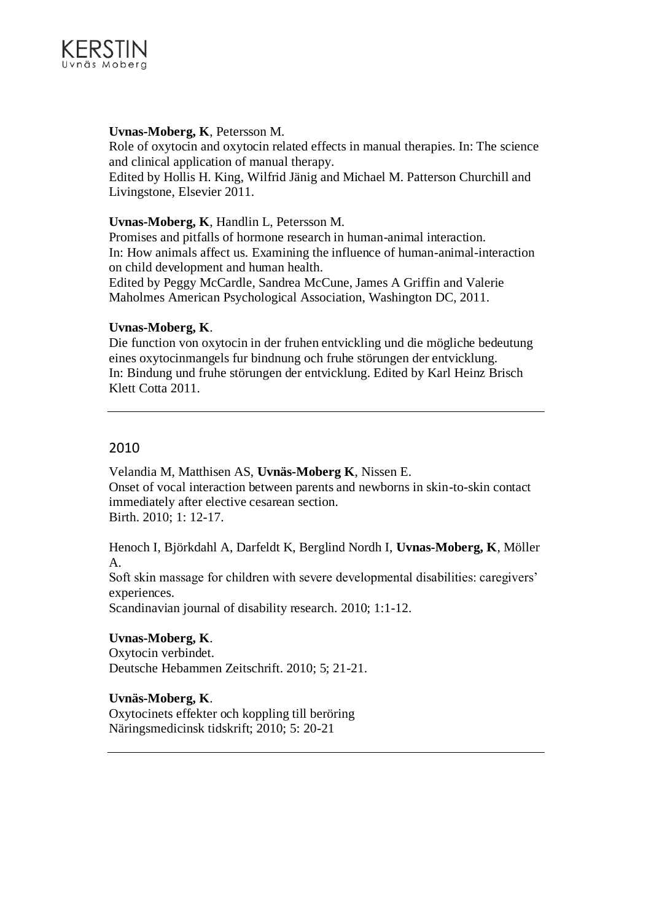

## **Uvnas-Moberg, K**, Petersson M.

Role of oxytocin and oxytocin related effects in manual therapies. In: The science and clinical application of manual therapy. Edited by Hollis H. King, Wilfrid Jänig and Michael M. Patterson Churchill and

Livingstone, Elsevier 2011.

## **Uvnas-Moberg, K**, Handlin L, Petersson M.

Promises and pitfalls of hormone research in human-animal interaction. In: How animals affect us. Examining the influence of human-animal-interaction on child development and human health.

Edited by Peggy McCardle, Sandrea McCune, James A Griffin and Valerie Maholmes American Psychological Association, Washington DC, 2011.

## **Uvnas-Moberg, K**.

Die function von oxytocin in der fruhen entvickling und die mögliche bedeutung eines oxytocinmangels fur bindnung och fruhe störungen der entvicklung. In: Bindung und fruhe störungen der entvicklung. Edited by Karl Heinz Brisch Klett Cotta 2011.

## 2010

Velandia M, Matthisen AS, **Uvnäs-Moberg K**, Nissen E. Onset of vocal interaction between parents and newborns in skin-to-skin contact immediately after elective cesarean section. Birth. 2010; 1: 12-17.

Henoch I, Björkdahl A, Darfeldt K, Berglind Nordh I, **Uvnas-Moberg, K**, Möller A.

Soft skin massage for children with severe developmental disabilities: caregivers' experiences.

Scandinavian journal of disability research. 2010; 1:1-12.

## **Uvnas-Moberg, K**.

Oxytocin verbindet. Deutsche Hebammen Zeitschrift. 2010; 5; 21-21.

## **Uvnäs-Moberg, K**.

Oxytocinets effekter och koppling till beröring Näringsmedicinsk tidskrift; 2010; 5: 20-21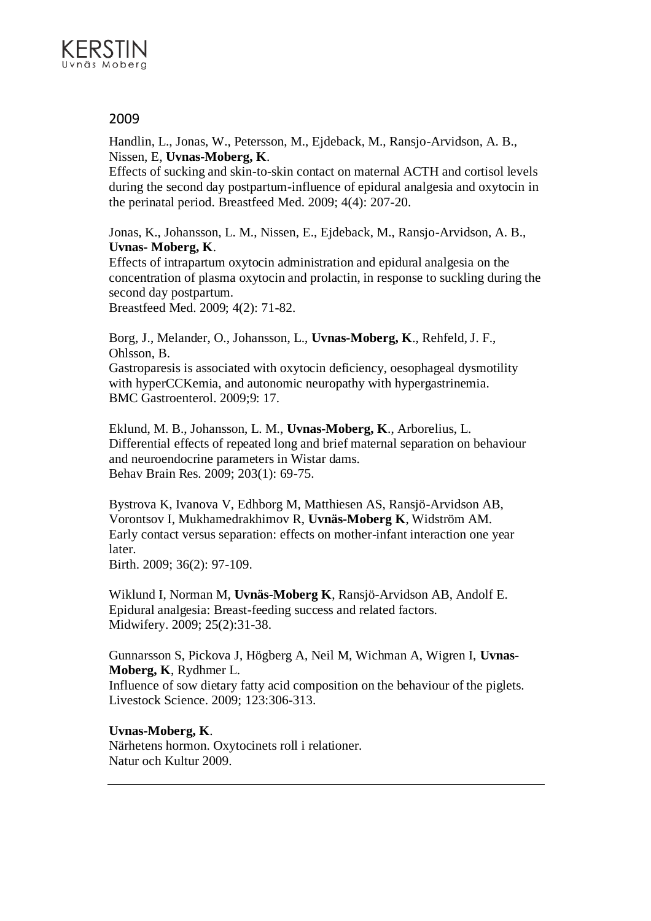

Handlin, L., Jonas, W., Petersson, M., Ejdeback, M., Ransjo-Arvidson, A. B., Nissen, E, **Uvnas-Moberg, K**.

Effects of sucking and skin-to-skin contact on maternal ACTH and cortisol levels during the second day postpartum-influence of epidural analgesia and oxytocin in the perinatal period. Breastfeed Med. 2009; 4(4): 207-20.

Jonas, K., Johansson, L. M., Nissen, E., Ejdeback, M., Ransjo-Arvidson, A. B., **Uvnas- Moberg, K**.

Effects of intrapartum oxytocin administration and epidural analgesia on the concentration of plasma oxytocin and prolactin, in response to suckling during the second day postpartum.

Breastfeed Med. 2009; 4(2): 71-82.

Borg, J., Melander, O., Johansson, L., **Uvnas-Moberg, K**., Rehfeld, J. F., Ohlsson, B.

Gastroparesis is associated with oxytocin deficiency, oesophageal dysmotility with hyperCCKemia, and autonomic neuropathy with hypergastrinemia. BMC Gastroenterol. 2009;9: 17.

Eklund, M. B., Johansson, L. M., **Uvnas-Moberg, K**., Arborelius, L. Differential effects of repeated long and brief maternal separation on behaviour and neuroendocrine parameters in Wistar dams. Behav Brain Res. 2009; 203(1): 69-75.

Bystrova K, Ivanova V, Edhborg M, Matthiesen AS, Ransjö-Arvidson AB, Vorontsov I, Mukhamedrakhimov R, **Uvnäs-Moberg K**, Widström AM. Early contact versus separation: effects on mother-infant interaction one year later.

Birth. 2009; 36(2): 97-109.

Wiklund I, Norman M, **Uvnäs-Moberg K**, Ransjö-Arvidson AB, Andolf E. Epidural analgesia: Breast-feeding success and related factors. Midwifery. 2009; 25(2):31-38.

Gunnarsson S, Pickova J, Högberg A, Neil M, Wichman A, Wigren I, **Uvnas-Moberg, K**, Rydhmer L.

Influence of sow dietary fatty acid composition on the behaviour of the piglets. Livestock Science. 2009; 123:306-313.

**Uvnas-Moberg, K**. Närhetens hormon. Oxytocinets roll i relationer. Natur och Kultur 2009.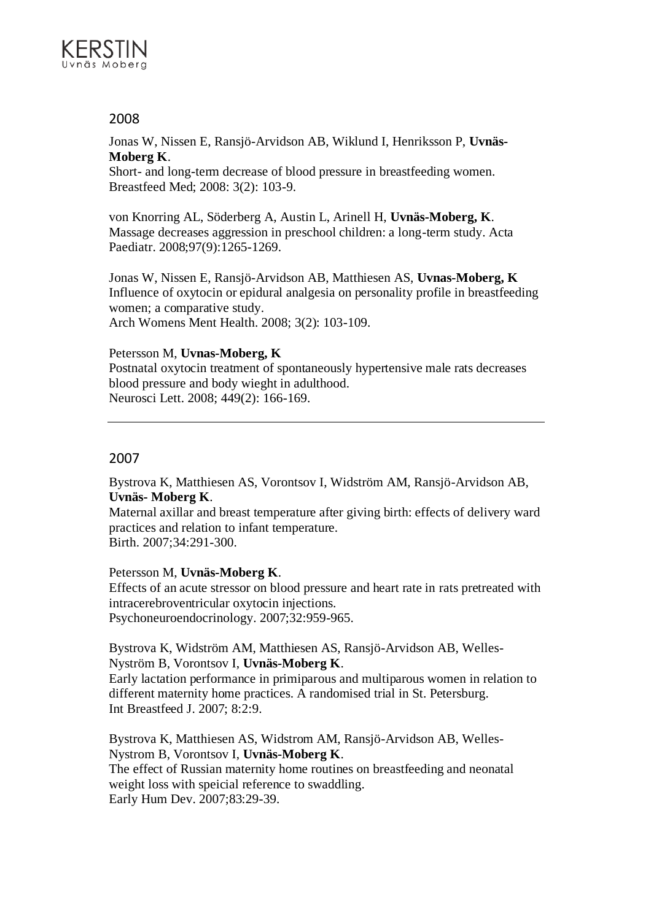

Jonas W, Nissen E, Ransjö-Arvidson AB, Wiklund I, Henriksson P, **Uvnäs-Moberg K**.

Short- and long-term decrease of blood pressure in breastfeeding women. Breastfeed Med; 2008: 3(2): 103-9.

von Knorring AL, Söderberg A, Austin L, Arinell H, **Uvnäs-Moberg, K**. Massage decreases aggression in preschool children: a long-term study. Acta Paediatr. 2008;97(9):1265-1269.

Jonas W, Nissen E, Ransjö-Arvidson AB, Matthiesen AS, **Uvnas-Moberg, K** Influence of oxytocin or epidural analgesia on personality profile in breastfeeding women; a comparative study. Arch Womens Ment Health. 2008; 3(2): 103-109.

## Petersson M, **Uvnas-Moberg, K**

Postnatal oxytocin treatment of spontaneously hypertensive male rats decreases blood pressure and body wieght in adulthood. Neurosci Lett. 2008; 449(2): 166-169.

## 2007

Bystrova K, Matthiesen AS, Vorontsov I, Widström AM, Ransjö-Arvidson AB, **Uvnäs- Moberg K**.

Maternal axillar and breast temperature after giving birth: effects of delivery ward practices and relation to infant temperature. Birth. 2007;34:291-300.

## Petersson M, **Uvnäs-Moberg K**.

Effects of an acute stressor on blood pressure and heart rate in rats pretreated with intracerebroventricular oxytocin injections. Psychoneuroendocrinology. 2007;32:959-965.

Bystrova K, Widström AM, Matthiesen AS, Ransjö-Arvidson AB, Welles-Nyström B, Vorontsov I, **Uvnäs-Moberg K**.

Early lactation performance in primiparous and multiparous women in relation to different maternity home practices. A randomised trial in St. Petersburg. Int Breastfeed J. 2007; 8:2:9.

Bystrova K, Matthiesen AS, Widstrom AM, Ransjö-Arvidson AB, Welles-Nystrom B, Vorontsov I, **Uvnäs-Moberg K**. The effect of Russian maternity home routines on breastfeeding and neonatal weight loss with speicial reference to swaddling. Early Hum Dev. 2007;83:29-39.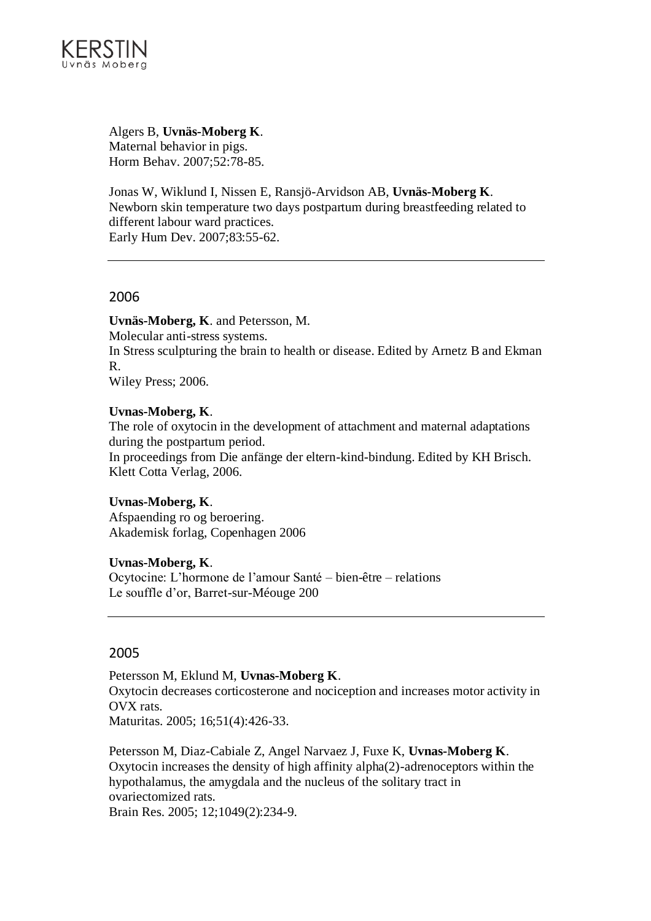

Algers B, **Uvnäs-Moberg K**. Maternal behavior in pigs. Horm Behav. 2007;52:78-85.

Jonas W, Wiklund I, Nissen E, Ransjö-Arvidson AB, **Uvnäs-Moberg K**. Newborn skin temperature two days postpartum during breastfeeding related to different labour ward practices. Early Hum Dev. 2007;83:55-62.

## 2006

**Uvnäs-Moberg, K**. and Petersson, M. Molecular anti-stress systems. In Stress sculpturing the brain to health or disease. Edited by Arnetz B and Ekman R. Wiley Press; 2006.

## **Uvnas-Moberg, K**.

The role of oxytocin in the development of attachment and maternal adaptations during the postpartum period.

In proceedings from Die anfänge der eltern-kind-bindung. Edited by KH Brisch. Klett Cotta Verlag, 2006.

## **Uvnas-Moberg, K**.

Afspaending ro og beroering. Akademisk forlag, Copenhagen 2006

#### **Uvnas-Moberg, K**.

Ocytocine: L'hormone de l'amour Santé – bien-être – relations Le souffle d'or, Barret-sur-Méouge 200

## 2005

Petersson M, Eklund M, **Uvnas-Moberg K**.

Oxytocin decreases corticosterone and nociception and increases motor activity in OVX rats. Maturitas. 2005; 16;51(4):426-33.

Petersson M, Diaz-Cabiale Z, Angel Narvaez J, Fuxe K, **Uvnas-Moberg K**. Oxytocin increases the density of high affinity alpha(2)-adrenoceptors within the hypothalamus, the amygdala and the nucleus of the solitary tract in ovariectomized rats. Brain Res. 2005; 12;1049(2):234-9.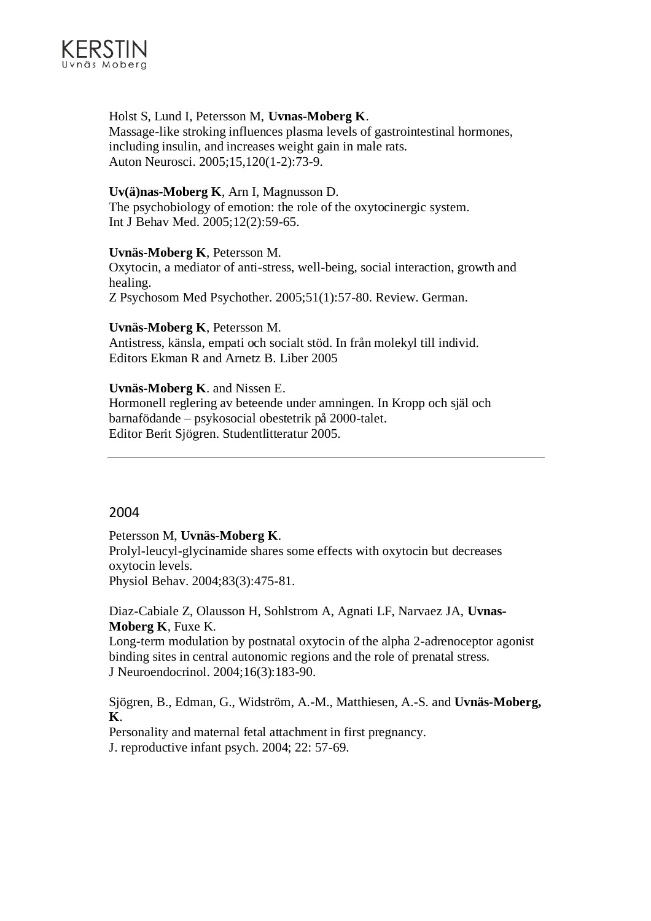

## Holst S, Lund I, Petersson M, **Uvnas-Moberg K**.

Massage-like stroking influences plasma levels of gastrointestinal hormones, including insulin, and increases weight gain in male rats. Auton Neurosci. 2005;15,120(1-2):73-9.

## **Uv(ä)nas-Moberg K**, Arn I, Magnusson D.

The psychobiology of emotion: the role of the oxytocinergic system. Int J Behav Med. 2005;12(2):59-65.

#### **Uvnäs-Moberg K**, Petersson M.

Oxytocin, a mediator of anti-stress, well-being, social interaction, growth and healing.

Z Psychosom Med Psychother. 2005;51(1):57-80. Review. German.

## **Uvnäs-Moberg K**, Petersson M.

Antistress, känsla, empati och socialt stöd. In från molekyl till individ. Editors Ekman R and Arnetz B. Liber 2005

## **Uvnäs-Moberg K**. and Nissen E.

Hormonell reglering av beteende under amningen. In Kropp och själ och barnafödande – psykosocial obestetrik på 2000-talet. Editor Berit Sjögren. Studentlitteratur 2005.

## 2004

Petersson M, **Uvnäs-Moberg K**.

Prolyl-leucyl-glycinamide shares some effects with oxytocin but decreases oxytocin levels.

Physiol Behav. 2004;83(3):475-81.

Diaz-Cabiale Z, Olausson H, Sohlstrom A, Agnati LF, Narvaez JA, **Uvnas-Moberg K**, Fuxe K.

Long-term modulation by postnatal oxytocin of the alpha 2-adrenoceptor agonist binding sites in central autonomic regions and the role of prenatal stress. J Neuroendocrinol. 2004;16(3):183-90.

Sjögren, B., Edman, G., Widström, A.-M., Matthiesen, A.-S. and **Uvnäs-Moberg, K**.

Personality and maternal fetal attachment in first pregnancy. J. reproductive infant psych. 2004; 22: 57-69.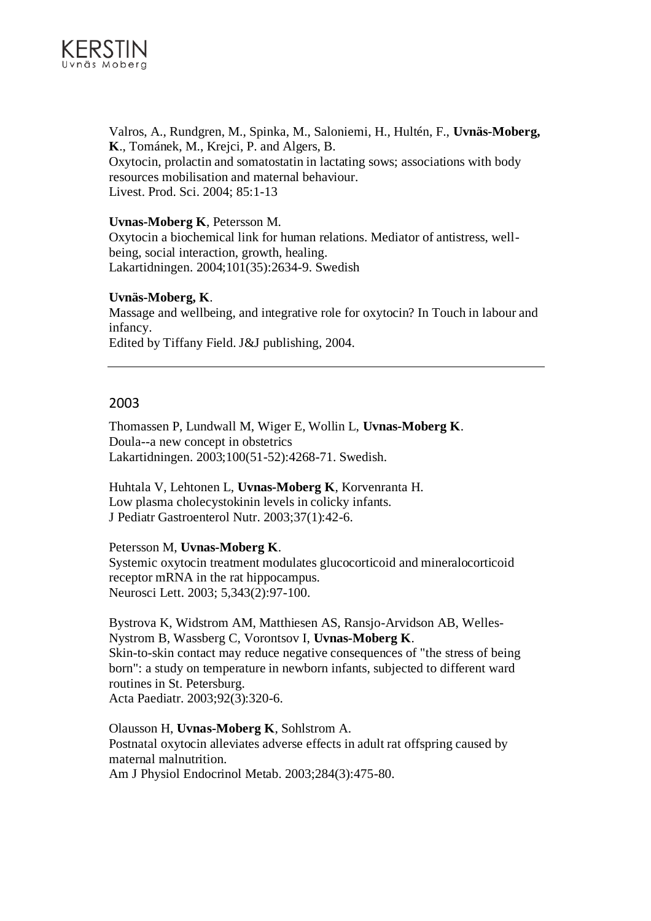

Valros, A., Rundgren, M., Spinka, M., Saloniemi, H., Hultén, F., **Uvnäs-Moberg, K**., Tománek, M., Krejci, P. and Algers, B. Oxytocin, prolactin and somatostatin in lactating sows; associations with body resources mobilisation and maternal behaviour. Livest. Prod. Sci. 2004; 85:1-13

#### **Uvnas-Moberg K**, Petersson M.

Oxytocin a biochemical link for human relations. Mediator of antistress, wellbeing, social interaction, growth, healing. Lakartidningen. 2004;101(35):2634-9. Swedish

## **Uvnäs-Moberg, K**.

Massage and wellbeing, and integrative role for oxytocin? In Touch in labour and infancy. Edited by Tiffany Field. J&J publishing, 2004.

## 2003

Thomassen P, Lundwall M, Wiger E, Wollin L, **Uvnas-Moberg K**. Doula--a new concept in obstetrics Lakartidningen. 2003;100(51-52):4268-71. Swedish.

Huhtala V, Lehtonen L, **Uvnas-Moberg K**, Korvenranta H. Low plasma cholecystokinin levels in colicky infants. J Pediatr Gastroenterol Nutr. 2003;37(1):42-6.

Petersson M, **Uvnas-Moberg K**. Systemic oxytocin treatment modulates glucocorticoid and mineralocorticoid receptor mRNA in the rat hippocampus.

Neurosci Lett. 2003; 5,343(2):97-100.

Bystrova K, Widstrom AM, Matthiesen AS, Ransjo-Arvidson AB, Welles-Nystrom B, Wassberg C, Vorontsov I, **Uvnas-Moberg K**. Skin-to-skin contact may reduce negative consequences of "the stress of being born": a study on temperature in newborn infants, subjected to different ward routines in St. Petersburg. Acta Paediatr. 2003;92(3):320-6.

Olausson H, **Uvnas-Moberg K**, Sohlstrom A. Postnatal oxytocin alleviates adverse effects in adult rat offspring caused by maternal malnutrition. Am J Physiol Endocrinol Metab. 2003;284(3):475-80.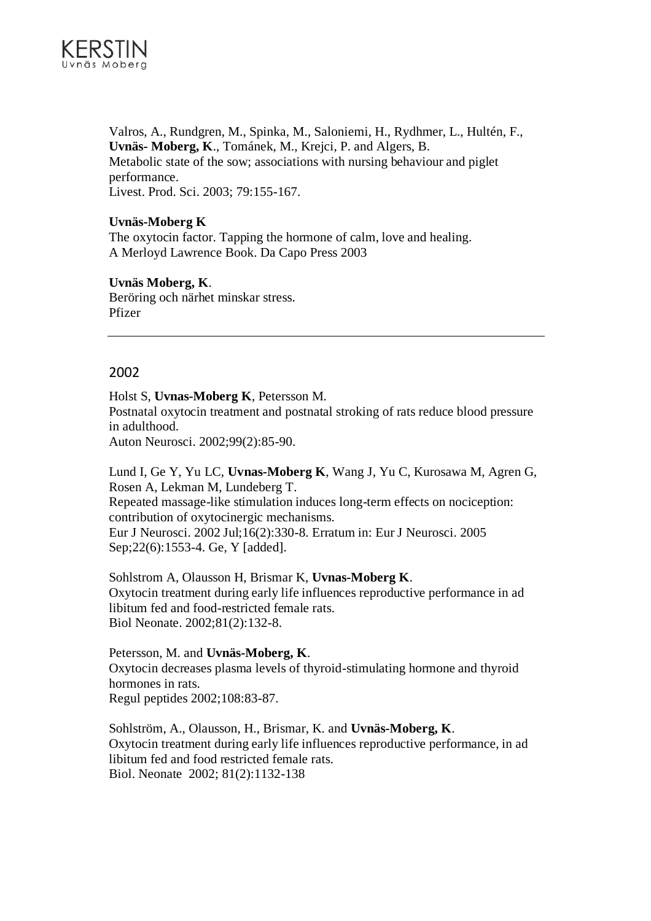

Valros, A., Rundgren, M., Spinka, M., Saloniemi, H., Rydhmer, L., Hultén, F., **Uvnäs- Moberg, K**., Tománek, M., Krejci, P. and Algers, B. Metabolic state of the sow; associations with nursing behaviour and piglet performance. Livest. Prod. Sci. 2003; 79:155-167.

## **Uvnäs-Moberg K**

The oxytocin factor. Tapping the hormone of calm, love and healing. A Merloyd Lawrence Book. Da Capo Press 2003

## **Uvnäs Moberg, K**.

Beröring och närhet minskar stress. Pfizer

## 2002

Holst S, **Uvnas-Moberg K**, Petersson M. Postnatal oxytocin treatment and postnatal stroking of rats reduce blood pressure in adulthood. Auton Neurosci. 2002;99(2):85-90.

Lund I, Ge Y, Yu LC, **Uvnas-Moberg K**, Wang J, Yu C, Kurosawa M, Agren G, Rosen A, Lekman M, Lundeberg T. Repeated massage-like stimulation induces long-term effects on nociception: contribution of oxytocinergic mechanisms. Eur J Neurosci. 2002 Jul;16(2):330-8. Erratum in: Eur J Neurosci. 2005 Sep;22(6):1553-4. Ge, Y [added].

Sohlstrom A, Olausson H, Brismar K, **Uvnas-Moberg K**. Oxytocin treatment during early life influences reproductive performance in ad libitum fed and food-restricted female rats. Biol Neonate. 2002;81(2):132-8.

Petersson, M. and **Uvnäs-Moberg, K**. Oxytocin decreases plasma levels of thyroid-stimulating hormone and thyroid hormones in rats. Regul peptides 2002;108:83-87.

Sohlström, A., Olausson, H., Brismar, K. and **Uvnäs-Moberg, K**. Oxytocin treatment during early life influences reproductive performance, in ad libitum fed and food restricted female rats. Biol. Neonate 2002; 81(2):1132-138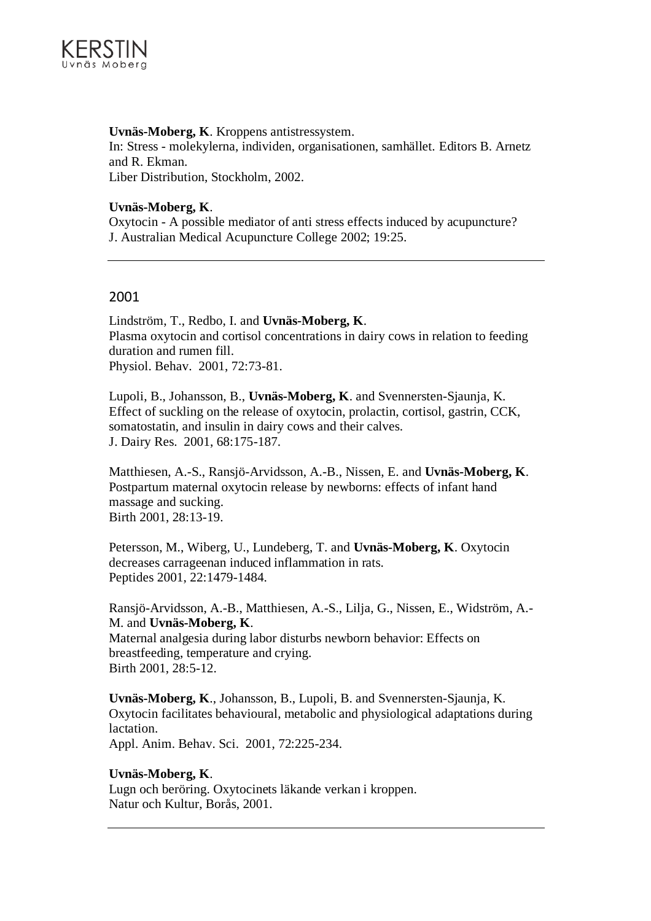

## **Uvnäs-Moberg, K**. Kroppens antistressystem.

In: Stress - molekylerna, individen, organisationen, samhället. Editors B. Arnetz and R. Ekman. Liber Distribution, Stockholm, 2002.

#### **Uvnäs-Moberg, K**.

Oxytocin - A possible mediator of anti stress effects induced by acupuncture? J. Australian Medical Acupuncture College 2002; 19:25.

## 2001

Lindström, T., Redbo, I. and **Uvnäs-Moberg, K**. Plasma oxytocin and cortisol concentrations in dairy cows in relation to feeding duration and rumen fill. Physiol. Behav. 2001, 72:73-81.

Lupoli, B., Johansson, B., **Uvnäs-Moberg, K**. and Svennersten-Sjaunja, K. Effect of suckling on the release of oxytocin, prolactin, cortisol, gastrin, CCK, somatostatin, and insulin in dairy cows and their calves. J. Dairy Res. 2001, 68:175-187.

Matthiesen, A.-S., Ransjö-Arvidsson, A.-B., Nissen, E. and **Uvnäs-Moberg, K**. Postpartum maternal oxytocin release by newborns: effects of infant hand massage and sucking. Birth 2001, 28:13-19.

Petersson, M., Wiberg, U., Lundeberg, T. and **Uvnäs-Moberg, K**. Oxytocin decreases carrageenan induced inflammation in rats. Peptides 2001, 22:1479-1484.

Ransjö-Arvidsson, A.-B., Matthiesen, A.-S., Lilja, G., Nissen, E., Widström, A.- M. and **Uvnäs-Moberg, K**. Maternal analgesia during labor disturbs newborn behavior: Effects on breastfeeding, temperature and crying. Birth 2001, 28:5-12.

**Uvnäs-Moberg, K**., Johansson, B., Lupoli, B. and Svennersten-Sjaunja, K. Oxytocin facilitates behavioural, metabolic and physiological adaptations during lactation.

Appl. Anim. Behav. Sci. 2001, 72:225-234.

#### **Uvnäs-Moberg, K**.

Lugn och beröring. Oxytocinets läkande verkan i kroppen. Natur och Kultur, Borås, 2001.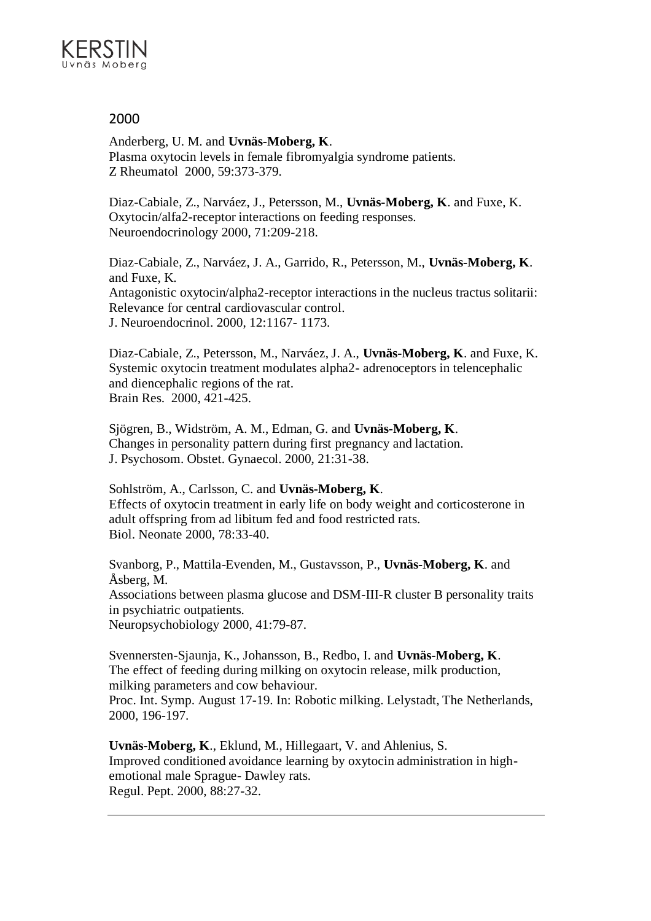

Anderberg, U. M. and **Uvnäs-Moberg, K**. Plasma oxytocin levels in female fibromyalgia syndrome patients. Z Rheumatol 2000, 59:373-379.

Diaz-Cabiale, Z., Narváez, J., Petersson, M., **Uvnäs-Moberg, K**. and Fuxe, K. Oxytocin/alfa2-receptor interactions on feeding responses. Neuroendocrinology 2000, 71:209-218.

Diaz-Cabiale, Z., Narváez, J. A., Garrido, R., Petersson, M., **Uvnäs-Moberg, K**. and Fuxe, K. Antagonistic oxytocin/alpha2-receptor interactions in the nucleus tractus solitarii: Relevance for central cardiovascular control. J. Neuroendocrinol. 2000, 12:1167- 1173.

Diaz-Cabiale, Z., Petersson, M., Narváez, J. A., **Uvnäs-Moberg, K**. and Fuxe, K. Systemic oxytocin treatment modulates alpha2- adrenoceptors in telencephalic and diencephalic regions of the rat. Brain Res. 2000, 421-425.

Sjögren, B., Widström, A. M., Edman, G. and **Uvnäs-Moberg, K**. Changes in personality pattern during first pregnancy and lactation. J. Psychosom. Obstet. Gynaecol. 2000, 21:31-38.

Sohlström, A., Carlsson, C. and **Uvnäs-Moberg, K**. Effects of oxytocin treatment in early life on body weight and corticosterone in adult offspring from ad libitum fed and food restricted rats. Biol. Neonate 2000, 78:33-40.

Svanborg, P., Mattila-Evenden, M., Gustavsson, P., **Uvnäs-Moberg, K**. and Åsberg, M. Associations between plasma glucose and DSM-III-R cluster B personality traits in psychiatric outpatients. Neuropsychobiology 2000, 41:79-87.

Svennersten-Sjaunja, K., Johansson, B., Redbo, I. and **Uvnäs-Moberg, K**. The effect of feeding during milking on oxytocin release, milk production, milking parameters and cow behaviour. Proc. Int. Symp. August 17-19. In: Robotic milking. Lelystadt, The Netherlands, 2000, 196-197.

**Uvnäs-Moberg, K**., Eklund, M., Hillegaart, V. and Ahlenius, S. Improved conditioned avoidance learning by oxytocin administration in highemotional male Sprague- Dawley rats. Regul. Pept. 2000, 88:27-32.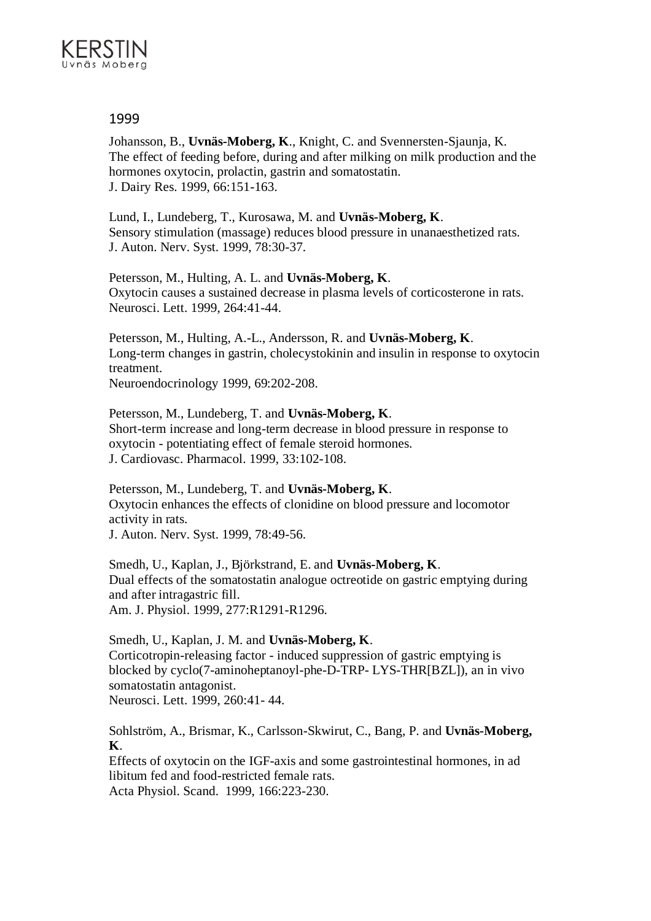

Johansson, B., **Uvnäs-Moberg, K**., Knight, C. and Svennersten-Sjaunja, K. The effect of feeding before, during and after milking on milk production and the hormones oxytocin, prolactin, gastrin and somatostatin. J. Dairy Res. 1999, 66:151-163.

Lund, I., Lundeberg, T., Kurosawa, M. and **Uvnäs-Moberg, K**. Sensory stimulation (massage) reduces blood pressure in unanaesthetized rats. J. Auton. Nerv. Syst. 1999, 78:30-37.

Petersson, M., Hulting, A. L. and **Uvnäs-Moberg, K**. Oxytocin causes a sustained decrease in plasma levels of corticosterone in rats. Neurosci. Lett. 1999, 264:41-44.

Petersson, M., Hulting, A.-L., Andersson, R. and **Uvnäs-Moberg, K**. Long-term changes in gastrin, cholecystokinin and insulin in response to oxytocin treatment.

Neuroendocrinology 1999, 69:202-208.

Petersson, M., Lundeberg, T. and **Uvnäs-Moberg, K**. Short-term increase and long-term decrease in blood pressure in response to oxytocin - potentiating effect of female steroid hormones. J. Cardiovasc. Pharmacol. 1999, 33:102-108.

Petersson, M., Lundeberg, T. and **Uvnäs-Moberg, K**. Oxytocin enhances the effects of clonidine on blood pressure and locomotor activity in rats.

J. Auton. Nerv. Syst. 1999, 78:49-56.

Smedh, U., Kaplan, J., Björkstrand, E. and **Uvnäs-Moberg, K**. Dual effects of the somatostatin analogue octreotide on gastric emptying during and after intragastric fill. Am. J. Physiol. 1999, 277:R1291-R1296.

Smedh, U., Kaplan, J. M. and **Uvnäs-Moberg, K**. Corticotropin-releasing factor - induced suppression of gastric emptying is blocked by cyclo(7-aminoheptanoyl-phe-D-TRP- LYS-THR[BZL]), an in vivo somatostatin antagonist. Neurosci. Lett. 1999, 260:41- 44.

Sohlström, A., Brismar, K., Carlsson-Skwirut, C., Bang, P. and **Uvnäs-Moberg, K**.

Effects of oxytocin on the IGF-axis and some gastrointestinal hormones, in ad libitum fed and food-restricted female rats. Acta Physiol. Scand. 1999, 166:223-230.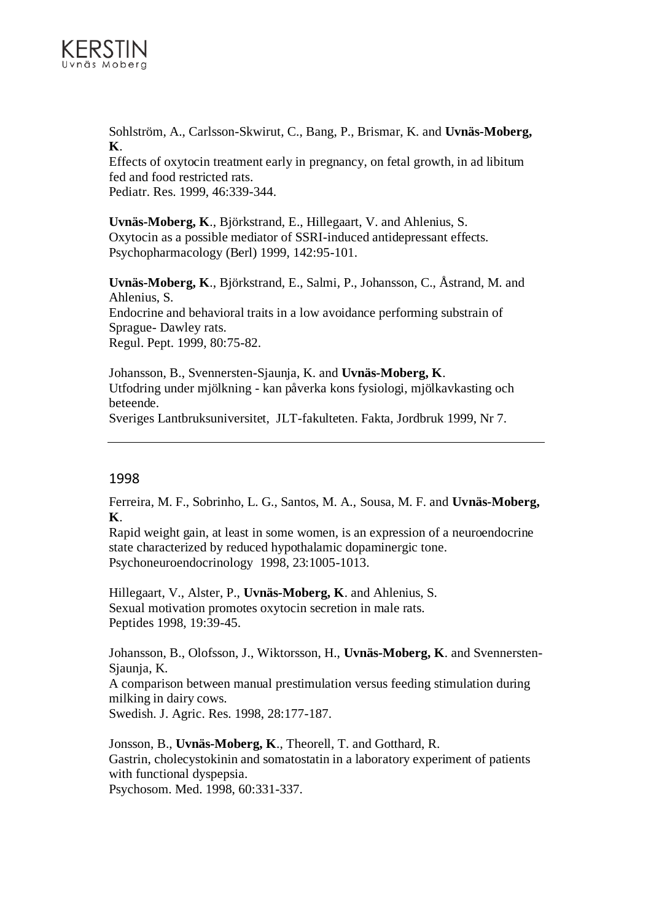

Sohlström, A., Carlsson-Skwirut, C., Bang, P., Brismar, K. and **Uvnäs-Moberg, K**.

Effects of oxytocin treatment early in pregnancy, on fetal growth, in ad libitum fed and food restricted rats.

Pediatr. Res. 1999, 46:339-344.

**Uvnäs-Moberg, K**., Björkstrand, E., Hillegaart, V. and Ahlenius, S. Oxytocin as a possible mediator of SSRI-induced antidepressant effects. Psychopharmacology (Berl) 1999, 142:95-101.

**Uvnäs-Moberg, K**., Björkstrand, E., Salmi, P., Johansson, C., Åstrand, M. and Ahlenius, S. Endocrine and behavioral traits in a low avoidance performing substrain of Sprague- Dawley rats. Regul. Pept. 1999, 80:75-82.

Johansson, B., Svennersten-Sjaunja, K. and **Uvnäs-Moberg, K**. Utfodring under mjölkning - kan påverka kons fysiologi, mjölkavkasting och beteende.

Sveriges Lantbruksuniversitet, JLT-fakulteten. Fakta, Jordbruk 1999, Nr 7.

## 1998

Ferreira, M. F., Sobrinho, L. G., Santos, M. A., Sousa, M. F. and **Uvnäs-Moberg, K**.

Rapid weight gain, at least in some women, is an expression of a neuroendocrine state characterized by reduced hypothalamic dopaminergic tone. Psychoneuroendocrinology 1998, 23:1005-1013.

Hillegaart, V., Alster, P., **Uvnäs-Moberg, K**. and Ahlenius, S. Sexual motivation promotes oxytocin secretion in male rats. Peptides 1998, 19:39-45.

Johansson, B., Olofsson, J., Wiktorsson, H., **Uvnäs-Moberg, K**. and Svennersten-Sjaunja, K.

A comparison between manual prestimulation versus feeding stimulation during milking in dairy cows.

Swedish. J. Agric. Res. 1998, 28:177-187.

Jonsson, B., **Uvnäs-Moberg, K**., Theorell, T. and Gotthard, R. Gastrin, cholecystokinin and somatostatin in a laboratory experiment of patients with functional dyspepsia.

Psychosom. Med. 1998, 60:331-337.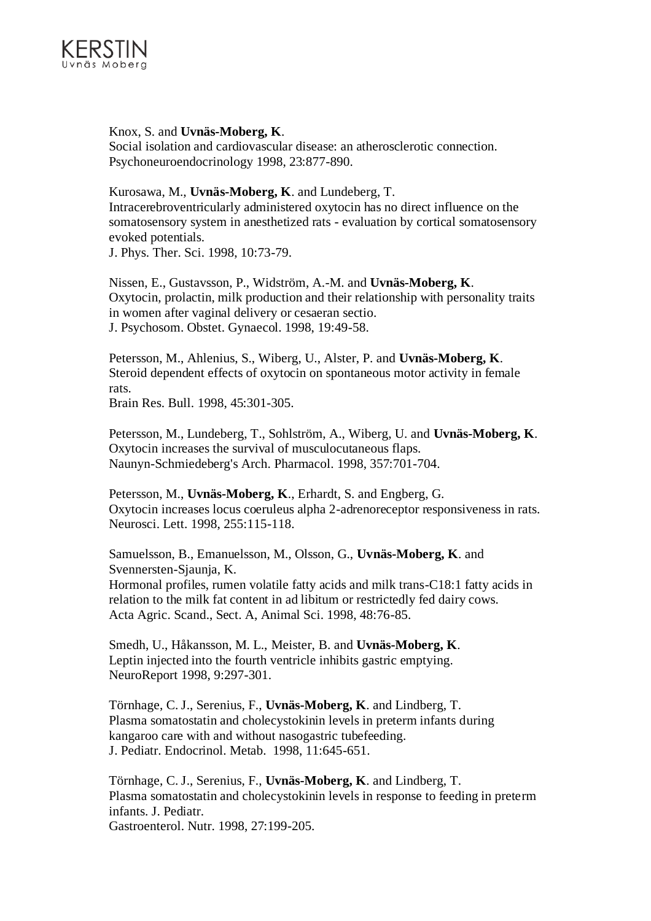

Knox, S. and **Uvnäs-Moberg, K**. Social isolation and cardiovascular disease: an atherosclerotic connection. Psychoneuroendocrinology 1998, 23:877-890.

Kurosawa, M., **Uvnäs-Moberg, K**. and Lundeberg, T. Intracerebroventricularly administered oxytocin has no direct influence on the somatosensory system in anesthetized rats - evaluation by cortical somatosensory evoked potentials.

J. Phys. Ther. Sci. 1998, 10:73-79.

Nissen, E., Gustavsson, P., Widström, A.-M. and **Uvnäs-Moberg, K**. Oxytocin, prolactin, milk production and their relationship with personality traits in women after vaginal delivery or cesaeran sectio. J. Psychosom. Obstet. Gynaecol. 1998, 19:49-58.

Petersson, M., Ahlenius, S., Wiberg, U., Alster, P. and **Uvnäs-Moberg, K**. Steroid dependent effects of oxytocin on spontaneous motor activity in female rats.

Brain Res. Bull. 1998, 45:301-305.

Petersson, M., Lundeberg, T., Sohlström, A., Wiberg, U. and **Uvnäs-Moberg, K**. Oxytocin increases the survival of musculocutaneous flaps. Naunyn-Schmiedeberg's Arch. Pharmacol. 1998, 357:701-704.

Petersson, M., **Uvnäs-Moberg, K**., Erhardt, S. and Engberg, G. Oxytocin increases locus coeruleus alpha 2-adrenoreceptor responsiveness in rats. Neurosci. Lett. 1998, 255:115-118.

Samuelsson, B., Emanuelsson, M., Olsson, G., **Uvnäs-Moberg, K**. and Svennersten-Sjaunja, K. Hormonal profiles, rumen volatile fatty acids and milk trans-C18:1 fatty acids in relation to the milk fat content in ad libitum or restrictedly fed dairy cows. Acta Agric. Scand., Sect. A, Animal Sci. 1998, 48:76-85.

Smedh, U., Håkansson, M. L., Meister, B. and **Uvnäs-Moberg, K**. Leptin injected into the fourth ventricle inhibits gastric emptying. NeuroReport 1998, 9:297-301.

Törnhage, C. J., Serenius, F., **Uvnäs-Moberg, K**. and Lindberg, T. Plasma somatostatin and cholecystokinin levels in preterm infants during kangaroo care with and without nasogastric tubefeeding. J. Pediatr. Endocrinol. Metab. 1998, 11:645-651.

Törnhage, C. J., Serenius, F., **Uvnäs-Moberg, K**. and Lindberg, T. Plasma somatostatin and cholecystokinin levels in response to feeding in preterm infants. J. Pediatr. Gastroenterol. Nutr. 1998, 27:199-205.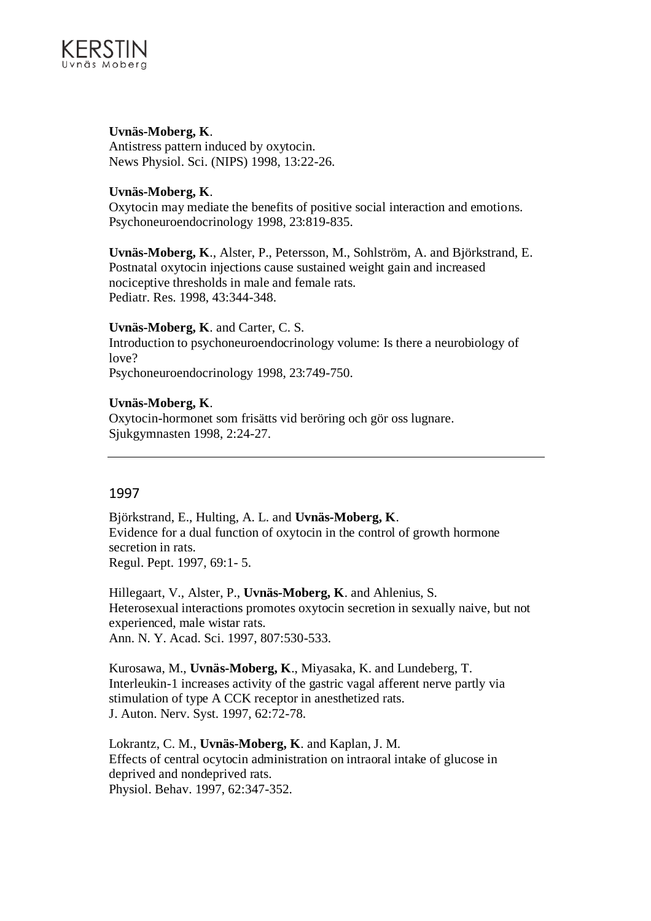

## **Uvnäs-Moberg, K**.

Antistress pattern induced by oxytocin. News Physiol. Sci. (NIPS) 1998, 13:22-26.

## **Uvnäs-Moberg, K**.

Oxytocin may mediate the benefits of positive social interaction and emotions. Psychoneuroendocrinology 1998, 23:819-835.

**Uvnäs-Moberg, K**., Alster, P., Petersson, M., Sohlström, A. and Björkstrand, E. Postnatal oxytocin injections cause sustained weight gain and increased nociceptive thresholds in male and female rats. Pediatr. Res. 1998, 43:344-348.

## **Uvnäs-Moberg, K**. and Carter, C. S.

Introduction to psychoneuroendocrinology volume: Is there a neurobiology of love?

Psychoneuroendocrinology 1998, 23:749-750.

## **Uvnäs-Moberg, K**.

Oxytocin-hormonet som frisätts vid beröring och gör oss lugnare. Sjukgymnasten 1998, 2:24-27.

## 1997

Björkstrand, E., Hulting, A. L. and **Uvnäs-Moberg, K**. Evidence for a dual function of oxytocin in the control of growth hormone secretion in rats. Regul. Pept. 1997, 69:1- 5.

Hillegaart, V., Alster, P., **Uvnäs-Moberg, K**. and Ahlenius, S. Heterosexual interactions promotes oxytocin secretion in sexually naive, but not experienced, male wistar rats. Ann. N. Y. Acad. Sci. 1997, 807:530-533.

Kurosawa, M., **Uvnäs-Moberg, K**., Miyasaka, K. and Lundeberg, T. Interleukin-1 increases activity of the gastric vagal afferent nerve partly via stimulation of type A CCK receptor in anesthetized rats. J. Auton. Nerv. Syst. 1997, 62:72-78.

Lokrantz, C. M., **Uvnäs-Moberg, K**. and Kaplan, J. M. Effects of central ocytocin administration on intraoral intake of glucose in deprived and nondeprived rats. Physiol. Behav. 1997, 62:347-352.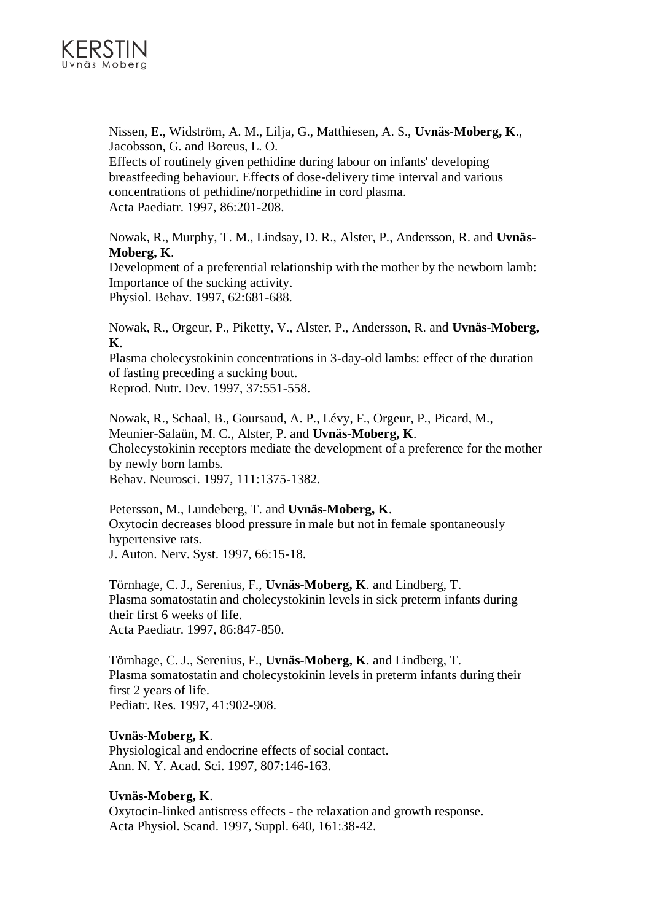

Nissen, E., Widström, A. M., Lilja, G., Matthiesen, A. S., **Uvnäs-Moberg, K**., Jacobsson, G. and Boreus, L. O.

Effects of routinely given pethidine during labour on infants' developing breastfeeding behaviour. Effects of dose-delivery time interval and various concentrations of pethidine/norpethidine in cord plasma. Acta Paediatr. 1997, 86:201-208.

Nowak, R., Murphy, T. M., Lindsay, D. R., Alster, P., Andersson, R. and **Uvnäs-Moberg, K**.

Development of a preferential relationship with the mother by the newborn lamb: Importance of the sucking activity. Physiol. Behav. 1997, 62:681-688.

Nowak, R., Orgeur, P., Piketty, V., Alster, P., Andersson, R. and **Uvnäs-Moberg, K**.

Plasma cholecystokinin concentrations in 3-day-old lambs: effect of the duration of fasting preceding a sucking bout.

Reprod. Nutr. Dev. 1997, 37:551-558.

Nowak, R., Schaal, B., Goursaud, A. P., Lévy, F., Orgeur, P., Picard, M., Meunier-Salaün, M. C., Alster, P. and **Uvnäs-Moberg, K**. Cholecystokinin receptors mediate the development of a preference for the mother by newly born lambs. Behav. Neurosci. 1997, 111:1375-1382.

Petersson, M., Lundeberg, T. and **Uvnäs-Moberg, K**. Oxytocin decreases blood pressure in male but not in female spontaneously hypertensive rats. J. Auton. Nerv. Syst. 1997, 66:15-18.

Törnhage, C. J., Serenius, F., **Uvnäs-Moberg, K**. and Lindberg, T. Plasma somatostatin and cholecystokinin levels in sick preterm infants during their first 6 weeks of life. Acta Paediatr. 1997, 86:847-850.

Törnhage, C. J., Serenius, F., **Uvnäs-Moberg, K**. and Lindberg, T. Plasma somatostatin and cholecystokinin levels in preterm infants during their first 2 years of life. Pediatr. Res. 1997, 41:902-908.

## **Uvnäs-Moberg, K**.

Physiological and endocrine effects of social contact. Ann. N. Y. Acad. Sci. 1997, 807:146-163.

## **Uvnäs-Moberg, K**.

Oxytocin-linked antistress effects - the relaxation and growth response. Acta Physiol. Scand. 1997, Suppl. 640, 161:38-42.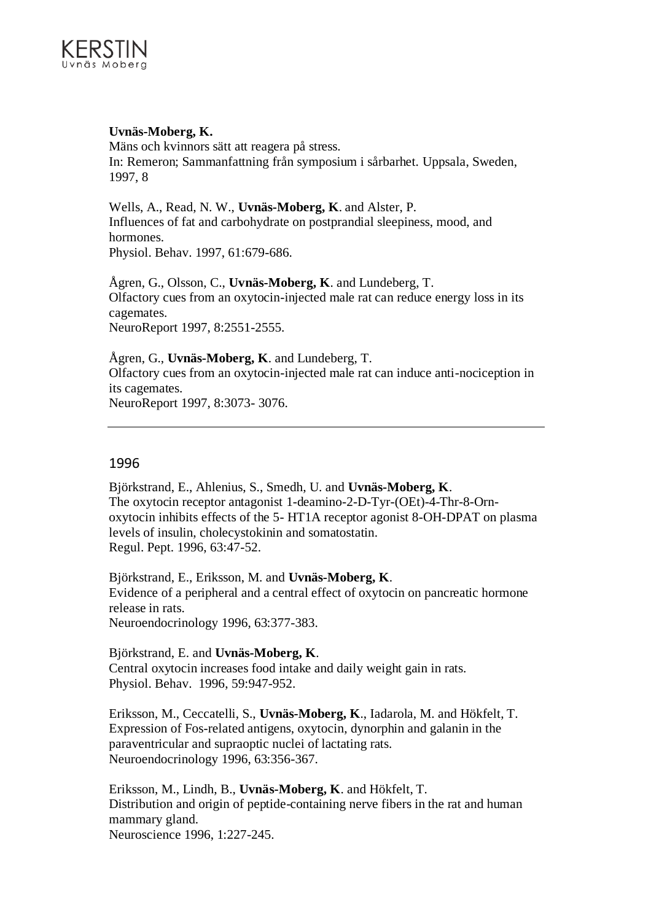## **Uvnäs-Moberg, K.**

Mäns och kvinnors sätt att reagera på stress. In: Remeron; Sammanfattning från symposium i sårbarhet. Uppsala, Sweden, 1997, 8

Wells, A., Read, N. W., **Uvnäs-Moberg, K**. and Alster, P. Influences of fat and carbohydrate on postprandial sleepiness, mood, and hormones. Physiol. Behav. 1997, 61:679-686.

Ågren, G., Olsson, C., **Uvnäs-Moberg, K**. and Lundeberg, T. Olfactory cues from an oxytocin-injected male rat can reduce energy loss in its cagemates. NeuroReport 1997, 8:2551-2555.

Ågren, G., **Uvnäs-Moberg, K**. and Lundeberg, T. Olfactory cues from an oxytocin-injected male rat can induce anti-nociception in its cagemates. NeuroReport 1997, 8:3073- 3076.

## 1996

Björkstrand, E., Ahlenius, S., Smedh, U. and **Uvnäs-Moberg, K**. The oxytocin receptor antagonist 1-deamino-2-D-Tyr-(OEt)-4-Thr-8-Ornoxytocin inhibits effects of the 5- HT1A receptor agonist 8-OH-DPAT on plasma levels of insulin, cholecystokinin and somatostatin. Regul. Pept. 1996, 63:47-52.

Björkstrand, E., Eriksson, M. and **Uvnäs-Moberg, K**. Evidence of a peripheral and a central effect of oxytocin on pancreatic hormone release in rats. Neuroendocrinology 1996, 63:377-383.

Björkstrand, E. and **Uvnäs-Moberg, K**. Central oxytocin increases food intake and daily weight gain in rats. Physiol. Behav. 1996, 59:947-952.

Eriksson, M., Ceccatelli, S., **Uvnäs-Moberg, K**., Iadarola, M. and Hökfelt, T. Expression of Fos-related antigens, oxytocin, dynorphin and galanin in the paraventricular and supraoptic nuclei of lactating rats. Neuroendocrinology 1996, 63:356-367.

Eriksson, M., Lindh, B., **Uvnäs-Moberg, K**. and Hökfelt, T. Distribution and origin of peptide-containing nerve fibers in the rat and human mammary gland. Neuroscience 1996, 1:227-245.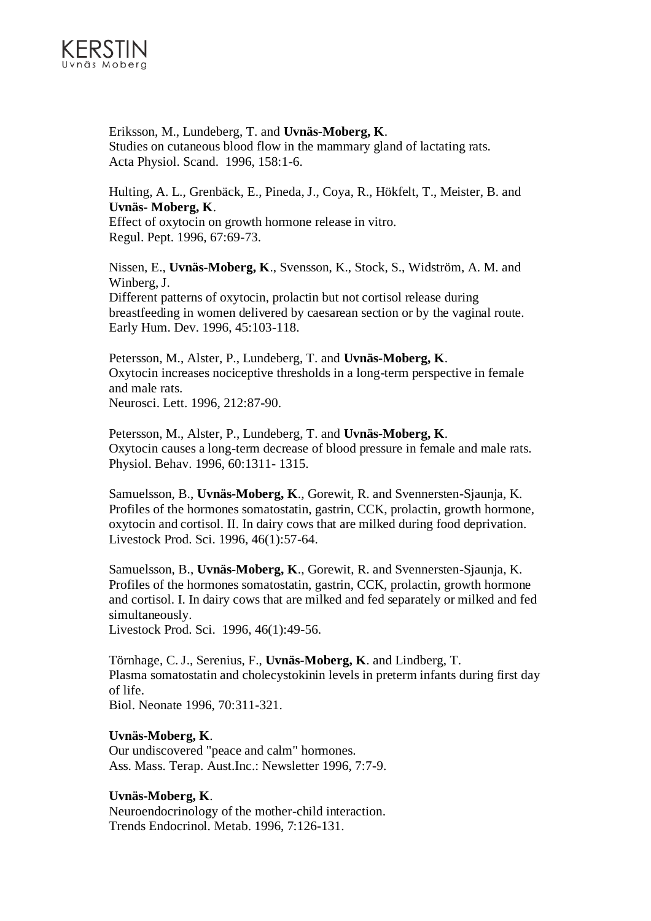

Eriksson, M., Lundeberg, T. and **Uvnäs-Moberg, K**. Studies on cutaneous blood flow in the mammary gland of lactating rats. Acta Physiol. Scand. 1996, 158:1-6.

Hulting, A. L., Grenbäck, E., Pineda, J., Coya, R., Hökfelt, T., Meister, B. and **Uvnäs- Moberg, K**. Effect of oxytocin on growth hormone release in vitro. Regul. Pept. 1996, 67:69-73.

Nissen, E., **Uvnäs-Moberg, K**., Svensson, K., Stock, S., Widström, A. M. and Winberg, J. Different patterns of oxytocin, prolactin but not cortisol release during breastfeeding in women delivered by caesarean section or by the vaginal route. Early Hum. Dev. 1996, 45:103-118.

Petersson, M., Alster, P., Lundeberg, T. and **Uvnäs-Moberg, K**. Oxytocin increases nociceptive thresholds in a long-term perspective in female and male rats. Neurosci. Lett. 1996, 212:87-90.

Petersson, M., Alster, P., Lundeberg, T. and **Uvnäs-Moberg, K**. Oxytocin causes a long-term decrease of blood pressure in female and male rats. Physiol. Behav. 1996, 60:1311- 1315.

Samuelsson, B., **Uvnäs-Moberg, K**., Gorewit, R. and Svennersten-Sjaunja, K. Profiles of the hormones somatostatin, gastrin, CCK, prolactin, growth hormone, oxytocin and cortisol. II. In dairy cows that are milked during food deprivation. Livestock Prod. Sci. 1996, 46(1):57-64.

Samuelsson, B., **Uvnäs-Moberg, K**., Gorewit, R. and Svennersten-Sjaunja, K. Profiles of the hormones somatostatin, gastrin, CCK, prolactin, growth hormone and cortisol. I. In dairy cows that are milked and fed separately or milked and fed simultaneously.

Livestock Prod. Sci. 1996, 46(1):49-56.

Törnhage, C. J., Serenius, F., **Uvnäs-Moberg, K**. and Lindberg, T. Plasma somatostatin and cholecystokinin levels in preterm infants during first day of life. Biol. Neonate 1996, 70:311-321.

#### **Uvnäs-Moberg, K**.

Our undiscovered "peace and calm" hormones. Ass. Mass. Terap. Aust.Inc.: Newsletter 1996, 7:7-9.

## **Uvnäs-Moberg, K**.

Neuroendocrinology of the mother-child interaction. Trends Endocrinol. Metab. 1996, 7:126-131.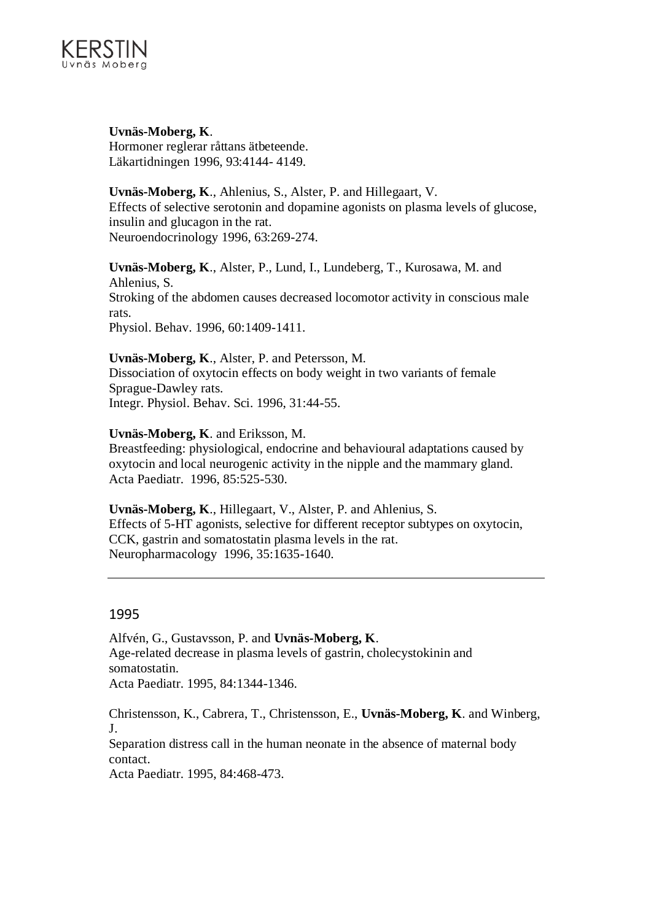

**Uvnäs-Moberg, K**. Hormoner reglerar råttans ätbeteende. Läkartidningen 1996, 93:4144- 4149.

**Uvnäs-Moberg, K**., Ahlenius, S., Alster, P. and Hillegaart, V. Effects of selective serotonin and dopamine agonists on plasma levels of glucose, insulin and glucagon in the rat. Neuroendocrinology 1996, 63:269-274.

**Uvnäs-Moberg, K**., Alster, P., Lund, I., Lundeberg, T., Kurosawa, M. and Ahlenius, S. Stroking of the abdomen causes decreased locomotor activity in conscious male rats. Physiol. Behav. 1996, 60:1409-1411.

**Uvnäs-Moberg, K**., Alster, P. and Petersson, M. Dissociation of oxytocin effects on body weight in two variants of female Sprague-Dawley rats. Integr. Physiol. Behav. Sci. 1996, 31:44-55.

**Uvnäs-Moberg, K**. and Eriksson, M.

Breastfeeding: physiological, endocrine and behavioural adaptations caused by oxytocin and local neurogenic activity in the nipple and the mammary gland. Acta Paediatr. 1996, 85:525-530.

**Uvnäs-Moberg, K**., Hillegaart, V., Alster, P. and Ahlenius, S. Effects of 5-HT agonists, selective for different receptor subtypes on oxytocin, CCK, gastrin and somatostatin plasma levels in the rat. Neuropharmacology 1996, 35:1635-1640.

#### 1995

Alfvén, G., Gustavsson, P. and **Uvnäs-Moberg, K**. Age-related decrease in plasma levels of gastrin, cholecystokinin and somatostatin. Acta Paediatr. 1995, 84:1344-1346.

Christensson, K., Cabrera, T., Christensson, E., **Uvnäs-Moberg, K**. and Winberg, J.

Separation distress call in the human neonate in the absence of maternal body contact.

Acta Paediatr. 1995, 84:468-473.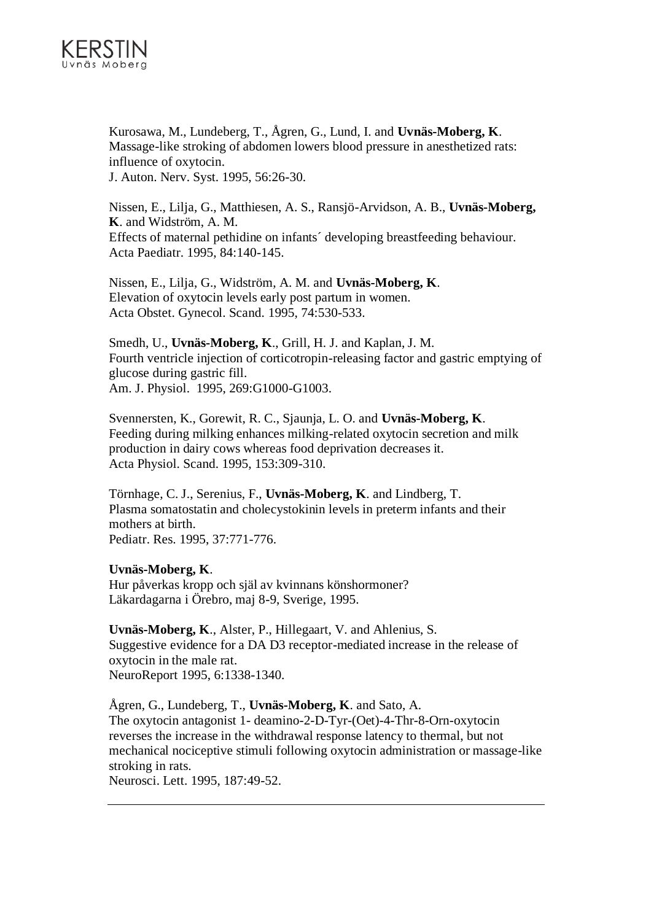

Kurosawa, M., Lundeberg, T., Ågren, G., Lund, I. and **Uvnäs-Moberg, K**. Massage-like stroking of abdomen lowers blood pressure in anesthetized rats: influence of oxytocin. J. Auton. Nerv. Syst. 1995, 56:26-30.

Nissen, E., Lilja, G., Matthiesen, A. S., Ransjö-Arvidson, A. B., **Uvnäs-Moberg, K**. and Widström, A. M. Effects of maternal pethidine on infants´ developing breastfeeding behaviour. Acta Paediatr. 1995, 84:140-145.

Nissen, E., Lilja, G., Widström, A. M. and **Uvnäs-Moberg, K**. Elevation of oxytocin levels early post partum in women. Acta Obstet. Gynecol. Scand. 1995, 74:530-533.

Smedh, U., **Uvnäs-Moberg, K**., Grill, H. J. and Kaplan, J. M. Fourth ventricle injection of corticotropin-releasing factor and gastric emptying of glucose during gastric fill. Am. J. Physiol. 1995, 269:G1000-G1003.

Svennersten, K., Gorewit, R. C., Sjaunja, L. O. and **Uvnäs-Moberg, K**. Feeding during milking enhances milking-related oxytocin secretion and milk production in dairy cows whereas food deprivation decreases it. Acta Physiol. Scand. 1995, 153:309-310.

Törnhage, C. J., Serenius, F., **Uvnäs-Moberg, K**. and Lindberg, T. Plasma somatostatin and cholecystokinin levels in preterm infants and their mothers at birth. Pediatr. Res. 1995, 37:771-776.

**Uvnäs-Moberg, K**.

Hur påverkas kropp och själ av kvinnans könshormoner? Läkardagarna i Örebro, maj 8-9, Sverige, 1995.

**Uvnäs-Moberg, K**., Alster, P., Hillegaart, V. and Ahlenius, S. Suggestive evidence for a DA D3 receptor-mediated increase in the release of oxytocin in the male rat. NeuroReport 1995, 6:1338-1340.

Ågren, G., Lundeberg, T., **Uvnäs-Moberg, K**. and Sato, A. The oxytocin antagonist 1- deamino-2-D-Tyr-(Oet)-4-Thr-8-Orn-oxytocin reverses the increase in the withdrawal response latency to thermal, but not mechanical nociceptive stimuli following oxytocin administration or massage-like stroking in rats. Neurosci. Lett. 1995, 187:49-52.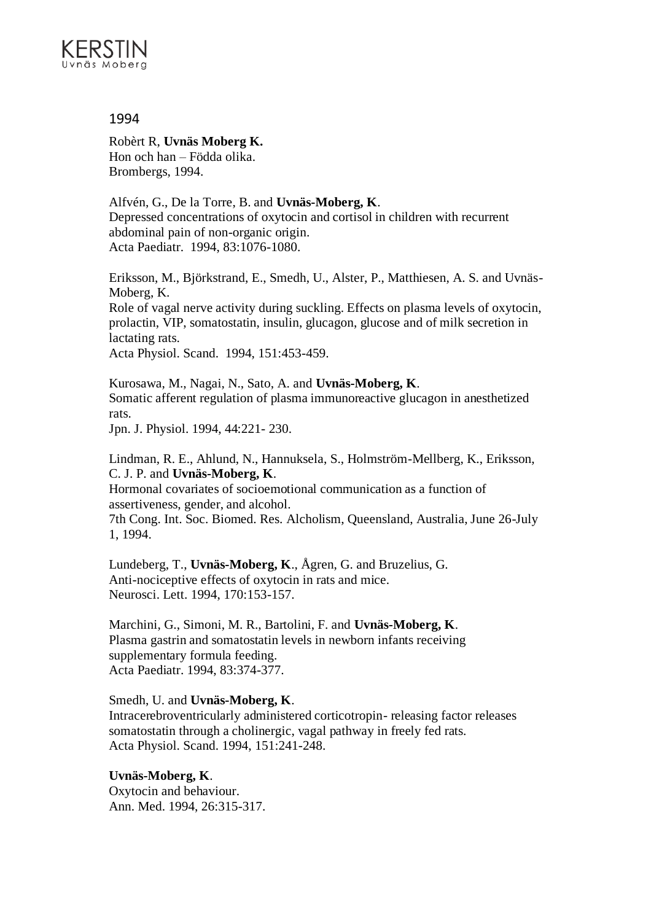

Robèrt R, **Uvnäs Moberg K.** Hon och han – Födda olika. Brombergs, 1994.

Alfvén, G., De la Torre, B. and **Uvnäs-Moberg, K**. Depressed concentrations of oxytocin and cortisol in children with recurrent abdominal pain of non-organic origin. Acta Paediatr. 1994, 83:1076-1080.

Eriksson, M., Björkstrand, E., Smedh, U., Alster, P., Matthiesen, A. S. and Uvnäs-Moberg, K.

Role of vagal nerve activity during suckling. Effects on plasma levels of oxytocin, prolactin, VIP, somatostatin, insulin, glucagon, glucose and of milk secretion in lactating rats.

Acta Physiol. Scand. 1994, 151:453-459.

Kurosawa, M., Nagai, N., Sato, A. and **Uvnäs-Moberg, K**. Somatic afferent regulation of plasma immunoreactive glucagon in anesthetized rats.

Jpn. J. Physiol. 1994, 44:221- 230.

Lindman, R. E., Ahlund, N., Hannuksela, S., Holmström-Mellberg, K., Eriksson, C. J. P. and **Uvnäs-Moberg, K**.

Hormonal covariates of socioemotional communication as a function of assertiveness, gender, and alcohol.

7th Cong. Int. Soc. Biomed. Res. Alcholism, Queensland, Australia, June 26-July 1, 1994.

Lundeberg, T., **Uvnäs-Moberg, K**., Ågren, G. and Bruzelius, G. Anti-nociceptive effects of oxytocin in rats and mice. Neurosci. Lett. 1994, 170:153-157.

Marchini, G., Simoni, M. R., Bartolini, F. and **Uvnäs-Moberg, K**. Plasma gastrin and somatostatin levels in newborn infants receiving supplementary formula feeding. Acta Paediatr. 1994, 83:374-377.

Smedh, U. and **Uvnäs-Moberg, K**.

Intracerebroventricularly administered corticotropin- releasing factor releases somatostatin through a cholinergic, vagal pathway in freely fed rats. Acta Physiol. Scand. 1994, 151:241-248.

**Uvnäs-Moberg, K**. Oxytocin and behaviour. Ann. Med. 1994, 26:315-317.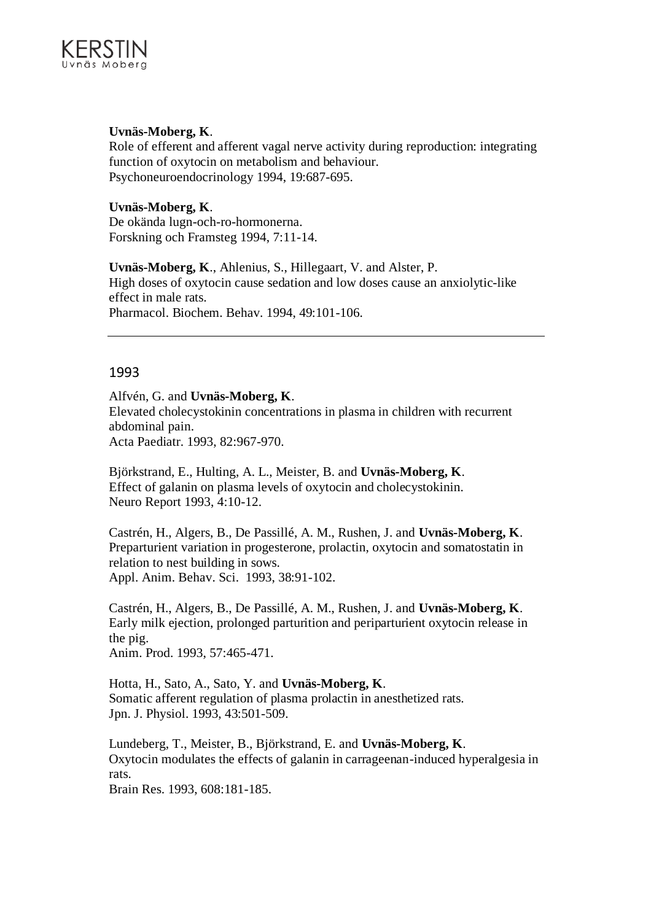

## **Uvnäs-Moberg, K**.

Role of efferent and afferent vagal nerve activity during reproduction: integrating function of oxytocin on metabolism and behaviour. Psychoneuroendocrinology 1994, 19:687-695.

**Uvnäs-Moberg, K**. De okända lugn-och-ro-hormonerna. Forskning och Framsteg 1994, 7:11-14.

**Uvnäs-Moberg, K**., Ahlenius, S., Hillegaart, V. and Alster, P. High doses of oxytocin cause sedation and low doses cause an anxiolytic-like effect in male rats. Pharmacol. Biochem. Behav. 1994, 49:101-106.

## 1993

Alfvén, G. and **Uvnäs-Moberg, K**. Elevated cholecystokinin concentrations in plasma in children with recurrent abdominal pain. Acta Paediatr. 1993, 82:967-970.

Björkstrand, E., Hulting, A. L., Meister, B. and **Uvnäs-Moberg, K**. Effect of galanin on plasma levels of oxytocin and cholecystokinin. Neuro Report 1993, 4:10-12.

Castrén, H., Algers, B., De Passillé, A. M., Rushen, J. and **Uvnäs-Moberg, K**. Preparturient variation in progesterone, prolactin, oxytocin and somatostatin in relation to nest building in sows. Appl. Anim. Behav. Sci. 1993, 38:91-102.

Castrén, H., Algers, B., De Passillé, A. M., Rushen, J. and **Uvnäs-Moberg, K**. Early milk ejection, prolonged parturition and periparturient oxytocin release in the pig. Anim. Prod. 1993, 57:465-471.

Hotta, H., Sato, A., Sato, Y. and **Uvnäs-Moberg, K**. Somatic afferent regulation of plasma prolactin in anesthetized rats. Jpn. J. Physiol. 1993, 43:501-509.

Lundeberg, T., Meister, B., Björkstrand, E. and **Uvnäs-Moberg, K**. Oxytocin modulates the effects of galanin in carrageenan-induced hyperalgesia in rats.

Brain Res. 1993, 608:181-185.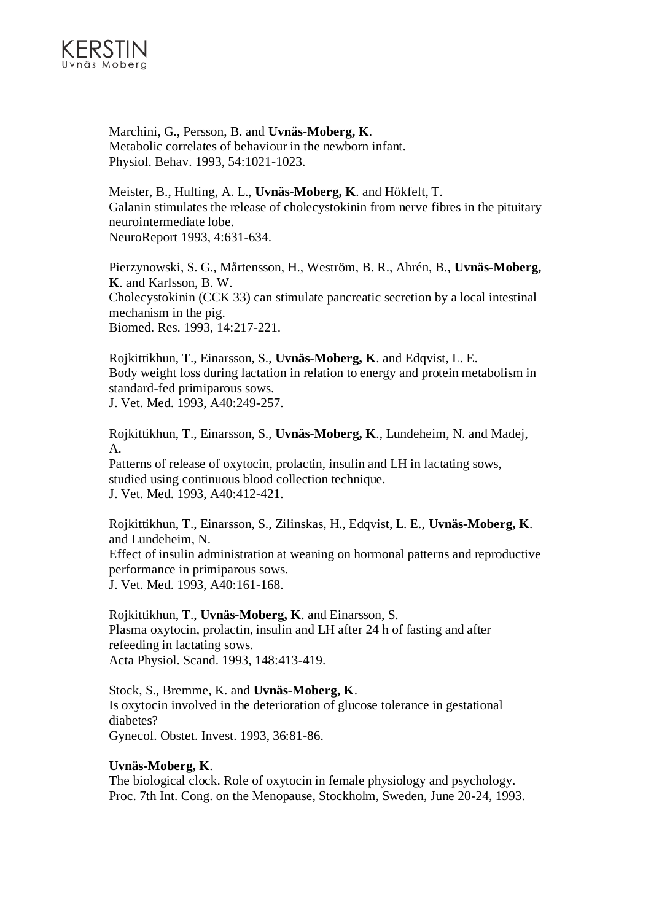

Marchini, G., Persson, B. and **Uvnäs-Moberg, K**. Metabolic correlates of behaviour in the newborn infant. Physiol. Behav. 1993, 54:1021-1023.

Meister, B., Hulting, A. L., **Uvnäs-Moberg, K**. and Hökfelt, T. Galanin stimulates the release of cholecystokinin from nerve fibres in the pituitary neurointermediate lobe. NeuroReport 1993, 4:631-634.

Pierzynowski, S. G., Mårtensson, H., Weström, B. R., Ahrén, B., **Uvnäs-Moberg, K**. and Karlsson, B. W. Cholecystokinin (CCK 33) can stimulate pancreatic secretion by a local intestinal mechanism in the pig. Biomed. Res. 1993, 14:217-221.

Rojkittikhun, T., Einarsson, S., **Uvnäs-Moberg, K**. and Edqvist, L. E. Body weight loss during lactation in relation to energy and protein metabolism in standard-fed primiparous sows. J. Vet. Med. 1993, A40:249-257.

Rojkittikhun, T., Einarsson, S., **Uvnäs-Moberg, K**., Lundeheim, N. and Madej, A.

Patterns of release of oxytocin, prolactin, insulin and LH in lactating sows, studied using continuous blood collection technique. J. Vet. Med. 1993, A40:412-421.

Rojkittikhun, T., Einarsson, S., Zilinskas, H., Edqvist, L. E., **Uvnäs-Moberg, K**. and Lundeheim, N. Effect of insulin administration at weaning on hormonal patterns and reproductive performance in primiparous sows. J. Vet. Med. 1993, A40:161-168.

Rojkittikhun, T., **Uvnäs-Moberg, K**. and Einarsson, S. Plasma oxytocin, prolactin, insulin and LH after 24 h of fasting and after refeeding in lactating sows. Acta Physiol. Scand. 1993, 148:413-419.

Stock, S., Bremme, K. and **Uvnäs-Moberg, K**. Is oxytocin involved in the deterioration of glucose tolerance in gestational diabetes? Gynecol. Obstet. Invest. 1993, 36:81-86.

## **Uvnäs-Moberg, K**.

The biological clock. Role of oxytocin in female physiology and psychology. Proc. 7th Int. Cong. on the Menopause, Stockholm, Sweden, June 20-24, 1993.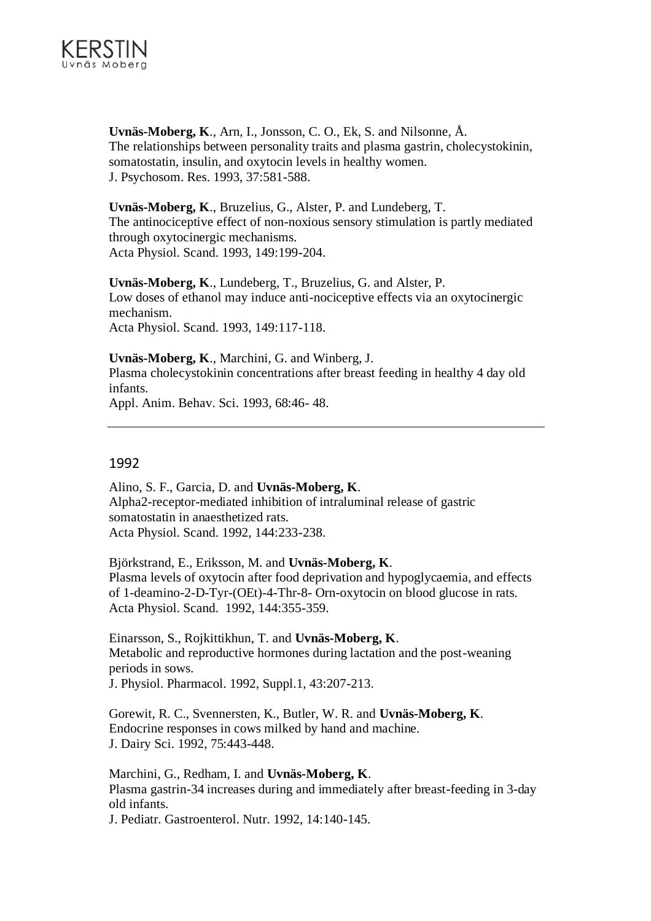

**Uvnäs-Moberg, K**., Arn, I., Jonsson, C. O., Ek, S. and Nilsonne, Å. The relationships between personality traits and plasma gastrin, cholecystokinin, somatostatin, insulin, and oxytocin levels in healthy women. J. Psychosom. Res. 1993, 37:581-588.

**Uvnäs-Moberg, K**., Bruzelius, G., Alster, P. and Lundeberg, T. The antinociceptive effect of non-noxious sensory stimulation is partly mediated through oxytocinergic mechanisms. Acta Physiol. Scand. 1993, 149:199-204.

**Uvnäs-Moberg, K**., Lundeberg, T., Bruzelius, G. and Alster, P. Low doses of ethanol may induce anti-nociceptive effects via an oxytocinergic mechanism. Acta Physiol. Scand. 1993, 149:117-118.

**Uvnäs-Moberg, K**., Marchini, G. and Winberg, J. Plasma cholecystokinin concentrations after breast feeding in healthy 4 day old infants. Appl. Anim. Behav. Sci. 1993, 68:46- 48.

## 1992

Alino, S. F., Garcia, D. and **Uvnäs-Moberg, K**. Alpha2-receptor-mediated inhibition of intraluminal release of gastric somatostatin in anaesthetized rats. Acta Physiol. Scand. 1992, 144:233-238.

Björkstrand, E., Eriksson, M. and **Uvnäs-Moberg, K**. Plasma levels of oxytocin after food deprivation and hypoglycaemia, and effects of 1-deamino-2-D-Tyr-(OEt)-4-Thr-8- Orn-oxytocin on blood glucose in rats. Acta Physiol. Scand. 1992, 144:355-359.

Einarsson, S., Rojkittikhun, T. and **Uvnäs-Moberg, K**. Metabolic and reproductive hormones during lactation and the post-weaning periods in sows. J. Physiol. Pharmacol. 1992, Suppl.1, 43:207-213.

Gorewit, R. C., Svennersten, K., Butler, W. R. and **Uvnäs-Moberg, K**. Endocrine responses in cows milked by hand and machine. J. Dairy Sci. 1992, 75:443-448.

Marchini, G., Redham, I. and **Uvnäs-Moberg, K**. Plasma gastrin-34 increases during and immediately after breast-feeding in 3-day old infants. J. Pediatr. Gastroenterol. Nutr. 1992, 14:140-145.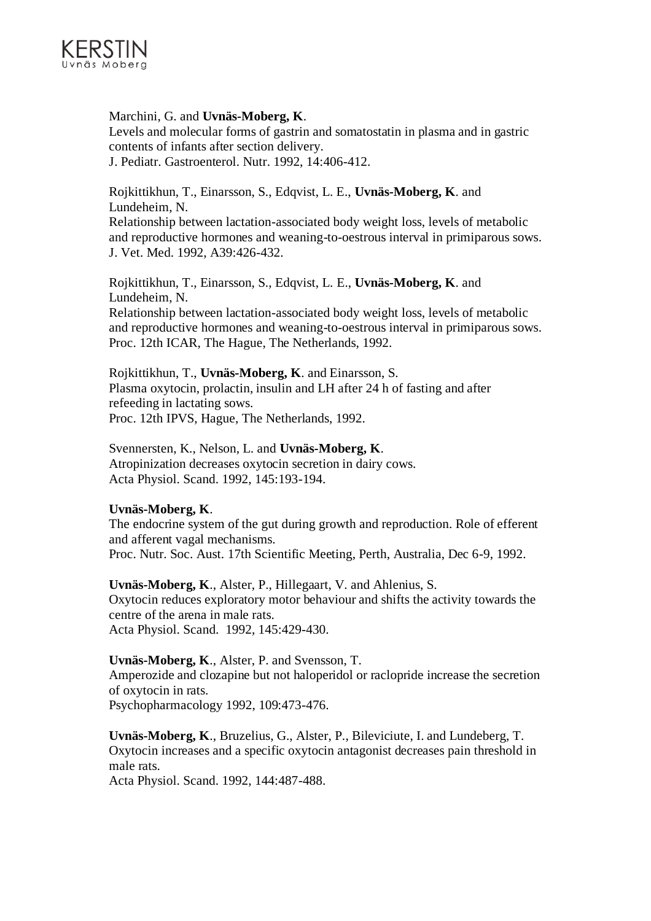

## Marchini, G. and **Uvnäs-Moberg, K**.

Levels and molecular forms of gastrin and somatostatin in plasma and in gastric contents of infants after section delivery. J. Pediatr. Gastroenterol. Nutr. 1992, 14:406-412.

Rojkittikhun, T., Einarsson, S., Edqvist, L. E., **Uvnäs-Moberg, K**. and Lundeheim, N.

Relationship between lactation-associated body weight loss, levels of metabolic and reproductive hormones and weaning-to-oestrous interval in primiparous sows. J. Vet. Med. 1992, A39:426-432.

Rojkittikhun, T., Einarsson, S., Edqvist, L. E., **Uvnäs-Moberg, K**. and Lundeheim, N.

Relationship between lactation-associated body weight loss, levels of metabolic and reproductive hormones and weaning-to-oestrous interval in primiparous sows. Proc. 12th ICAR, The Hague, The Netherlands, 1992.

Rojkittikhun, T., **Uvnäs-Moberg, K**. and Einarsson, S. Plasma oxytocin, prolactin, insulin and LH after 24 h of fasting and after refeeding in lactating sows. Proc. 12th IPVS, Hague, The Netherlands, 1992.

Svennersten, K., Nelson, L. and **Uvnäs-Moberg, K**. Atropinization decreases oxytocin secretion in dairy cows. Acta Physiol. Scand. 1992, 145:193-194.

## **Uvnäs-Moberg, K**.

The endocrine system of the gut during growth and reproduction. Role of efferent and afferent vagal mechanisms. Proc. Nutr. Soc. Aust. 17th Scientific Meeting, Perth, Australia, Dec 6-9, 1992.

**Uvnäs-Moberg, K**., Alster, P., Hillegaart, V. and Ahlenius, S. Oxytocin reduces exploratory motor behaviour and shifts the activity towards the centre of the arena in male rats. Acta Physiol. Scand. 1992, 145:429-430.

**Uvnäs-Moberg, K**., Alster, P. and Svensson, T. Amperozide and clozapine but not haloperidol or raclopride increase the secretion of oxytocin in rats. Psychopharmacology 1992, 109:473-476.

**Uvnäs-Moberg, K**., Bruzelius, G., Alster, P., Bileviciute, I. and Lundeberg, T. Oxytocin increases and a specific oxytocin antagonist decreases pain threshold in male rats. Acta Physiol. Scand. 1992, 144:487-488.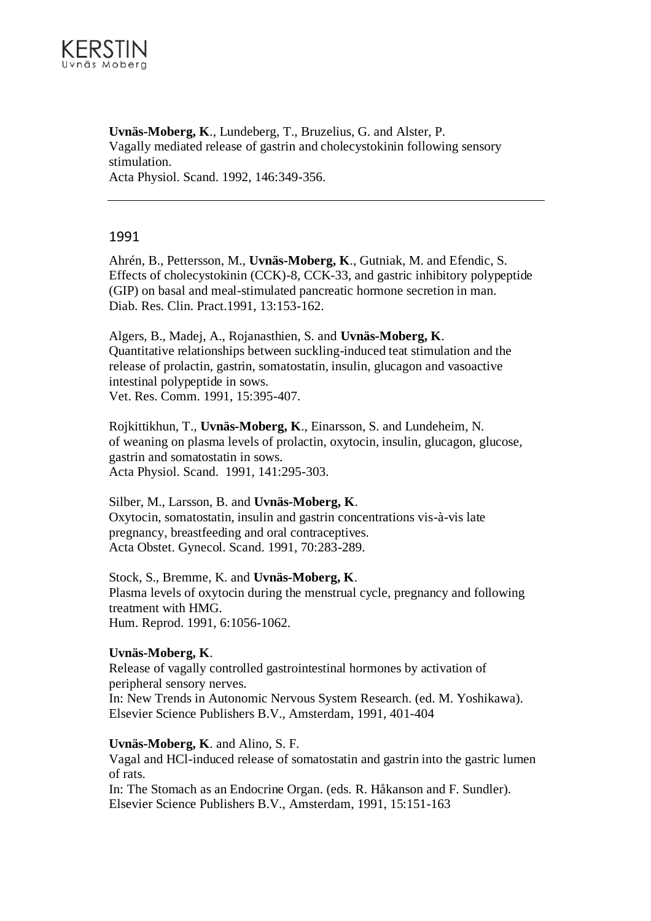

**Uvnäs-Moberg, K**., Lundeberg, T., Bruzelius, G. and Alster, P. Vagally mediated release of gastrin and cholecystokinin following sensory stimulation. Acta Physiol. Scand. 1992, 146:349-356.

## 1991

Ahrén, B., Pettersson, M., **Uvnäs-Moberg, K**., Gutniak, M. and Efendic, S. Effects of cholecystokinin (CCK)-8, CCK-33, and gastric inhibitory polypeptide (GIP) on basal and meal-stimulated pancreatic hormone secretion in man. Diab. Res. Clin. Pract.1991, 13:153-162.

Algers, B., Madej, A., Rojanasthien, S. and **Uvnäs-Moberg, K**. Quantitative relationships between suckling-induced teat stimulation and the release of prolactin, gastrin, somatostatin, insulin, glucagon and vasoactive intestinal polypeptide in sows. Vet. Res. Comm. 1991, 15:395-407.

Rojkittikhun, T., **Uvnäs-Moberg, K**., Einarsson, S. and Lundeheim, N. of weaning on plasma levels of prolactin, oxytocin, insulin, glucagon, glucose, gastrin and somatostatin in sows. Acta Physiol. Scand. 1991, 141:295-303.

Silber, M., Larsson, B. and **Uvnäs-Moberg, K**. Oxytocin, somatostatin, insulin and gastrin concentrations vis-à-vis late pregnancy, breastfeeding and oral contraceptives. Acta Obstet. Gynecol. Scand. 1991, 70:283-289.

Stock, S., Bremme, K. and **Uvnäs-Moberg, K**. Plasma levels of oxytocin during the menstrual cycle, pregnancy and following treatment with HMG. Hum. Reprod. 1991, 6:1056-1062.

## **Uvnäs-Moberg, K**.

Release of vagally controlled gastrointestinal hormones by activation of peripheral sensory nerves. In: New Trends in Autonomic Nervous System Research. (ed. M. Yoshikawa). Elsevier Science Publishers B.V., Amsterdam, 1991, 401-404

## **Uvnäs-Moberg, K**. and Alino, S. F.

Vagal and HCl-induced release of somatostatin and gastrin into the gastric lumen of rats.

In: The Stomach as an Endocrine Organ. (eds. R. Håkanson and F. Sundler). Elsevier Science Publishers B.V., Amsterdam, 1991, 15:151-163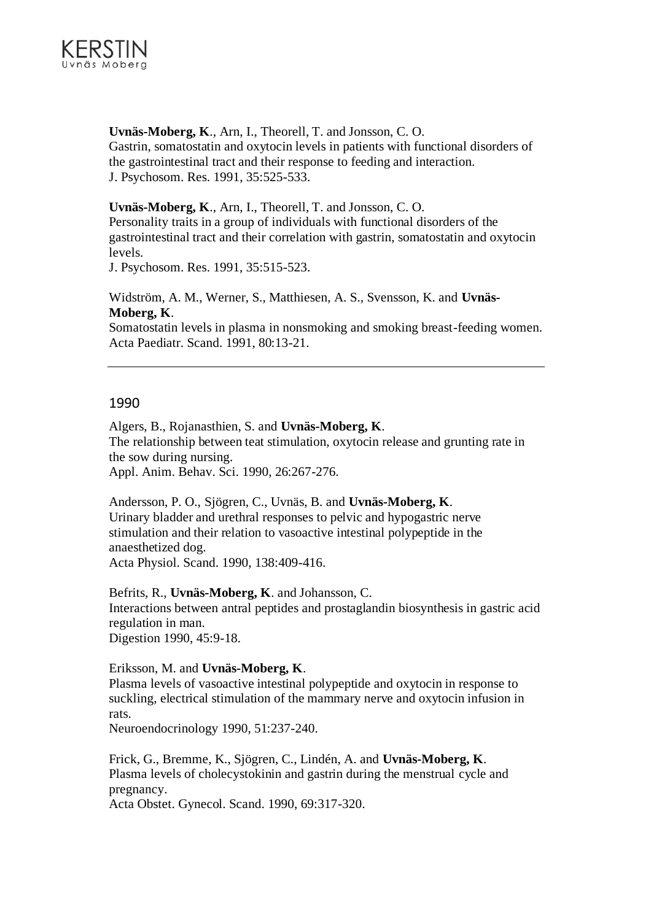

**Uvnäs-Moberg, K**., Arn, I., Theorell, T. and Jonsson, C. O. Gastrin, somatostatin and oxytocin levels in patients with functional disorders of the gastrointestinal tract and their response to feeding and interaction. J. Psychosom. Res. 1991, 35:525-533.

**Uvnäs-Moberg, K**., Arn, I., Theorell, T. and Jonsson, C. O. Personality traits in a group of individuals with functional disorders of the gastrointestinal tract and their correlation with gastrin, somatostatin and oxytocin levels.

J. Psychosom. Res. 1991, 35:515-523.

Widström, A. M., Werner, S., Matthiesen, A. S., Svensson, K. and **Uvnäs-Moberg, K**.

Somatostatin levels in plasma in nonsmoking and smoking breast-feeding women. Acta Paediatr. Scand. 1991, 80:13-21.

## 1990

Algers, B., Rojanasthien, S. and **Uvnäs-Moberg, K**. The relationship between teat stimulation, oxytocin release and grunting rate in the sow during nursing. Appl. Anim. Behav. Sci. 1990, 26:267-276.

Andersson, P. O., Sjögren, C., Uvnäs, B. and **Uvnäs-Moberg, K**. Urinary bladder and urethral responses to pelvic and hypogastric nerve stimulation and their relation to vasoactive intestinal polypeptide in the anaesthetized dog.

Acta Physiol. Scand. 1990, 138:409-416.

Befrits, R., **Uvnäs-Moberg, K**. and Johansson, C. Interactions between antral peptides and prostaglandin biosynthesis in gastric acid regulation in man. Digestion 1990, 45:9-18.

Eriksson, M. and **Uvnäs-Moberg, K**.

Plasma levels of vasoactive intestinal polypeptide and oxytocin in response to suckling, electrical stimulation of the mammary nerve and oxytocin infusion in rats.

Neuroendocrinology 1990, 51:237-240.

Frick, G., Bremme, K., Sjögren, C., Lindén, A. and **Uvnäs-Moberg, K**. Plasma levels of cholecystokinin and gastrin during the menstrual cycle and pregnancy.

Acta Obstet. Gynecol. Scand. 1990, 69:317-320.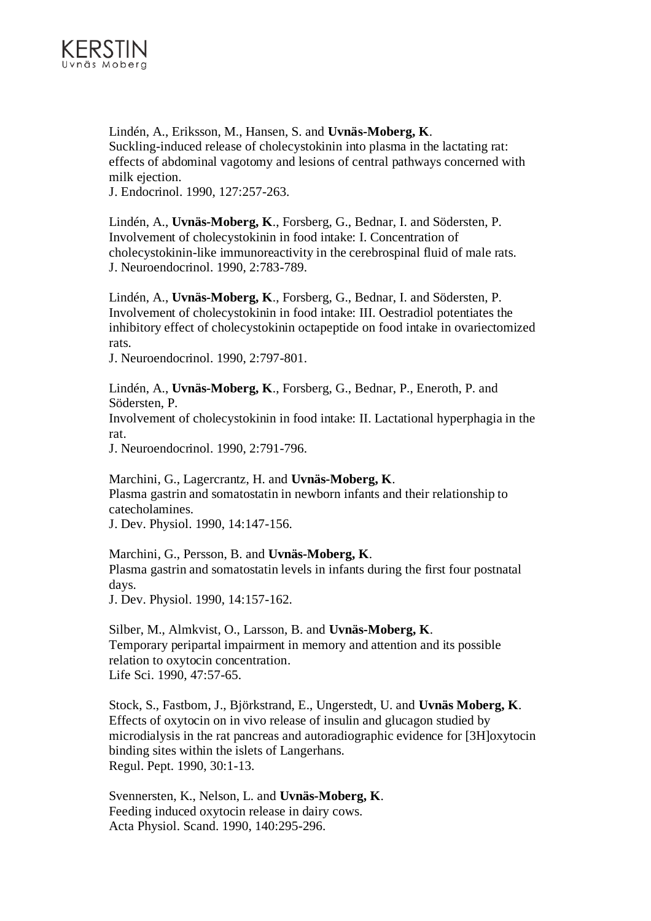

Lindén, A., Eriksson, M., Hansen, S. and **Uvnäs-Moberg, K**. Suckling-induced release of cholecystokinin into plasma in the lactating rat: effects of abdominal vagotomy and lesions of central pathways concerned with milk ejection.

J. Endocrinol. 1990, 127:257-263.

Lindén, A., **Uvnäs-Moberg, K**., Forsberg, G., Bednar, I. and Södersten, P. Involvement of cholecystokinin in food intake: I. Concentration of cholecystokinin-like immunoreactivity in the cerebrospinal fluid of male rats. J. Neuroendocrinol. 1990, 2:783-789.

Lindén, A., **Uvnäs-Moberg, K**., Forsberg, G., Bednar, I. and Södersten, P. Involvement of cholecystokinin in food intake: III. Oestradiol potentiates the inhibitory effect of cholecystokinin octapeptide on food intake in ovariectomized rats.

J. Neuroendocrinol. 1990, 2:797-801.

Lindén, A., **Uvnäs-Moberg, K**., Forsberg, G., Bednar, P., Eneroth, P. and Södersten, P.

Involvement of cholecystokinin in food intake: II. Lactational hyperphagia in the rat.

J. Neuroendocrinol. 1990, 2:791-796.

Marchini, G., Lagercrantz, H. and **Uvnäs-Moberg, K**. Plasma gastrin and somatostatin in newborn infants and their relationship to catecholamines.

J. Dev. Physiol. 1990, 14:147-156.

Marchini, G., Persson, B. and **Uvnäs-Moberg, K**. Plasma gastrin and somatostatin levels in infants during the first four postnatal days.

J. Dev. Physiol. 1990, 14:157-162.

Silber, M., Almkvist, O., Larsson, B. and **Uvnäs-Moberg, K**. Temporary peripartal impairment in memory and attention and its possible relation to oxytocin concentration. Life Sci. 1990, 47:57-65.

Stock, S., Fastbom, J., Björkstrand, E., Ungerstedt, U. and **Uvnäs Moberg, K**. Effects of oxytocin on in vivo release of insulin and glucagon studied by microdialysis in the rat pancreas and autoradiographic evidence for [3H]oxytocin binding sites within the islets of Langerhans. Regul. Pept. 1990, 30:1-13.

Svennersten, K., Nelson, L. and **Uvnäs-Moberg, K**. Feeding induced oxytocin release in dairy cows. Acta Physiol. Scand. 1990, 140:295-296.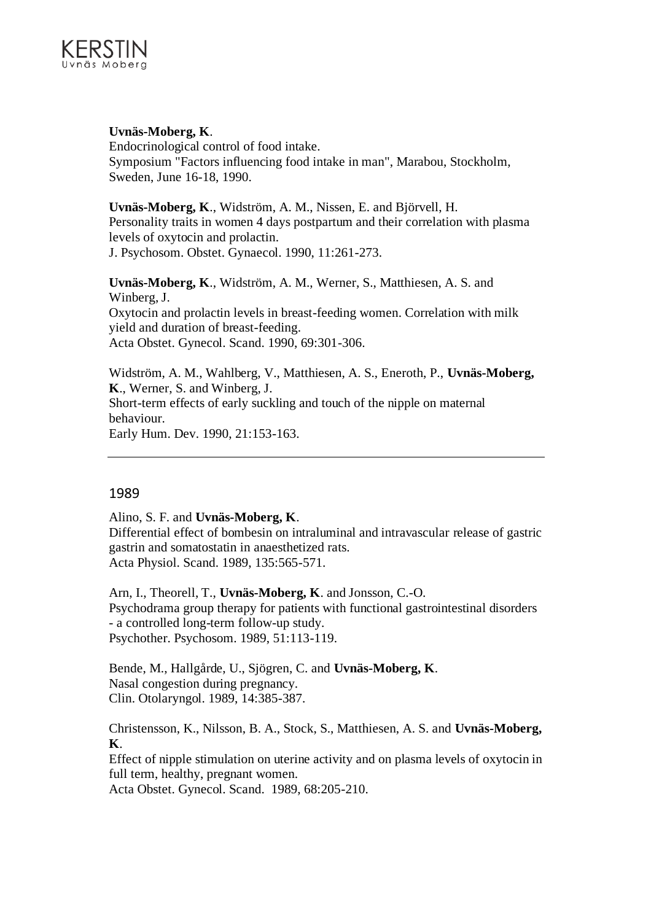

**Uvnäs-Moberg, K**.

Endocrinological control of food intake. Symposium "Factors influencing food intake in man", Marabou, Stockholm, Sweden, June 16-18, 1990.

**Uvnäs-Moberg, K**., Widström, A. M., Nissen, E. and Björvell, H. Personality traits in women 4 days postpartum and their correlation with plasma levels of oxytocin and prolactin. J. Psychosom. Obstet. Gynaecol. 1990, 11:261-273.

**Uvnäs-Moberg, K**., Widström, A. M., Werner, S., Matthiesen, A. S. and Winberg, J. Oxytocin and prolactin levels in breast-feeding women. Correlation with milk yield and duration of breast-feeding. Acta Obstet. Gynecol. Scand. 1990, 69:301-306.

Widström, A. M., Wahlberg, V., Matthiesen, A. S., Eneroth, P., **Uvnäs-Moberg, K**., Werner, S. and Winberg, J. Short-term effects of early suckling and touch of the nipple on maternal behaviour. Early Hum. Dev. 1990, 21:153-163.

## 1989

Alino, S. F. and **Uvnäs-Moberg, K**.

Differential effect of bombesin on intraluminal and intravascular release of gastric gastrin and somatostatin in anaesthetized rats. Acta Physiol. Scand. 1989, 135:565-571.

Arn, I., Theorell, T., **Uvnäs-Moberg, K**. and Jonsson, C.-O. Psychodrama group therapy for patients with functional gastrointestinal disorders - a controlled long-term follow-up study. Psychother. Psychosom. 1989, 51:113-119.

Bende, M., Hallgårde, U., Sjögren, C. and **Uvnäs-Moberg, K**. Nasal congestion during pregnancy. Clin. Otolaryngol. 1989, 14:385-387.

Christensson, K., Nilsson, B. A., Stock, S., Matthiesen, A. S. and **Uvnäs-Moberg, K**.

Effect of nipple stimulation on uterine activity and on plasma levels of oxytocin in full term, healthy, pregnant women.

Acta Obstet. Gynecol. Scand. 1989, 68:205-210.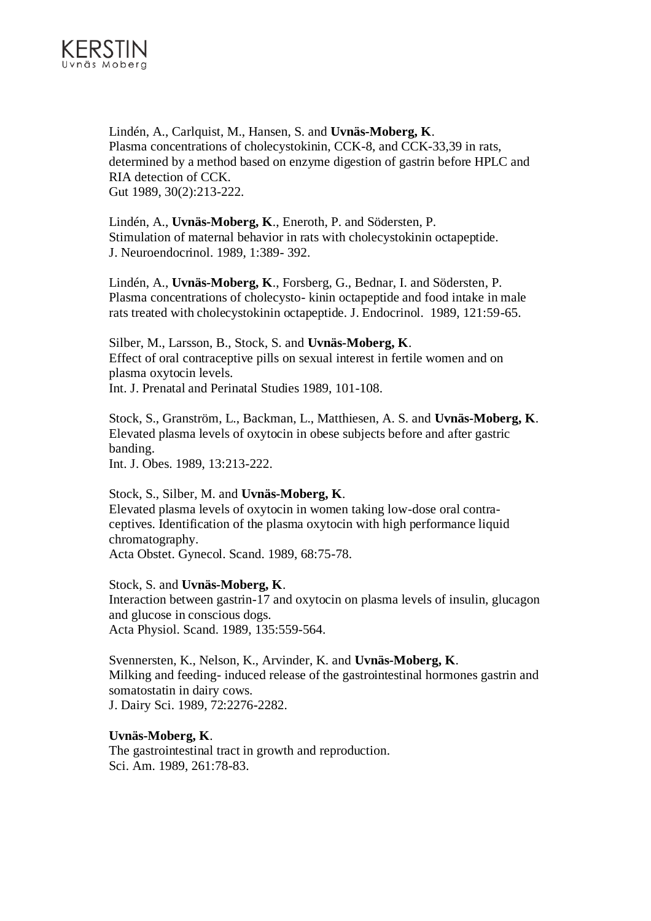

Lindén, A., Carlquist, M., Hansen, S. and **Uvnäs-Moberg, K**. Plasma concentrations of cholecystokinin, CCK-8, and CCK-33,39 in rats, determined by a method based on enzyme digestion of gastrin before HPLC and RIA detection of CCK. Gut 1989, 30(2):213-222.

Lindén, A., **Uvnäs-Moberg, K**., Eneroth, P. and Södersten, P. Stimulation of maternal behavior in rats with cholecystokinin octapeptide. J. Neuroendocrinol. 1989, 1:389- 392.

Lindén, A., **Uvnäs-Moberg, K**., Forsberg, G., Bednar, I. and Södersten, P. Plasma concentrations of cholecysto- kinin octapeptide and food intake in male rats treated with cholecystokinin octapeptide. J. Endocrinol. 1989, 121:59-65.

Silber, M., Larsson, B., Stock, S. and **Uvnäs-Moberg, K**. Effect of oral contraceptive pills on sexual interest in fertile women and on plasma oxytocin levels. Int. J. Prenatal and Perinatal Studies 1989, 101-108.

Stock, S., Granström, L., Backman, L., Matthiesen, A. S. and **Uvnäs-Moberg, K**. Elevated plasma levels of oxytocin in obese subjects before and after gastric banding.

Int. J. Obes. 1989, 13:213-222.

Stock, S., Silber, M. and **Uvnäs-Moberg, K**. Elevated plasma levels of oxytocin in women taking low-dose oral contraceptives. Identification of the plasma oxytocin with high performance liquid chromatography. Acta Obstet. Gynecol. Scand. 1989, 68:75-78.

Stock, S. and **Uvnäs-Moberg, K**. Interaction between gastrin-17 and oxytocin on plasma levels of insulin, glucagon and glucose in conscious dogs. Acta Physiol. Scand. 1989, 135:559-564.

Svennersten, K., Nelson, K., Arvinder, K. and **Uvnäs-Moberg, K**. Milking and feeding- induced release of the gastrointestinal hormones gastrin and somatostatin in dairy cows. J. Dairy Sci. 1989, 72:2276-2282.

#### **Uvnäs-Moberg, K**.

The gastrointestinal tract in growth and reproduction. Sci. Am. 1989, 261:78-83.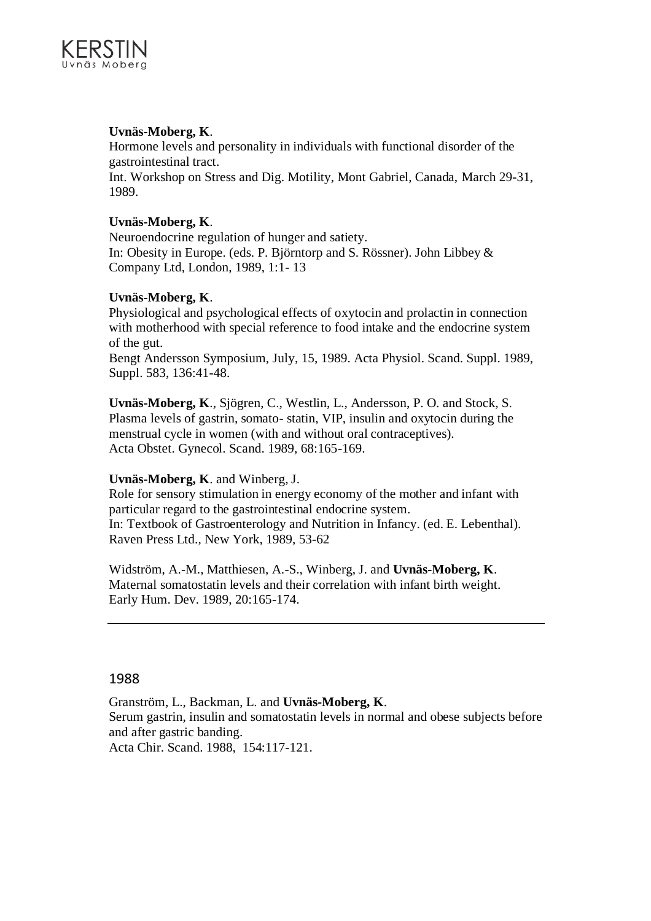

## **Uvnäs-Moberg, K**.

Hormone levels and personality in individuals with functional disorder of the gastrointestinal tract.

Int. Workshop on Stress and Dig. Motility, Mont Gabriel, Canada, March 29-31, 1989.

## **Uvnäs-Moberg, K**.

Neuroendocrine regulation of hunger and satiety. In: Obesity in Europe. (eds. P. Björntorp and S. Rössner). John Libbey & Company Ltd, London, 1989, 1:1- 13

## **Uvnäs-Moberg, K**.

Physiological and psychological effects of oxytocin and prolactin in connection with motherhood with special reference to food intake and the endocrine system of the gut.

Bengt Andersson Symposium, July, 15, 1989. Acta Physiol. Scand. Suppl. 1989, Suppl. 583, 136:41-48.

**Uvnäs-Moberg, K**., Sjögren, C., Westlin, L., Andersson, P. O. and Stock, S. Plasma levels of gastrin, somato- statin, VIP, insulin and oxytocin during the menstrual cycle in women (with and without oral contraceptives). Acta Obstet. Gynecol. Scand. 1989, 68:165-169.

## **Uvnäs-Moberg, K**. and Winberg, J.

Role for sensory stimulation in energy economy of the mother and infant with particular regard to the gastrointestinal endocrine system. In: Textbook of Gastroenterology and Nutrition in Infancy. (ed. E. Lebenthal). Raven Press Ltd., New York, 1989, 53-62

Widström, A.-M., Matthiesen, A.-S., Winberg, J. and **Uvnäs-Moberg, K**. Maternal somatostatin levels and their correlation with infant birth weight. Early Hum. Dev. 1989, 20:165-174.

## 1988

Granström, L., Backman, L. and **Uvnäs-Moberg, K**. Serum gastrin, insulin and somatostatin levels in normal and obese subjects before and after gastric banding.

Acta Chir. Scand. 1988, 154:117-121.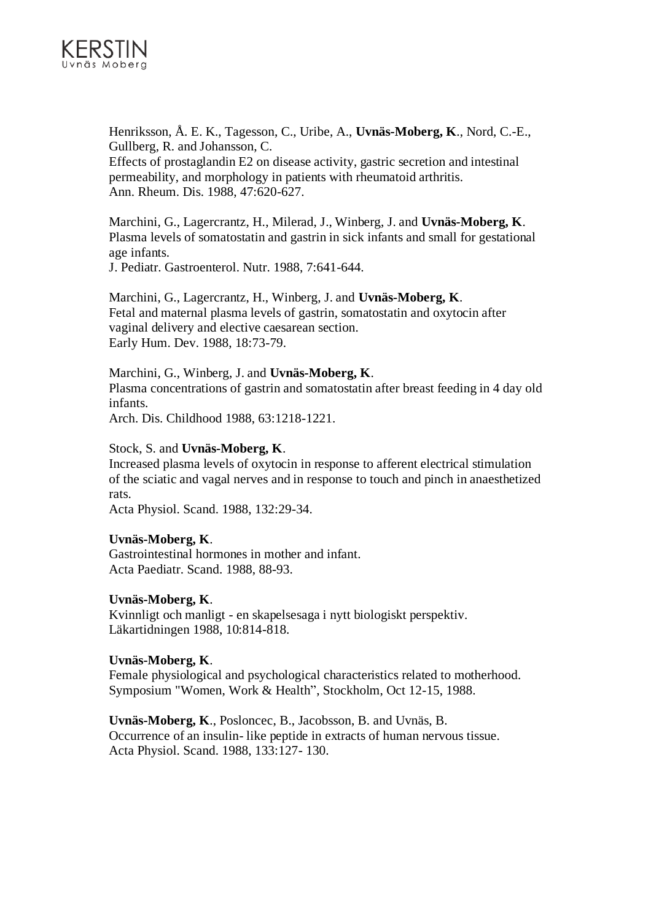

Henriksson, Å. E. K., Tagesson, C., Uribe, A., **Uvnäs-Moberg, K**., Nord, C.-E., Gullberg, R. and Johansson, C.

Effects of prostaglandin E2 on disease activity, gastric secretion and intestinal permeability, and morphology in patients with rheumatoid arthritis. Ann. Rheum. Dis. 1988, 47:620-627.

Marchini, G., Lagercrantz, H., Milerad, J., Winberg, J. and **Uvnäs-Moberg, K**. Plasma levels of somatostatin and gastrin in sick infants and small for gestational age infants.

J. Pediatr. Gastroenterol. Nutr. 1988, 7:641-644.

Marchini, G., Lagercrantz, H., Winberg, J. and **Uvnäs-Moberg, K**. Fetal and maternal plasma levels of gastrin, somatostatin and oxytocin after vaginal delivery and elective caesarean section. Early Hum. Dev. 1988, 18:73-79.

Marchini, G., Winberg, J. and **Uvnäs-Moberg, K**. Plasma concentrations of gastrin and somatostatin after breast feeding in 4 day old infants.

Arch. Dis. Childhood 1988, 63:1218-1221.

#### Stock, S. and **Uvnäs-Moberg, K**.

Increased plasma levels of oxytocin in response to afferent electrical stimulation of the sciatic and vagal nerves and in response to touch and pinch in anaesthetized rats.

Acta Physiol. Scand. 1988, 132:29-34.

## **Uvnäs-Moberg, K**.

Gastrointestinal hormones in mother and infant. Acta Paediatr. Scand. 1988, 88-93.

## **Uvnäs-Moberg, K**.

Kvinnligt och manligt - en skapelsesaga i nytt biologiskt perspektiv. Läkartidningen 1988, 10:814-818.

## **Uvnäs-Moberg, K**.

Female physiological and psychological characteristics related to motherhood. Symposium "Women, Work & Health", Stockholm, Oct 12-15, 1988.

**Uvnäs-Moberg, K**., Posloncec, B., Jacobsson, B. and Uvnäs, B. Occurrence of an insulin- like peptide in extracts of human nervous tissue. Acta Physiol. Scand. 1988, 133:127- 130.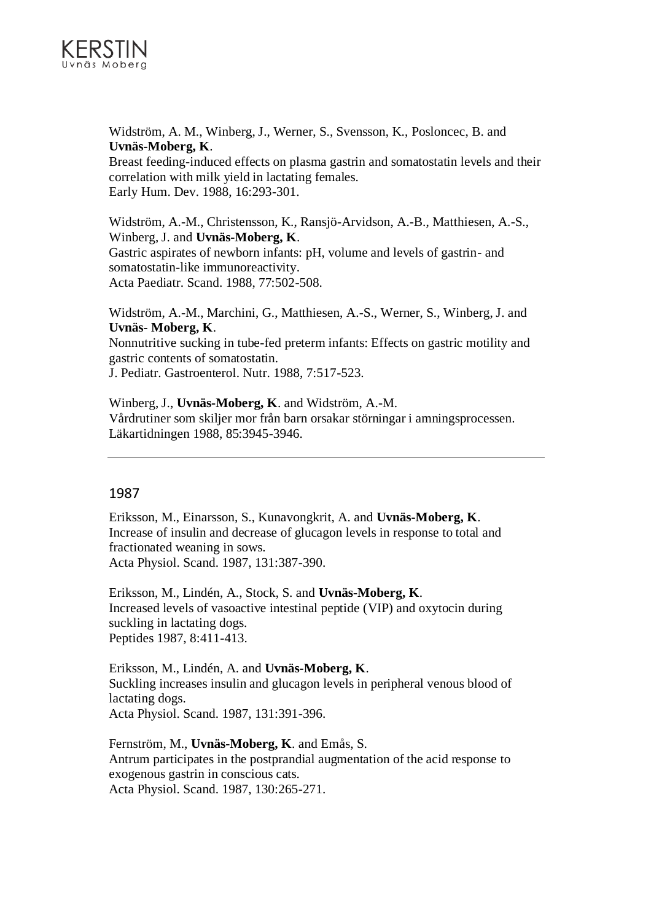

Widström, A. M., Winberg, J., Werner, S., Svensson, K., Posloncec, B. and **Uvnäs-Moberg, K**.

Breast feeding-induced effects on plasma gastrin and somatostatin levels and their correlation with milk yield in lactating females. Early Hum. Dev. 1988, 16:293-301.

Widström, A.-M., Christensson, K., Ransjö-Arvidson, A.-B., Matthiesen, A.-S., Winberg, J. and **Uvnäs-Moberg, K**. Gastric aspirates of newborn infants: pH, volume and levels of gastrin- and somatostatin-like immunoreactivity. Acta Paediatr. Scand. 1988, 77:502-508.

Widström, A.-M., Marchini, G., Matthiesen, A.-S., Werner, S., Winberg, J. and **Uvnäs- Moberg, K**.

Nonnutritive sucking in tube-fed preterm infants: Effects on gastric motility and gastric contents of somatostatin.

J. Pediatr. Gastroenterol. Nutr. 1988, 7:517-523.

Winberg, J., **Uvnäs-Moberg, K**. and Widström, A.-M. Vårdrutiner som skiljer mor från barn orsakar störningar i amningsprocessen. Läkartidningen 1988, 85:3945-3946.

## 1987

Eriksson, M., Einarsson, S., Kunavongkrit, A. and **Uvnäs-Moberg, K**. Increase of insulin and decrease of glucagon levels in response to total and fractionated weaning in sows. Acta Physiol. Scand. 1987, 131:387-390.

Eriksson, M., Lindén, A., Stock, S. and **Uvnäs-Moberg, K**. Increased levels of vasoactive intestinal peptide (VIP) and oxytocin during suckling in lactating dogs. Peptides 1987, 8:411-413.

Eriksson, M., Lindén, A. and **Uvnäs-Moberg, K**. Suckling increases insulin and glucagon levels in peripheral venous blood of lactating dogs. Acta Physiol. Scand. 1987, 131:391-396.

Fernström, M., **Uvnäs-Moberg, K**. and Emås, S. Antrum participates in the postprandial augmentation of the acid response to exogenous gastrin in conscious cats. Acta Physiol. Scand. 1987, 130:265-271.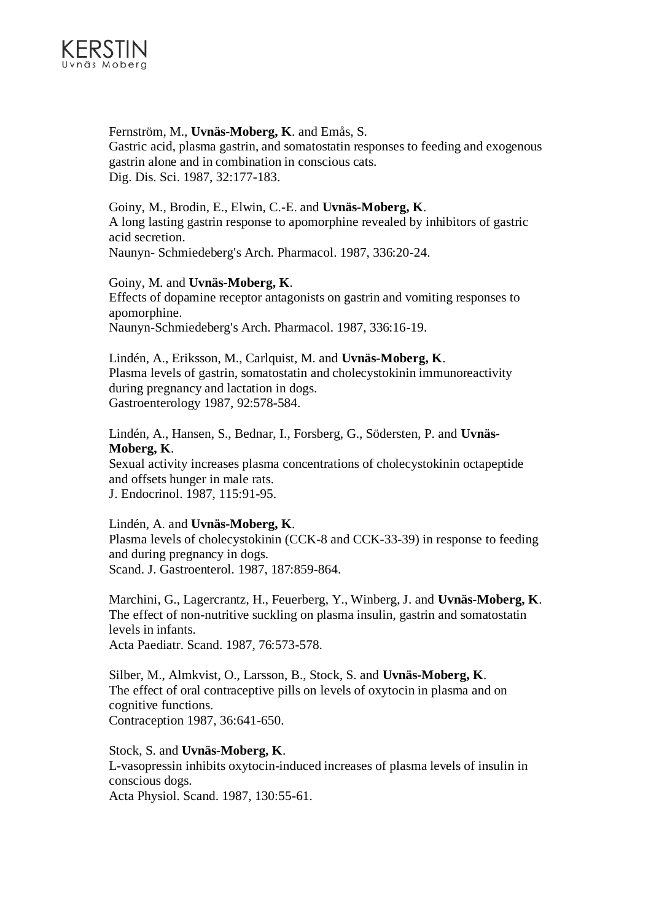

## Fernström, M., **Uvnäs-Moberg, K**. and Emås, S. Gastric acid, plasma gastrin, and somatostatin responses to feeding and exogenous gastrin alone and in combination in conscious cats. Dig. Dis. Sci. 1987, 32:177-183.

Goiny, M., Brodin, E., Elwin, C.-E. and **Uvnäs-Moberg, K**. A long lasting gastrin response to apomorphine revealed by inhibitors of gastric acid secretion. Naunyn- Schmiedeberg's Arch. Pharmacol. 1987, 336:20-24.

## Goiny, M. and **Uvnäs-Moberg, K**.

Effects of dopamine receptor antagonists on gastrin and vomiting responses to apomorphine. Naunyn-Schmiedeberg's Arch. Pharmacol. 1987, 336:16-19.

Lindén, A., Eriksson, M., Carlquist, M. and **Uvnäs-Moberg, K**. Plasma levels of gastrin, somatostatin and cholecystokinin immunoreactivity during pregnancy and lactation in dogs. Gastroenterology 1987, 92:578-584.

Lindén, A., Hansen, S., Bednar, I., Forsberg, G., Södersten, P. and **Uvnäs-Moberg, K**.

Sexual activity increases plasma concentrations of cholecystokinin octapeptide and offsets hunger in male rats. J. Endocrinol. 1987, 115:91-95.

## Lindén, A. and **Uvnäs-Moberg, K**.

Plasma levels of cholecystokinin (CCK-8 and CCK-33-39) in response to feeding and during pregnancy in dogs. Scand. J. Gastroenterol. 1987, 187:859-864.

Marchini, G., Lagercrantz, H., Feuerberg, Y., Winberg, J. and **Uvnäs-Moberg, K**. The effect of non-nutritive suckling on plasma insulin, gastrin and somatostatin levels in infants. Acta Paediatr. Scand. 1987, 76:573-578.

Silber, M., Almkvist, O., Larsson, B., Stock, S. and **Uvnäs-Moberg, K**. The effect of oral contraceptive pills on levels of oxytocin in plasma and on cognitive functions. Contraception 1987, 36:641-650.

Stock, S. and **Uvnäs-Moberg, K**. L-vasopressin inhibits oxytocin-induced increases of plasma levels of insulin in conscious dogs. Acta Physiol. Scand. 1987, 130:55-61.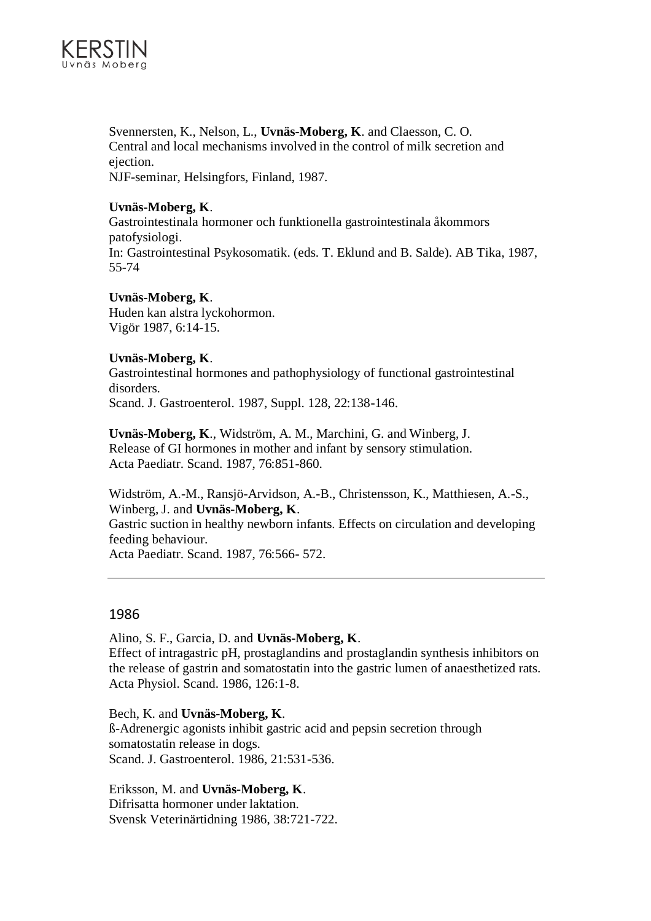

Svennersten, K., Nelson, L., **Uvnäs-Moberg, K**. and Claesson, C. O. Central and local mechanisms involved in the control of milk secretion and ejection. NJF-seminar, Helsingfors, Finland, 1987.

## **Uvnäs-Moberg, K**.

Gastrointestinala hormoner och funktionella gastrointestinala åkommors patofysiologi. In: Gastrointestinal Psykosomatik. (eds. T. Eklund and B. Salde). AB Tika, 1987, 55-74

## **Uvnäs-Moberg, K**.

Huden kan alstra lyckohormon. Vigör 1987, 6:14-15.

## **Uvnäs-Moberg, K**.

Gastrointestinal hormones and pathophysiology of functional gastrointestinal disorders. Scand. J. Gastroenterol. 1987, Suppl. 128, 22:138-146.

**Uvnäs-Moberg, K**., Widström, A. M., Marchini, G. and Winberg, J. Release of GI hormones in mother and infant by sensory stimulation. Acta Paediatr. Scand. 1987, 76:851-860.

Widström, A.-M., Ransjö-Arvidson, A.-B., Christensson, K., Matthiesen, A.-S., Winberg, J. and **Uvnäs-Moberg, K**.

Gastric suction in healthy newborn infants. Effects on circulation and developing feeding behaviour.

Acta Paediatr. Scand. 1987, 76:566- 572.

## 1986

Alino, S. F., Garcia, D. and **Uvnäs-Moberg, K**. Effect of intragastric pH, prostaglandins and prostaglandin synthesis inhibitors on the release of gastrin and somatostatin into the gastric lumen of anaesthetized rats. Acta Physiol. Scand. 1986, 126:1-8.

Bech, K. and **Uvnäs-Moberg, K**. ß-Adrenergic agonists inhibit gastric acid and pepsin secretion through somatostatin release in dogs. Scand. J. Gastroenterol. 1986, 21:531-536.

Eriksson, M. and **Uvnäs-Moberg, K**. Difrisatta hormoner under laktation. Svensk Veterinärtidning 1986, 38:721-722.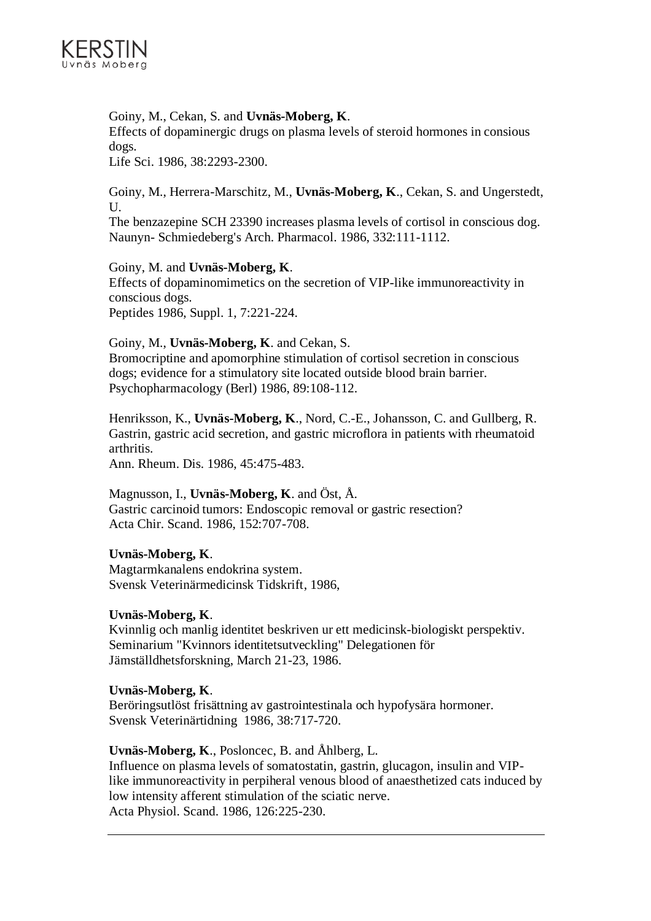

## Goiny, M., Cekan, S. and **Uvnäs-Moberg, K**.

Effects of dopaminergic drugs on plasma levels of steroid hormones in consious dogs.

Life Sci. 1986, 38:2293-2300.

Goiny, M., Herrera-Marschitz, M., **Uvnäs-Moberg, K**., Cekan, S. and Ungerstedt, U.

The benzazepine SCH 23390 increases plasma levels of cortisol in conscious dog. Naunyn- Schmiedeberg's Arch. Pharmacol. 1986, 332:111-1112.

## Goiny, M. and **Uvnäs-Moberg, K**.

Effects of dopaminomimetics on the secretion of VIP-like immunoreactivity in conscious dogs.

Peptides 1986, Suppl. 1, 7:221-224.

## Goiny, M., **Uvnäs-Moberg, K**. and Cekan, S.

Bromocriptine and apomorphine stimulation of cortisol secretion in conscious dogs; evidence for a stimulatory site located outside blood brain barrier. Psychopharmacology (Berl) 1986, 89:108-112.

Henriksson, K., **Uvnäs-Moberg, K**., Nord, C.-E., Johansson, C. and Gullberg, R. Gastrin, gastric acid secretion, and gastric microflora in patients with rheumatoid arthritis.

Ann. Rheum. Dis. 1986, 45:475-483.

## Magnusson, I., **Uvnäs-Moberg, K**. and Öst, Å.

Gastric carcinoid tumors: Endoscopic removal or gastric resection? Acta Chir. Scand. 1986, 152:707-708.

## **Uvnäs-Moberg, K**.

Magtarmkanalens endokrina system. Svensk Veterinärmedicinsk Tidskrift, 1986,

## **Uvnäs-Moberg, K**.

Kvinnlig och manlig identitet beskriven ur ett medicinsk-biologiskt perspektiv. Seminarium "Kvinnors identitetsutveckling" Delegationen för Jämställdhetsforskning, March 21-23, 1986.

## **Uvnäs-Moberg, K**.

Beröringsutlöst frisättning av gastrointestinala och hypofysära hormoner. Svensk Veterinärtidning 1986, 38:717-720.

## **Uvnäs-Moberg, K**., Posloncec, B. and Åhlberg, L.

Influence on plasma levels of somatostatin, gastrin, glucagon, insulin and VIPlike immunoreactivity in perpiheral venous blood of anaesthetized cats induced by low intensity afferent stimulation of the sciatic nerve. Acta Physiol. Scand. 1986, 126:225-230.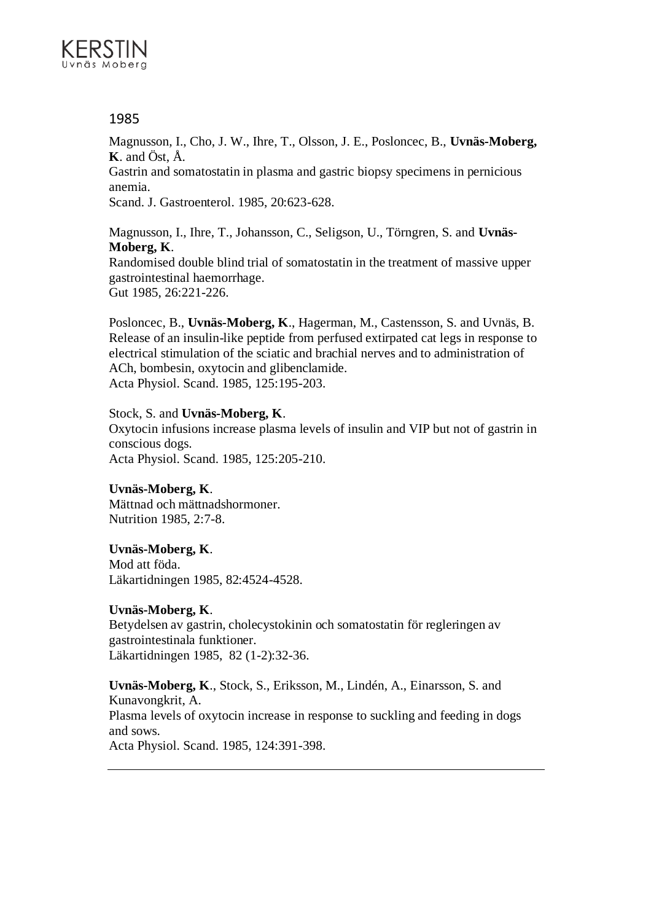

Magnusson, I., Cho, J. W., Ihre, T., Olsson, J. E., Posloncec, B., **Uvnäs-Moberg, K**. and Öst, Å.

Gastrin and somatostatin in plasma and gastric biopsy specimens in pernicious anemia.

Scand. J. Gastroenterol. 1985, 20:623-628.

Magnusson, I., Ihre, T., Johansson, C., Seligson, U., Törngren, S. and **Uvnäs-Moberg, K**.

Randomised double blind trial of somatostatin in the treatment of massive upper gastrointestinal haemorrhage. Gut 1985, 26:221-226.

Posloncec, B., **Uvnäs-Moberg, K**., Hagerman, M., Castensson, S. and Uvnäs, B. Release of an insulin-like peptide from perfused extirpated cat legs in response to electrical stimulation of the sciatic and brachial nerves and to administration of ACh, bombesin, oxytocin and glibenclamide. Acta Physiol. Scand. 1985, 125:195-203.

## Stock, S. and **Uvnäs-Moberg, K**.

Oxytocin infusions increase plasma levels of insulin and VIP but not of gastrin in conscious dogs. Acta Physiol. Scand. 1985, 125:205-210.

## **Uvnäs-Moberg, K**.

Mättnad och mättnadshormoner. Nutrition 1985, 2:7-8.

## **Uvnäs-Moberg, K**.

Mod att föda. Läkartidningen 1985, 82:4524-4528.

## **Uvnäs-Moberg, K**.

Betydelsen av gastrin, cholecystokinin och somatostatin för regleringen av gastrointestinala funktioner. Läkartidningen 1985, 82 (1-2):32-36.

**Uvnäs-Moberg, K**., Stock, S., Eriksson, M., Lindén, A., Einarsson, S. and Kunavongkrit, A. Plasma levels of oxytocin increase in response to suckling and feeding in dogs and sows. Acta Physiol. Scand. 1985, 124:391-398.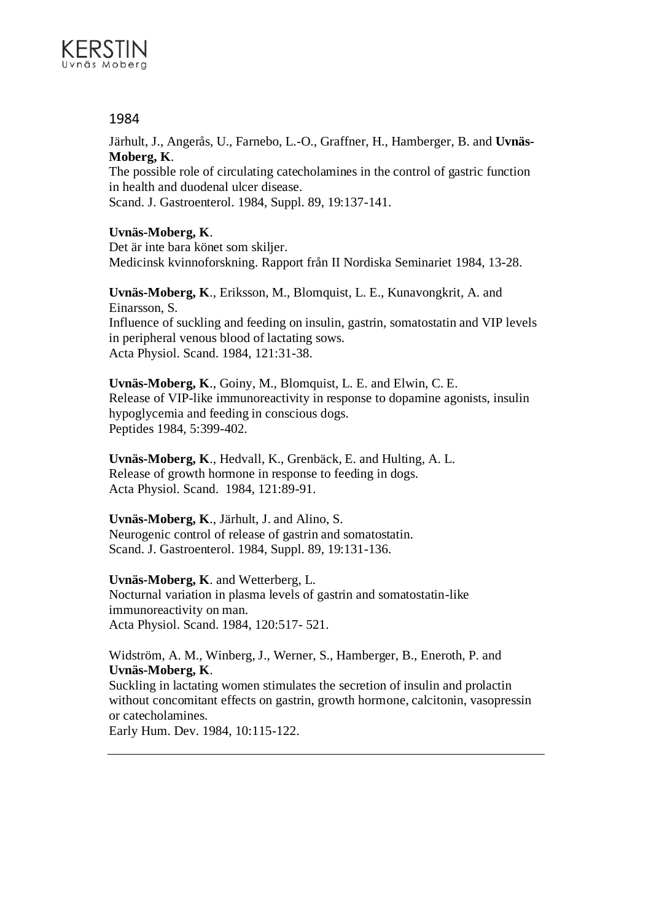

Järhult, J., Angerås, U., Farnebo, L.-O., Graffner, H., Hamberger, B. and **Uvnäs-Moberg, K**.

The possible role of circulating catecholamines in the control of gastric function in health and duodenal ulcer disease. Scand. J. Gastroenterol. 1984, Suppl. 89, 19:137-141.

## **Uvnäs-Moberg, K**.

Det är inte bara könet som skiljer. Medicinsk kvinnoforskning. Rapport från II Nordiska Seminariet 1984, 13-28.

**Uvnäs-Moberg, K**., Eriksson, M., Blomquist, L. E., Kunavongkrit, A. and Einarsson, S. Influence of suckling and feeding on insulin, gastrin, somatostatin and VIP levels in peripheral venous blood of lactating sows. Acta Physiol. Scand. 1984, 121:31-38.

**Uvnäs-Moberg, K**., Goiny, M., Blomquist, L. E. and Elwin, C. E. Release of VIP-like immunoreactivity in response to dopamine agonists, insulin hypoglycemia and feeding in conscious dogs. Peptides 1984, 5:399-402.

**Uvnäs-Moberg, K**., Hedvall, K., Grenbäck, E. and Hulting, A. L. Release of growth hormone in response to feeding in dogs. Acta Physiol. Scand. 1984, 121:89-91.

## **Uvnäs-Moberg, K**., Järhult, J. and Alino, S.

Neurogenic control of release of gastrin and somatostatin. Scand. J. Gastroenterol. 1984, Suppl. 89, 19:131-136.

## **Uvnäs-Moberg, K**. and Wetterberg, L.

Nocturnal variation in plasma levels of gastrin and somatostatin-like immunoreactivity on man. Acta Physiol. Scand. 1984, 120:517- 521.

Widström, A. M., Winberg, J., Werner, S., Hamberger, B., Eneroth, P. and **Uvnäs-Moberg, K**.

Suckling in lactating women stimulates the secretion of insulin and prolactin without concomitant effects on gastrin, growth hormone, calcitonin, vasopressin or catecholamines.

Early Hum. Dev. 1984, 10:115-122.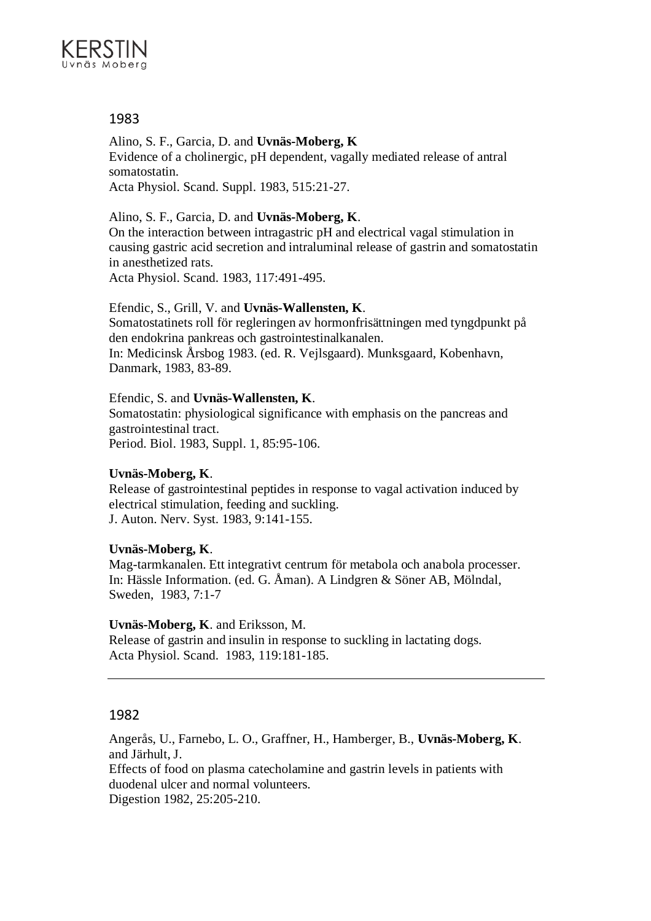

Alino, S. F., Garcia, D. and **Uvnäs-Moberg, K** Evidence of a cholinergic, pH dependent, vagally mediated release of antral somatostatin. Acta Physiol. Scand. Suppl. 1983, 515:21-27.

Alino, S. F., Garcia, D. and **Uvnäs-Moberg, K**.

On the interaction between intragastric pH and electrical vagal stimulation in causing gastric acid secretion and intraluminal release of gastrin and somatostatin in anesthetized rats.

Acta Physiol. Scand. 1983, 117:491-495.

Efendic, S., Grill, V. and **Uvnäs-Wallensten, K**.

Somatostatinets roll för regleringen av hormonfrisättningen med tyngdpunkt på den endokrina pankreas och gastrointestinalkanalen. In: Medicinsk Årsbog 1983. (ed. R. Vejlsgaard). Munksgaard, Kobenhavn, Danmark, 1983, 83-89.

Efendic, S. and **Uvnäs-Wallensten, K**.

Somatostatin: physiological significance with emphasis on the pancreas and gastrointestinal tract. Period. Biol. 1983, Suppl. 1, 85:95-106.

## **Uvnäs-Moberg, K**.

Release of gastrointestinal peptides in response to vagal activation induced by electrical stimulation, feeding and suckling. J. Auton. Nerv. Syst. 1983, 9:141-155.

## **Uvnäs-Moberg, K**.

Mag-tarmkanalen. Ett integrativt centrum för metabola och anabola processer. In: Hässle Information. (ed. G. Åman). A Lindgren & Söner AB, Mölndal, Sweden, 1983, 7:1-7

## **Uvnäs-Moberg, K**. and Eriksson, M.

Release of gastrin and insulin in response to suckling in lactating dogs. Acta Physiol. Scand. 1983, 119:181-185.

## 1982

Angerås, U., Farnebo, L. O., Graffner, H., Hamberger, B., **Uvnäs-Moberg, K**. and Järhult, J.

Effects of food on plasma catecholamine and gastrin levels in patients with duodenal ulcer and normal volunteers. Digestion 1982, 25:205-210.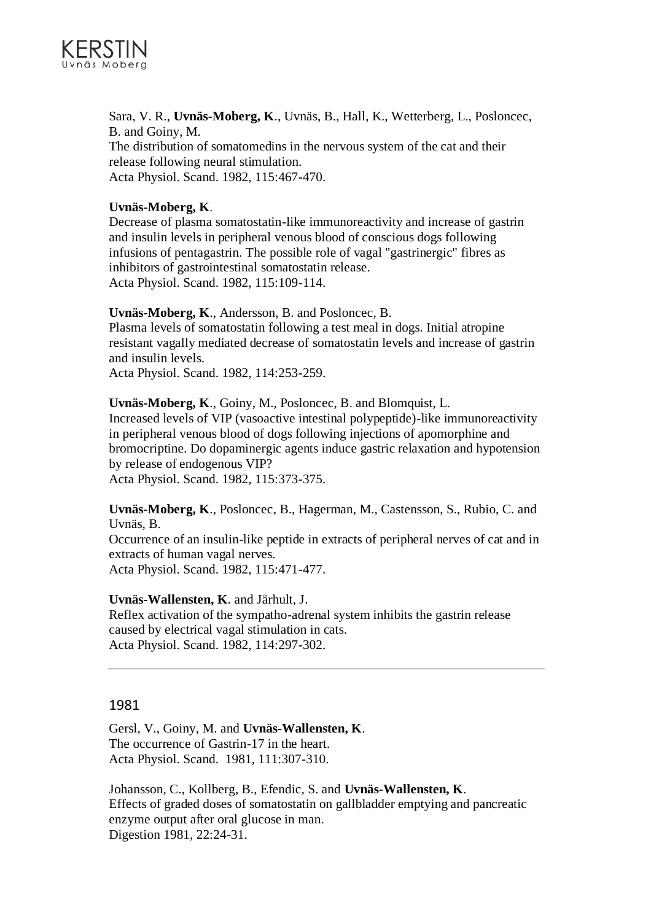

Sara, V. R., **Uvnäs-Moberg, K**., Uvnäs, B., Hall, K., Wetterberg, L., Posloncec, B. and Goiny, M. The distribution of somatomedins in the nervous system of the cat and their release following neural stimulation. Acta Physiol. Scand. 1982, 115:467-470.

## **Uvnäs-Moberg, K**.

Decrease of plasma somatostatin-like immunoreactivity and increase of gastrin and insulin levels in peripheral venous blood of conscious dogs following infusions of pentagastrin. The possible role of vagal "gastrinergic" fibres as inhibitors of gastrointestinal somatostatin release. Acta Physiol. Scand. 1982, 115:109-114.

## **Uvnäs-Moberg, K**., Andersson, B. and Posloncec, B.

Plasma levels of somatostatin following a test meal in dogs. Initial atropine resistant vagally mediated decrease of somatostatin levels and increase of gastrin and insulin levels.

Acta Physiol. Scand. 1982, 114:253-259.

#### **Uvnäs-Moberg, K**., Goiny, M., Posloncec, B. and Blomquist, L.

Increased levels of VIP (vasoactive intestinal polypeptide)-like immunoreactivity in peripheral venous blood of dogs following injections of apomorphine and bromocriptine. Do dopaminergic agents induce gastric relaxation and hypotension by release of endogenous VIP? Acta Physiol. Scand. 1982, 115:373-375.

**Uvnäs-Moberg, K**., Posloncec, B., Hagerman, M., Castensson, S., Rubio, C. and Uvnäs, B.

Occurrence of an insulin-like peptide in extracts of peripheral nerves of cat and in extracts of human vagal nerves. Acta Physiol. Scand. 1982, 115:471-477.

## **Uvnäs-Wallensten, K**. and Järhult, J.

Reflex activation of the sympatho-adrenal system inhibits the gastrin release caused by electrical vagal stimulation in cats. Acta Physiol. Scand. 1982, 114:297-302.

## 1981

Gersl, V., Goiny, M. and **Uvnäs-Wallensten, K**. The occurrence of Gastrin-17 in the heart. Acta Physiol. Scand. 1981, 111:307-310.

Johansson, C., Kollberg, B., Efendic, S. and **Uvnäs-Wallensten, K**. Effects of graded doses of somatostatin on gallbladder emptying and pancreatic enzyme output after oral glucose in man. Digestion 1981, 22:24-31.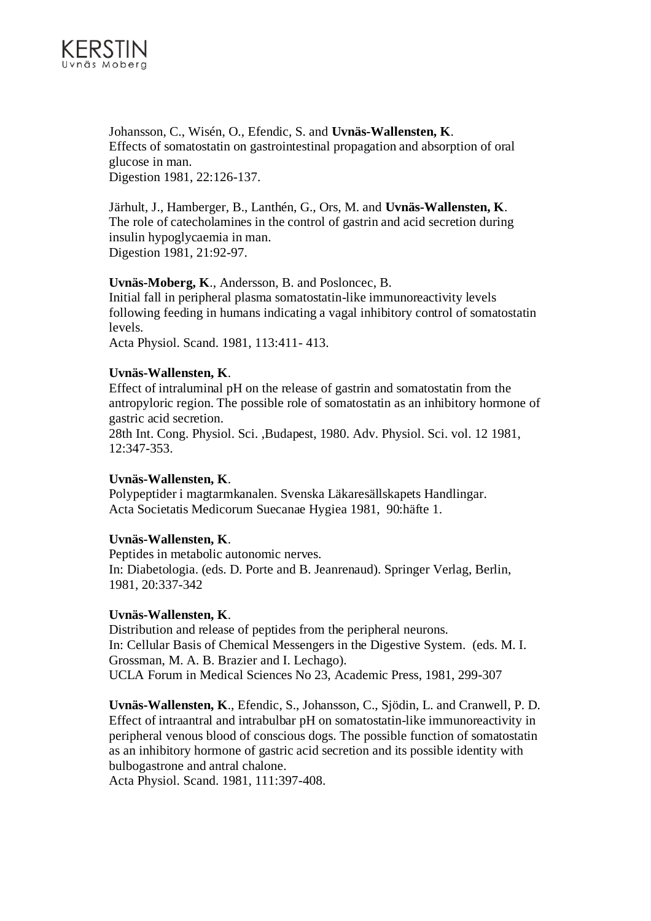

Johansson, C., Wisén, O., Efendic, S. and **Uvnäs-Wallensten, K**. Effects of somatostatin on gastrointestinal propagation and absorption of oral glucose in man. Digestion 1981, 22:126-137.

Järhult, J., Hamberger, B., Lanthén, G., Ors, M. and **Uvnäs-Wallensten, K**. The role of catecholamines in the control of gastrin and acid secretion during insulin hypoglycaemia in man. Digestion 1981, 21:92-97.

## **Uvnäs-Moberg, K**., Andersson, B. and Posloncec, B.

Initial fall in peripheral plasma somatostatin-like immunoreactivity levels following feeding in humans indicating a vagal inhibitory control of somatostatin levels.

Acta Physiol. Scand. 1981, 113:411- 413.

#### **Uvnäs-Wallensten, K**.

Effect of intraluminal pH on the release of gastrin and somatostatin from the antropyloric region. The possible role of somatostatin as an inhibitory hormone of gastric acid secretion.

28th Int. Cong. Physiol. Sci. ,Budapest, 1980. Adv. Physiol. Sci. vol. 12 1981, 12:347-353.

## **Uvnäs-Wallensten, K**.

Polypeptider i magtarmkanalen. Svenska Läkaresällskapets Handlingar. Acta Societatis Medicorum Suecanae Hygiea 1981, 90:häfte 1.

#### **Uvnäs-Wallensten, K**.

Peptides in metabolic autonomic nerves. In: Diabetologia. (eds. D. Porte and B. Jeanrenaud). Springer Verlag, Berlin, 1981, 20:337-342

#### **Uvnäs-Wallensten, K**.

Distribution and release of peptides from the peripheral neurons. In: Cellular Basis of Chemical Messengers in the Digestive System. (eds. M. I. Grossman, M. A. B. Brazier and I. Lechago). UCLA Forum in Medical Sciences No 23, Academic Press, 1981, 299-307

**Uvnäs-Wallensten, K**., Efendic, S., Johansson, C., Sjödin, L. and Cranwell, P. D. Effect of intraantral and intrabulbar pH on somatostatin-like immunoreactivity in peripheral venous blood of conscious dogs. The possible function of somatostatin as an inhibitory hormone of gastric acid secretion and its possible identity with bulbogastrone and antral chalone.

Acta Physiol. Scand. 1981, 111:397-408.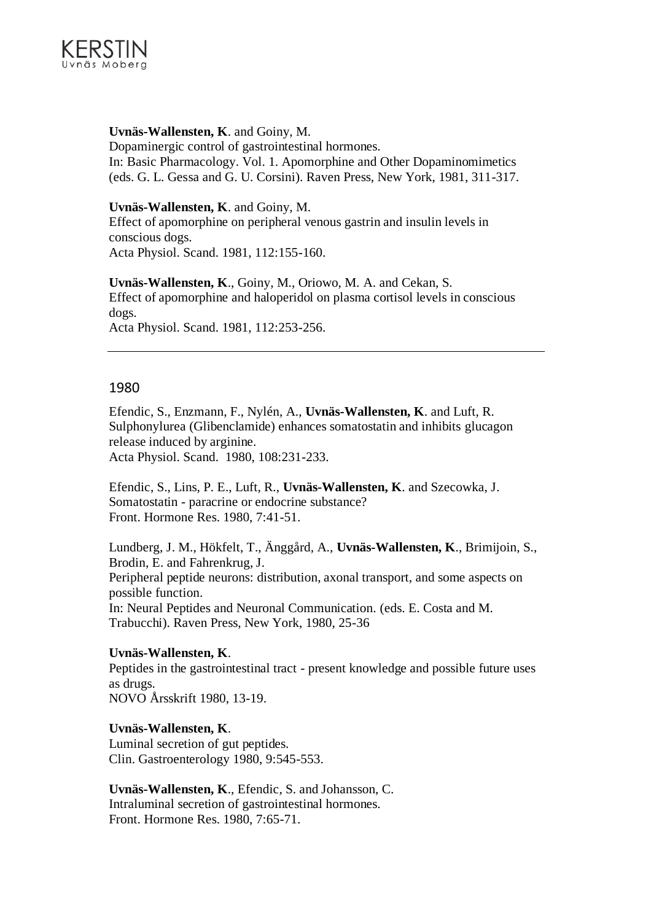

## **Uvnäs-Wallensten, K**. and Goiny, M.

Dopaminergic control of gastrointestinal hormones. In: Basic Pharmacology. Vol. 1. Apomorphine and Other Dopaminomimetics (eds. G. L. Gessa and G. U. Corsini). Raven Press, New York, 1981, 311-317.

#### **Uvnäs-Wallensten, K**. and Goiny, M.

Effect of apomorphine on peripheral venous gastrin and insulin levels in conscious dogs. Acta Physiol. Scand. 1981, 112:155-160.

**Uvnäs-Wallensten, K**., Goiny, M., Oriowo, M. A. and Cekan, S. Effect of apomorphine and haloperidol on plasma cortisol levels in conscious dogs. Acta Physiol. Scand. 1981, 112:253-256.

## 1980

Efendic, S., Enzmann, F., Nylén, A., **Uvnäs-Wallensten, K**. and Luft, R. Sulphonylurea (Glibenclamide) enhances somatostatin and inhibits glucagon release induced by arginine. Acta Physiol. Scand. 1980, 108:231-233.

Efendic, S., Lins, P. E., Luft, R., **Uvnäs-Wallensten, K**. and Szecowka, J. Somatostatin - paracrine or endocrine substance? Front. Hormone Res. 1980, 7:41-51.

Lundberg, J. M., Hökfelt, T., Änggård, A., **Uvnäs-Wallensten, K**., Brimijoin, S., Brodin, E. and Fahrenkrug, J. Peripheral peptide neurons: distribution, axonal transport, and some aspects on possible function. In: Neural Peptides and Neuronal Communication. (eds. E. Costa and M. Trabucchi). Raven Press, New York, 1980, 25-36

## **Uvnäs-Wallensten, K**.

Peptides in the gastrointestinal tract - present knowledge and possible future uses as drugs.

NOVO Årsskrift 1980, 13-19.

# **Uvnäs-Wallensten, K**.

Luminal secretion of gut peptides. Clin. Gastroenterology 1980, 9:545-553.

**Uvnäs-Wallensten, K**., Efendic, S. and Johansson, C. Intraluminal secretion of gastrointestinal hormones. Front. Hormone Res. 1980, 7:65-71.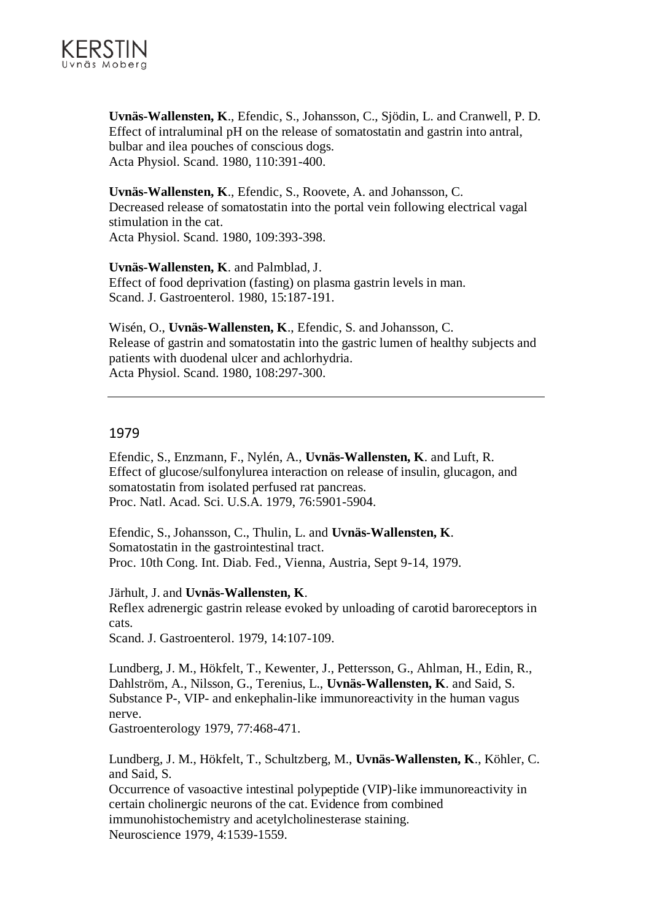

**Uvnäs-Wallensten, K**., Efendic, S., Johansson, C., Sjödin, L. and Cranwell, P. D. Effect of intraluminal pH on the release of somatostatin and gastrin into antral, bulbar and ilea pouches of conscious dogs. Acta Physiol. Scand. 1980, 110:391-400.

**Uvnäs-Wallensten, K**., Efendic, S., Roovete, A. and Johansson, C. Decreased release of somatostatin into the portal vein following electrical vagal stimulation in the cat. Acta Physiol. Scand. 1980, 109:393-398.

**Uvnäs-Wallensten, K**. and Palmblad, J. Effect of food deprivation (fasting) on plasma gastrin levels in man. Scand. J. Gastroenterol. 1980, 15:187-191.

Wisén, O., **Uvnäs-Wallensten, K**., Efendic, S. and Johansson, C. Release of gastrin and somatostatin into the gastric lumen of healthy subjects and patients with duodenal ulcer and achlorhydria. Acta Physiol. Scand. 1980, 108:297-300.

#### 1979

Efendic, S., Enzmann, F., Nylén, A., **Uvnäs-Wallensten, K**. and Luft, R. Effect of glucose/sulfonylurea interaction on release of insulin, glucagon, and somatostatin from isolated perfused rat pancreas. Proc. Natl. Acad. Sci. U.S.A. 1979, 76:5901-5904.

Efendic, S., Johansson, C., Thulin, L. and **Uvnäs-Wallensten, K**. Somatostatin in the gastrointestinal tract. Proc. 10th Cong. Int. Diab. Fed., Vienna, Austria, Sept 9-14, 1979.

Järhult, J. and **Uvnäs-Wallensten, K**.

Reflex adrenergic gastrin release evoked by unloading of carotid baroreceptors in cats.

Scand. J. Gastroenterol. 1979, 14:107-109.

Lundberg, J. M., Hökfelt, T., Kewenter, J., Pettersson, G., Ahlman, H., Edin, R., Dahlström, A., Nilsson, G., Terenius, L., **Uvnäs-Wallensten, K**. and Said, S. Substance P-, VIP- and enkephalin-like immunoreactivity in the human vagus nerve.

Gastroenterology 1979, 77:468-471.

Lundberg, J. M., Hökfelt, T., Schultzberg, M., **Uvnäs-Wallensten, K**., Köhler, C. and Said, S.

Occurrence of vasoactive intestinal polypeptide (VIP)-like immunoreactivity in certain cholinergic neurons of the cat. Evidence from combined immunohistochemistry and acetylcholinesterase staining. Neuroscience 1979, 4:1539-1559.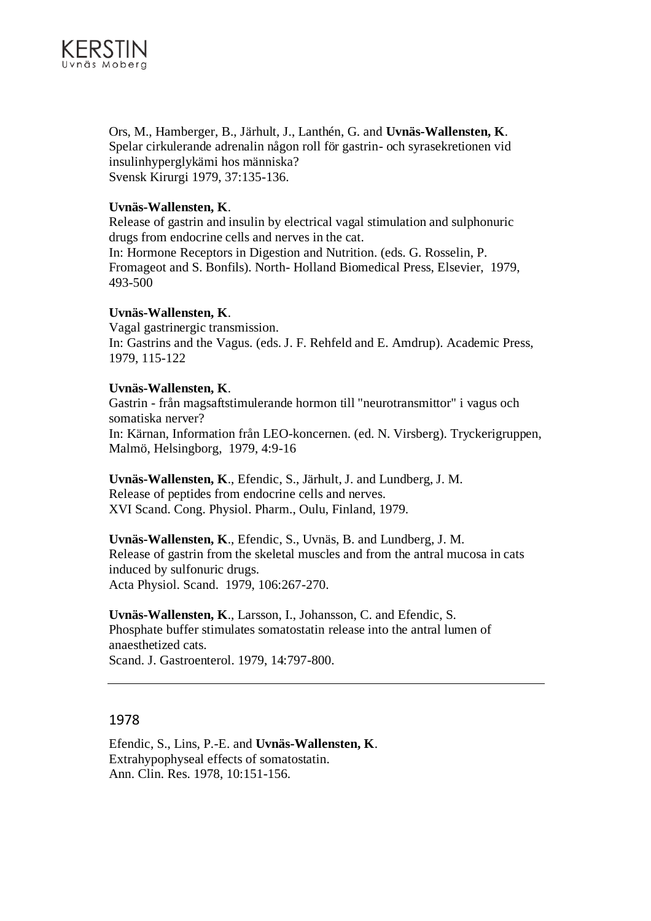

Ors, M., Hamberger, B., Järhult, J., Lanthén, G. and **Uvnäs-Wallensten, K**. Spelar cirkulerande adrenalin någon roll för gastrin- och syrasekretionen vid insulinhyperglykämi hos människa? Svensk Kirurgi 1979, 37:135-136.

## **Uvnäs-Wallensten, K**.

Release of gastrin and insulin by electrical vagal stimulation and sulphonuric drugs from endocrine cells and nerves in the cat.

In: Hormone Receptors in Digestion and Nutrition. (eds. G. Rosselin, P. Fromageot and S. Bonfils). North- Holland Biomedical Press, Elsevier, 1979, 493-500

## **Uvnäs-Wallensten, K**.

Vagal gastrinergic transmission. In: Gastrins and the Vagus. (eds. J. F. Rehfeld and E. Amdrup). Academic Press, 1979, 115-122

## **Uvnäs-Wallensten, K**.

Gastrin - från magsaftstimulerande hormon till "neurotransmittor" i vagus och somatiska nerver? In: Kärnan, Information från LEO-koncernen. (ed. N. Virsberg). Tryckerigruppen, Malmö, Helsingborg, 1979, 4:9-16

**Uvnäs-Wallensten, K**., Efendic, S., Järhult, J. and Lundberg, J. M. Release of peptides from endocrine cells and nerves. XVI Scand. Cong. Physiol. Pharm., Oulu, Finland, 1979.

**Uvnäs-Wallensten, K**., Efendic, S., Uvnäs, B. and Lundberg, J. M. Release of gastrin from the skeletal muscles and from the antral mucosa in cats induced by sulfonuric drugs. Acta Physiol. Scand. 1979, 106:267-270.

**Uvnäs-Wallensten, K**., Larsson, I., Johansson, C. and Efendic, S. Phosphate buffer stimulates somatostatin release into the antral lumen of anaesthetized cats. Scand. J. Gastroenterol. 1979, 14:797-800.

## 1978

Efendic, S., Lins, P.-E. and **Uvnäs-Wallensten, K**. Extrahypophyseal effects of somatostatin. Ann. Clin. Res. 1978, 10:151-156.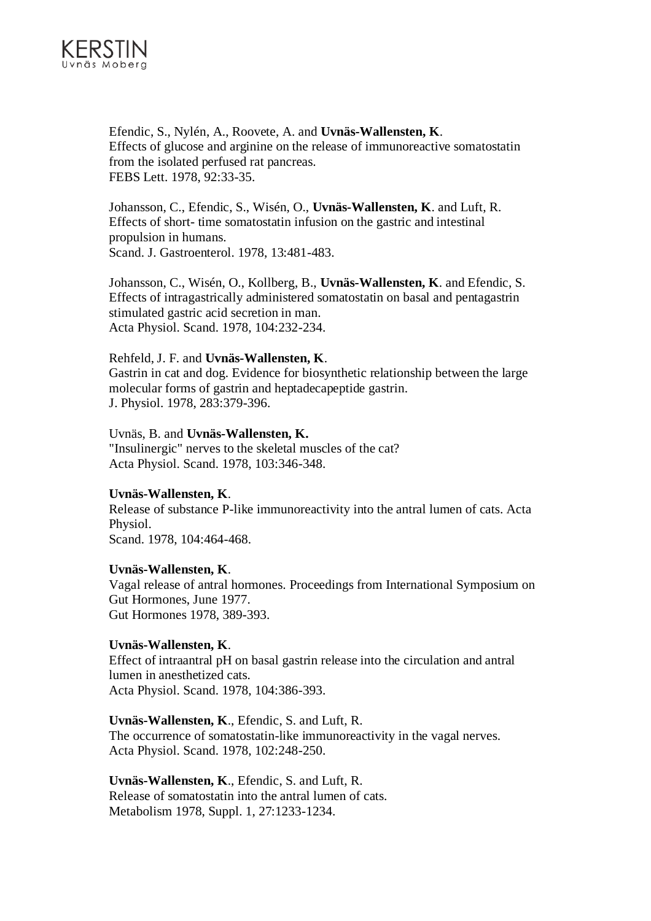

Efendic, S., Nylén, A., Roovete, A. and **Uvnäs-Wallensten, K**. Effects of glucose and arginine on the release of immunoreactive somatostatin from the isolated perfused rat pancreas. FEBS Lett. 1978, 92:33-35.

Johansson, C., Efendic, S., Wisén, O., **Uvnäs-Wallensten, K**. and Luft, R. Effects of short- time somatostatin infusion on the gastric and intestinal propulsion in humans. Scand. J. Gastroenterol. 1978, 13:481-483.

Johansson, C., Wisén, O., Kollberg, B., **Uvnäs-Wallensten, K**. and Efendic, S. Effects of intragastrically administered somatostatin on basal and pentagastrin stimulated gastric acid secretion in man. Acta Physiol. Scand. 1978, 104:232-234.

#### Rehfeld, J. F. and **Uvnäs-Wallensten, K**.

Gastrin in cat and dog. Evidence for biosynthetic relationship between the large molecular forms of gastrin and heptadecapeptide gastrin. J. Physiol. 1978, 283:379-396.

Uvnäs, B. and **Uvnäs-Wallensten, K.** "Insulinergic" nerves to the skeletal muscles of the cat? Acta Physiol. Scand. 1978, 103:346-348.

#### **Uvnäs-Wallensten, K**.

Release of substance P-like immunoreactivity into the antral lumen of cats. Acta Physiol. Scand. 1978, 104:464-468.

#### **Uvnäs-Wallensten, K**.

Vagal release of antral hormones. Proceedings from International Symposium on Gut Hormones, June 1977. Gut Hormones 1978, 389-393.

## **Uvnäs-Wallensten, K**.

Effect of intraantral pH on basal gastrin release into the circulation and antral lumen in anesthetized cats. Acta Physiol. Scand. 1978, 104:386-393.

#### **Uvnäs-Wallensten, K**., Efendic, S. and Luft, R.

The occurrence of somatostatin-like immunoreactivity in the vagal nerves. Acta Physiol. Scand. 1978, 102:248-250.

**Uvnäs-Wallensten, K**., Efendic, S. and Luft, R. Release of somatostatin into the antral lumen of cats. Metabolism 1978, Suppl. 1, 27:1233-1234.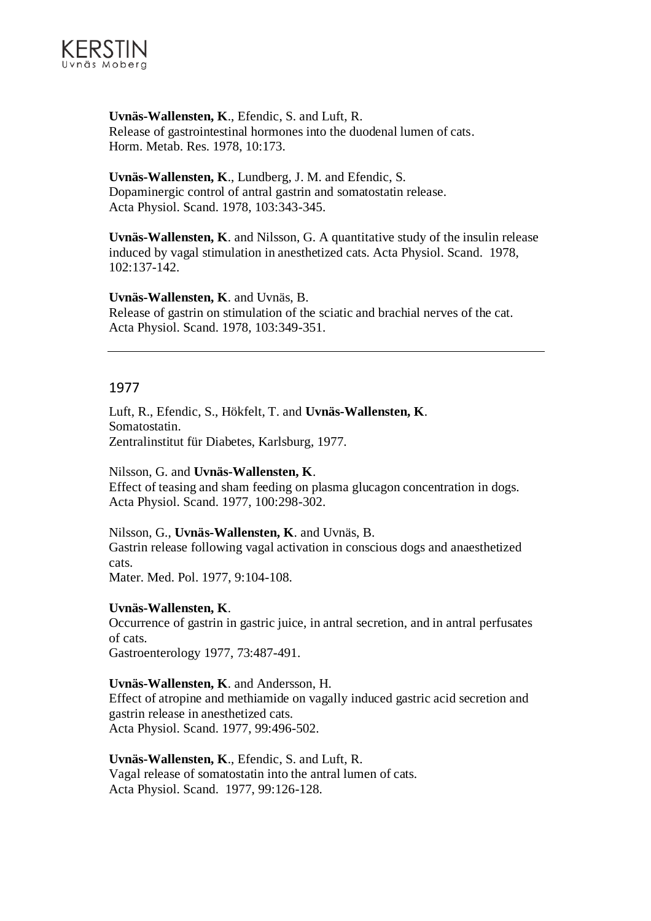

**Uvnäs-Wallensten, K**., Efendic, S. and Luft, R. Release of gastrointestinal hormones into the duodenal lumen of cats. Horm. Metab. Res. 1978, 10:173.

**Uvnäs-Wallensten, K**., Lundberg, J. M. and Efendic, S. Dopaminergic control of antral gastrin and somatostatin release. Acta Physiol. Scand. 1978, 103:343-345.

**Uvnäs-Wallensten, K**. and Nilsson, G. A quantitative study of the insulin release induced by vagal stimulation in anesthetized cats. Acta Physiol. Scand. 1978, 102:137-142.

**Uvnäs-Wallensten, K**. and Uvnäs, B. Release of gastrin on stimulation of the sciatic and brachial nerves of the cat. Acta Physiol. Scand. 1978, 103:349-351.

## 1977

Luft, R., Efendic, S., Hökfelt, T. and **Uvnäs-Wallensten, K**. Somatostatin. Zentralinstitut für Diabetes, Karlsburg, 1977.

Nilsson, G. and **Uvnäs-Wallensten, K**. Effect of teasing and sham feeding on plasma glucagon concentration in dogs. Acta Physiol. Scand. 1977, 100:298-302.

## Nilsson, G., **Uvnäs-Wallensten, K**. and Uvnäs, B.

Gastrin release following vagal activation in conscious dogs and anaesthetized cats.

Mater. Med. Pol. 1977, 9:104-108.

## **Uvnäs-Wallensten, K**.

Occurrence of gastrin in gastric juice, in antral secretion, and in antral perfusates of cats. Gastroenterology 1977, 73:487-491.

## **Uvnäs-Wallensten, K**. and Andersson, H.

Effect of atropine and methiamide on vagally induced gastric acid secretion and gastrin release in anesthetized cats. Acta Physiol. Scand. 1977, 99:496-502.

**Uvnäs-Wallensten, K**., Efendic, S. and Luft, R. Vagal release of somatostatin into the antral lumen of cats. Acta Physiol. Scand. 1977, 99:126-128.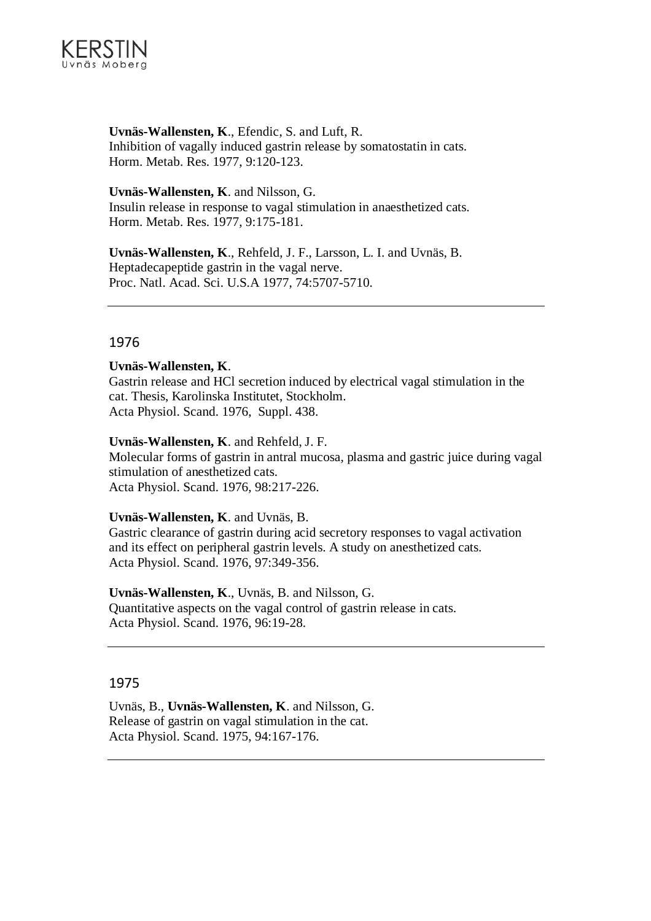

**Uvnäs-Wallensten, K**., Efendic, S. and Luft, R. Inhibition of vagally induced gastrin release by somatostatin in cats. Horm. Metab. Res. 1977, 9:120-123.

**Uvnäs-Wallensten, K**. and Nilsson, G. Insulin release in response to vagal stimulation in anaesthetized cats. Horm. Metab. Res. 1977, 9:175-181.

**Uvnäs-Wallensten, K**., Rehfeld, J. F., Larsson, L. I. and Uvnäs, B. Heptadecapeptide gastrin in the vagal nerve. Proc. Natl. Acad. Sci. U.S.A 1977, 74:5707-5710.

## 1976

#### **Uvnäs-Wallensten, K**.

Gastrin release and HCl secretion induced by electrical vagal stimulation in the cat. Thesis, Karolinska Institutet, Stockholm. Acta Physiol. Scand. 1976, Suppl. 438.

#### **Uvnäs-Wallensten, K**. and Rehfeld, J. F.

Molecular forms of gastrin in antral mucosa, plasma and gastric juice during vagal stimulation of anesthetized cats. Acta Physiol. Scand. 1976, 98:217-226.

#### **Uvnäs-Wallensten, K**. and Uvnäs, B.

Gastric clearance of gastrin during acid secretory responses to vagal activation and its effect on peripheral gastrin levels. A study on anesthetized cats. Acta Physiol. Scand. 1976, 97:349-356.

## **Uvnäs-Wallensten, K**., Uvnäs, B. and Nilsson, G.

Quantitative aspects on the vagal control of gastrin release in cats. Acta Physiol. Scand. 1976, 96:19-28.

## 1975

Uvnäs, B., **Uvnäs-Wallensten, K**. and Nilsson, G. Release of gastrin on vagal stimulation in the cat. Acta Physiol. Scand. 1975, 94:167-176.